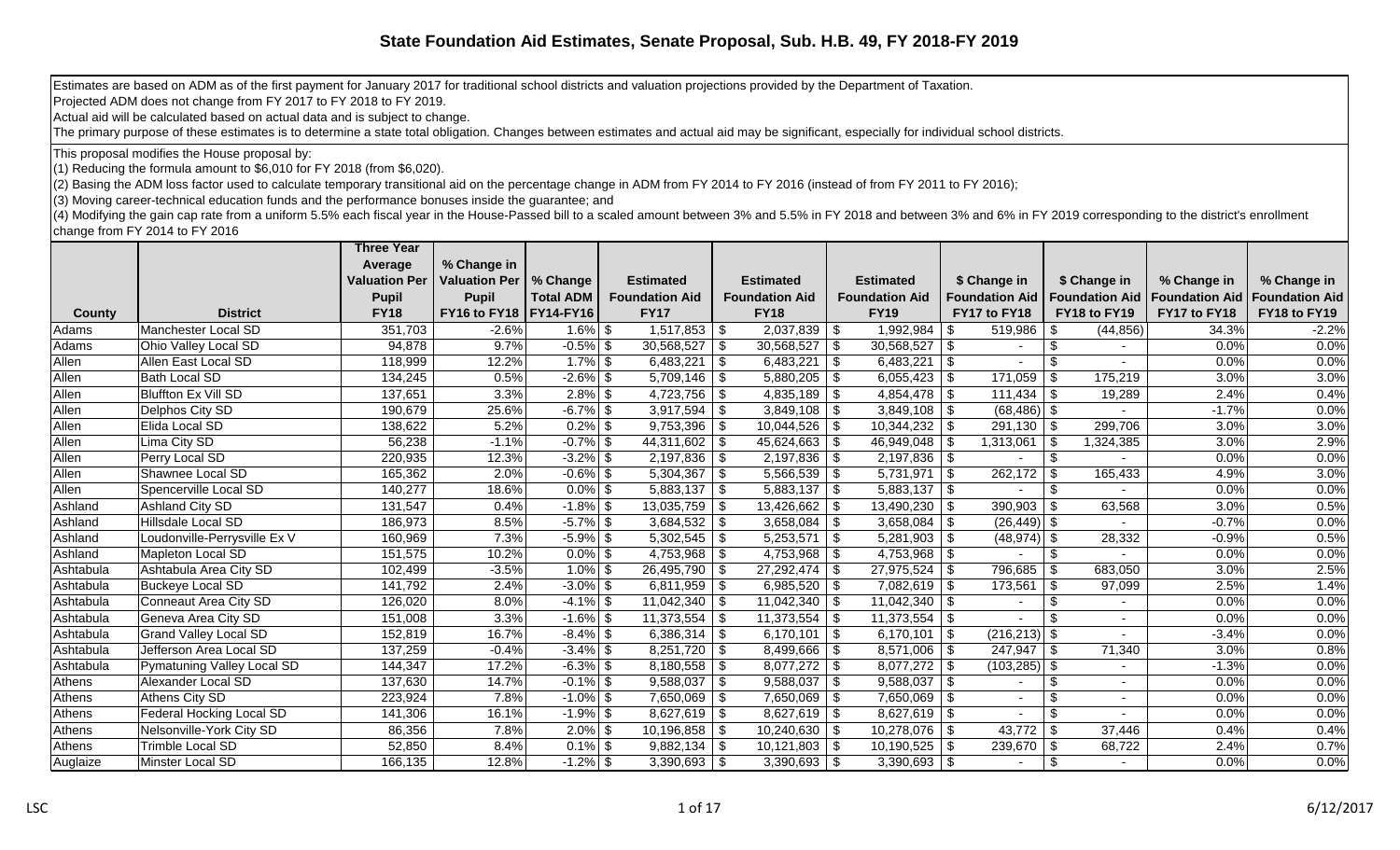Estimates are based on ADM as of the first payment for January 2017 for traditional school districts and valuation projections provided by the Department of Taxation.

Projected ADM does not change from FY 2017 to FY 2018 to FY 2019.

Actual aid will be calculated based on actual data and is subject to change.

The primary purpose of these estimates is to determine a state total obligation. Changes between estimates and actual aid may be significant, especially for individual school districts.

This proposal modifies the House proposal by:

(1) Reducing the formula amount to \$6,010 for FY 2018 (from \$6,020).

(2) Basing the ADM loss factor used to calculate temporary transitional aid on the percentage change in ADM from FY 2014 to FY 2016 (instead of from FY 2011 to FY 2016);

(3) Moving career-technical education funds and the performance bonuses inside the guarantee; and

 $(4)$  Modifying the gain cap rate from a uniform 5.5% each fiscal year in the House-Passed bill to a scaled amount between 3% and 5.5% in FY 2018 and between 3% and 6% in FY 2019 corresponding to the district's enrollment change from FY 2014 to FY 2016

|           |                              | <b>Three Year</b>    |                      |                  |                           |                         |                       |                          |                       |                       |                       |
|-----------|------------------------------|----------------------|----------------------|------------------|---------------------------|-------------------------|-----------------------|--------------------------|-----------------------|-----------------------|-----------------------|
|           |                              | Average              | % Change in          |                  |                           |                         |                       |                          |                       |                       |                       |
|           |                              | <b>Valuation Per</b> | <b>Valuation Per</b> | % Change         | <b>Estimated</b>          | <b>Estimated</b>        | <b>Estimated</b>      | \$ Change in             | \$ Change in          | % Change in           | % Change in           |
|           |                              | <b>Pupil</b>         | <b>Pupil</b>         | <b>Total ADM</b> | <b>Foundation Aid</b>     | <b>Foundation Aid</b>   | <b>Foundation Aid</b> | <b>Foundation Aid</b>    | <b>Foundation Aid</b> | <b>Foundation Aid</b> | <b>Foundation Aid</b> |
| County    | <b>District</b>              | <b>FY18</b>          | FY16 to FY18         | <b>FY14-FY16</b> | <b>FY17</b>               | <b>FY18</b>             | <b>FY19</b>           | FY17 to FY18             | FY18 to FY19          | FY17 to FY18          | FY18 to FY19          |
| Adams     | Manchester Local SD          | 351,703              | $-2.6%$              | $1.6\%$ \$       | $1,517,853$ $\frac{8}{3}$ | $\sqrt{2,037,839}$ \ \$ | 1,992,984             | 519,986                  | (44, 856)<br>l \$     | 34.3%                 | $-2.2%$               |
| Adams     | Ohio Valley Local SD         | 94,878               | 9.7%                 | $-0.5\%$ \$      | $30,568,527$ \$           | $30,568,527$ \$         | 30,568,527            | -\$                      | -\$                   | 0.0%                  | 0.0%                  |
| Allen     | Allen East Local SD          | 118,999              | 12.2%                | $1.7\%$ \$       | $6,483,221$ \$            | 6,483,221               | $\vert$ \$            |                          | \$                    | 0.0%                  | 0.0%                  |
| Allen     | Bath Local SD                | 134,245              | 0.5%                 | $-2.6\%$ \$      | $5,709,146$ \\$           | $5,880,205$ \ \ \$      | 6,055,423             | $171,059$ \ \$<br>- \$   | 175,219               | 3.0%                  | 3.0%                  |
| Allen     | Bluffton Ex Vill SD          | 137,651              | 3.3%                 | $2.8\%$ \$       | $4,723,756$ \ \ \$        | $4,835,189$ \$          | 4,854,478             | -\$                      | 19,289                | 2.4%                  | 0.4%                  |
| Allen     | Delphos City SD              | 190,679              | 25.6%                | $-6.7\%$ \$      | $\overline{3,917,594}$ \$ | $3,849,108$ \ \$        | $3,849,108$ \ \ \$    | $(68, 486)$ \$           |                       | $-1.7%$               | 0.0%                  |
| Allen     | Elida Local SD               | 138,622              | 5.2%                 | $0.2\%$ \$       | $9,753,396$ \$            | $10,044,526$   \$       | 10,344,232            | $291,130$ \ \$<br>- \$   | 299,706               | 3.0%                  | 3.0%                  |
| Allen     | Lima City SD                 | 56,238               | $-1.1%$              | $-0.7%$ \$       | $44,311,602$ \\$          | $45,624,663$ \ \$       | 46,949,048            | 1,313,061                | l \$<br>1,324,385     | 3.0%                  | 2.9%                  |
| Allen     | Perry Local SD               | 220,935              | 12.3%                | $-3.2\%$ \$      | $2,197,836$ \ \$          | $2,197,836$ \$          |                       |                          | -\$                   | 0.0%                  | 0.0%                  |
| Allen     | Shawnee Local SD             | 165,362              | 2.0%                 | $-0.6\%$ \$      | $5,304,367$ \\$           | $5,566,539$ \$          | 5,731,971             | $262,172$ \$<br><b>S</b> | 165,433               | 4.9%                  | 3.0%                  |
| Allen     | Spencerville Local SD        | 140,277              | 18.6%                | $0.0\%$ \$       | $5,883,137$ \$            | $5,883,137$ \\$         | $5,883,137$ \\$       |                          | $\sqrt[6]{3}$         | 0.0%                  | 0.0%                  |
| Ashland   | Ashland City SD              | 131,547              | 0.4%                 | $-1.8\%$ \$      | $13,035,759$ \$           | $13,426,662$ \ \$       | 13,490,230            | $390,903$ \$             | 63,568                | 3.0%                  | 0.5%                  |
| Ashland   | Hillsdale Local SD           | 186,973              | 8.5%                 | $-5.7\%$ \$      | $3,684,532$ \$            | $3,658,084$ \ \ \$      | 3,658,084             | $(26, 449)$ \$           |                       | $-0.7%$               | 0.0%                  |
| Ashland   | Loudonville-Perrysville Ex V | 160,969              | 7.3%                 | $-5.9\%$ \$      | $5,302,545$ \$            | $5,253,571$ \\$         | 5,281,903             | $(48, 974)$ \$<br>-96    | 28,332                | $-0.9%$               | 0.5%                  |
| Ashland   | Mapleton Local SD            | 151,575              | 10.2%                | $0.0\%$ \$       | $4,753,968$ \\$           | $4,753,968$ \ \$        | 4,753,968             | - \$                     | \$                    | 0.0%                  | 0.0%                  |
| Ashtabula | Ashtabula Area City SD       | 102,499              | $-3.5%$              | $1.0\%$ \$       | 26,495,790   \$           | $27,292,474$ \\$        | 27,975,524            | 796,685                  | -9<br>683,050         | 3.0%                  | 2.5%                  |
| Ashtabula | <b>Buckeye Local SD</b>      | 141,792              | 2.4%                 | $-3.0\%$ \$      | $6,811,959$ \\$           | 6,985,520 $\frac{1}{9}$ | 7,082,619             | 173,561                  | l \$<br>97,099        | $2.5\%$               | 1.4%                  |
| Ashtabula | Conneaut Area City SD        | 126,020              | 8.0%                 | $-4.1\%$ \$      | $11,042,340$ \ \$         | $11,042,340$ \ \$       | 11,042,340            | - 35                     | \$                    | 0.0%                  | 0.0%                  |
| Ashtabula | Geneva Area City SD          | 151,008              | 3.3%                 | $-1.6\%$ \$      | $11,373,554$ \$           | $11,373,554$ \$         | $11,373,554$ \\$      |                          |                       | 0.0%                  | 0.0%                  |
| Ashtabula | <b>Grand Valley Local SD</b> | 152,819              | 16.7%                | $-8.4\%$ \$      | 6,386,314   \$            | 6,170,101   \$          | 6,170,101             | $(216, 213)$ \$<br>- \$  |                       | $-3.4%$               | 0.0%                  |
| Ashtabula | Jefferson Area Local SD      | 137,259              | $-0.4%$              | $-3.4\%$ \$      | $8,251,720$ \$            | $8,499,666$ \ \$        | 8,571,006             | $247,947$ \$<br>- \$     | 71,340                | 3.0%                  | 0.8%                  |
| Ashtabula | Pymatuning Valley Local SD   | 144,347              | 17.2%                | $-6.3\%$ \$      | $8,180,558$ \ \ \$        | $8,077,272$ \\$         | 8,077,272             | $(103, 285)$ \$          |                       | $-1.3%$               | 0.0%                  |
| Athens    | Alexander Local SD           | 137,630              | 14.7%                | $-0.1\%$ \$      | $9,588,037$ \$            | $9,588,037$ \$          | 9,588,037             | -\$                      | -\$                   | 0.0%                  | 0.0%                  |
| Athens    | Athens City SD               | 223,924              | 7.8%                 | $-1.0\%$ \$      | 7,650,069   \$            | $7,650,069$ \\$         | 7,650,069             |                          | \$                    | 0.0%                  | 0.0%                  |
| Athens    | Federal Hocking Local SD     | 141,306              | 16.1%                | $-1.9\%$ \$      | $8,627,619$ \\$           | $8,627,619$ \\$         | $8,627,619$ \\$       |                          | \$                    | 0.0%                  | 0.0%                  |
| Athens    | Nelsonville-York City SD     | 86,356               | 7.8%                 | $2.0\%$ \$       | $10,196,858$ \$           | $10,240,630$ \$         | 10,278,076            | $43,772$ \\$<br>- \$     | 37,446                | 0.4%                  | 0.4%                  |
| Athens    | Trimble Local SD             | 52,850               | 8.4%                 | $0.1\%$ \$       | $9,882,134$ \$            |                         | 10,190,525            | $239,670$ \ \$<br>- \$   | 68,722                | 2.4%                  | 0.7%                  |
| Auglaize  | Minster Local SD             | 166,135              | 12.8%                | $-1.2\%$ \$      | $3,390,693$ \$            | $3,390,693$   \$        | $3,390,693$   \$      |                          | \$                    | 0.0%                  | 0.0%                  |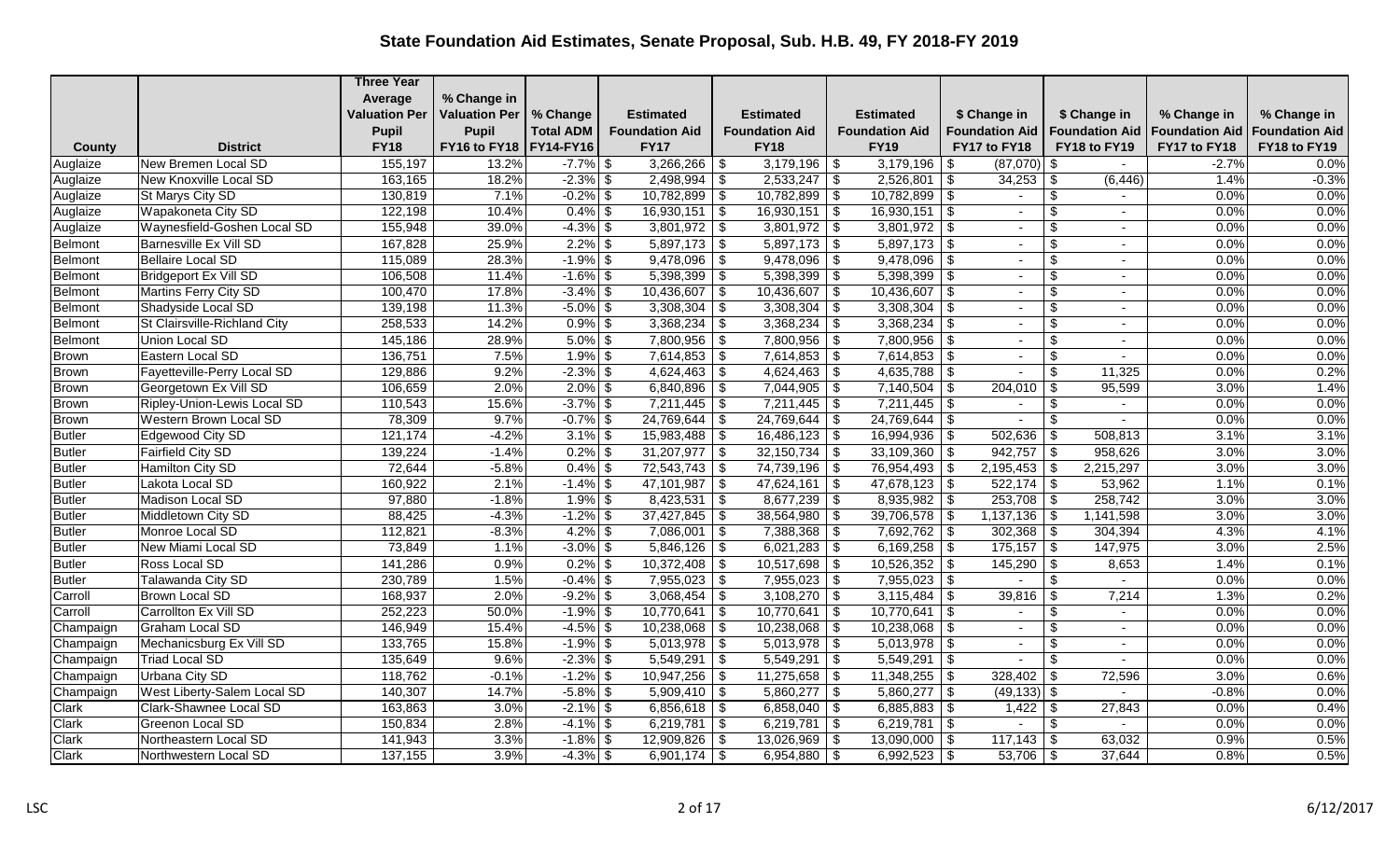|                |                               | <b>Three Year</b>    |                          |                  |                             |                                               |                                 |                                 |                                                       |                       |                       |
|----------------|-------------------------------|----------------------|--------------------------|------------------|-----------------------------|-----------------------------------------------|---------------------------------|---------------------------------|-------------------------------------------------------|-----------------------|-----------------------|
|                |                               | Average              | % Change in              |                  |                             |                                               |                                 |                                 |                                                       |                       |                       |
|                |                               | <b>Valuation Per</b> | <b>Valuation Per</b>     | % Change         | <b>Estimated</b>            | <b>Estimated</b>                              | <b>Estimated</b>                | \$ Change in                    | \$ Change in                                          | % Change in           | % Change in           |
|                |                               | <b>Pupil</b>         | <b>Pupil</b>             | <b>Total ADM</b> | <b>Foundation Aid</b>       | <b>Foundation Aid</b>                         | <b>Foundation Aid</b>           | <b>Foundation Aid</b>           | <b>Foundation Aid</b>                                 | <b>Foundation Aid</b> | <b>Foundation Aid</b> |
| County         | <b>District</b>               | <b>FY18</b>          | FY16 to FY18   FY14-FY16 |                  | <b>FY17</b>                 | <b>FY18</b>                                   | <b>FY19</b>                     | FY17 to FY18                    | FY18 to FY19                                          | FY17 to FY18          | FY18 to FY19          |
| Auglaize       | New Bremen Local SD           | 155,197              | 13.2%                    | $-7.7\%$ \$      | $3,266,266$ \ \$            | $3,179,196$ \\$                               | 3,179,196                       | $(87,070)$ \$<br>\$             |                                                       | $-2.7%$               | 0.0%                  |
| Auglaize       | New Knoxville Local SD        | 163,165              | 18.2%                    | $-2.3\%$ \$      | $2,498,994$ \$              | $2,533,247$ \$                                | 2,526,801                       | \$                              | (6, 446)                                              | 1.4%                  | $-0.3%$               |
| Auglaize       | St Marys City SD              | 130,819              | 7.1%                     | $-0.2\%$ \$      | $10,782,899$ \$             | $10,782,899$ \$                               | $10,782,899$ \$                 | $\overline{\phantom{a}}$        | \$                                                    | 0.0%                  | 0.0%                  |
| Auglaize       | Wapakoneta City SD            | 122,198              | 10.4%                    | $0.4\%$ \$       | $16,930,151$ \$             | 16,930,151                                    | $\sqrt{3}$<br>16,930,151        | $\frac{1}{3}$<br>$\sim$         | $\frac{1}{2}$<br>$\sim$                               | 0.0%                  | 0.0%                  |
| Auglaize       | Waynesfield-Goshen Local SD   | 155,948              | 39.0%                    | $-4.3\%$ \$      | $3,801,972$ \$              | $3,801,972$ \$                                | 3,801,972                       | \$<br>$\sim$                    | \$                                                    | 0.0%                  | 0.0%                  |
| Belmont        | Barnesville Ex Vill SD        | 167,828              | 25.9%                    | $2.2\%$ \$       | $5,897,173$ \$              | $5,897,173$ \$                                | $5,897,173$ \$                  | $\sim$                          | \$                                                    | 0.0%                  | 0.0%                  |
| <b>Belmont</b> | Bellaire Local SD             | 115,089              | 28.3%                    | $-1.9\%$ \$      | $9,478,096$ \$              | $9,478,096$ \$                                | 9,478,096                       | - \$<br>$\sim$                  | \$                                                    | 0.0%                  | 0.0%                  |
| <b>Belmont</b> | Bridgeport Ex Vill SD         | 106,508              | 11.4%                    | $-1.6\%$ \$      | $5,398,399$ \$              | 5,398,399                                     | $\sqrt{s}$<br>5,398,399         | -\$<br>$\sim$                   | $\boldsymbol{\mathsf{S}}$<br>$\overline{\phantom{0}}$ | 0.0%                  | 0.0%                  |
| Belmont        | Martins Ferry City SD         | 100,470              | 17.8%                    | $-3.4\%$ \$      | 10,436,607                  | \$<br>10,436,607                              | $\sqrt{3}$<br>10,436,607        | \$<br>$\sim$                    | \$<br>$\sim$                                          | 0.0%                  | 0.0%                  |
| Belmont        | Shadyside Local SD            | 139,198              | 11.3%                    | $-5.0\%$ \$      | $3,308,304$ \$              | 3,308,304                                     | 3,308,304<br>$\vert$ \$         | -\$<br>$\overline{\phantom{a}}$ | \$<br>$\overline{\phantom{0}}$                        | 0.0%                  | 0.0%                  |
| <b>Belmont</b> | St Clairsville-Richland City  | 258,533              | 14.2%                    | $0.9\%$ \$       | $3,368,234$ \$              | $3,368,234$ \$                                | 3,368,234                       | \$<br>$\blacksquare$            | \$                                                    | 0.0%                  | 0.0%                  |
| Belmont        | Union Local SD                | 145,186              | 28.9%                    | $5.0\%$ \$       | $7,800,956$ \$              | 7,800,956                                     | $\sqrt{s}$<br>7,800,956         | \$                              | \$                                                    | 0.0%                  | 0.0%                  |
| <b>Brown</b>   | Eastern Local SD              | 136,751              | 7.5%                     | $1.9\%$ \$       | $7,614,853$ \$              | $7,614,853$ \$                                | 7,614,853                       | l \$<br>$\sim$                  | \$<br>$\sim$                                          | 0.0%                  | 0.0%                  |
| <b>Brown</b>   | Fayetteville-Perry Local SD   | 129,886              | 9.2%                     | $-2.3\%$ \$      | $4,624,463$ \$              | $4,624,463$ \$                                | $4,635,788$ \$                  |                                 | $\boldsymbol{\mathsf{S}}$<br>11,325                   | 0.0%                  | 0.2%                  |
| <b>Brown</b>   | Georgetown Ex Vill SD         | 106,659              | 2.0%                     | $2.0\%$ \$       | $6,840,896$ \$              | $7,044,905$ \$                                | 7,140,504                       | $204,010$ \$<br>- \$            | 95,599                                                | 3.0%                  | 1.4%                  |
| <b>Brown</b>   | Ripley-Union-Lewis Local SD   | 110,543              | 15.6%                    | $-3.7\%$ \$      | 7,211,445                   | $\overline{\boldsymbol{\theta}}$<br>7,211,445 | $\sqrt{3}$<br>7,211,445         | \$                              | \$                                                    | 0.0%                  | 0.0%                  |
| Brown          | <b>Western Brown Local SD</b> | 78,309               | 9.7%                     | $-0.7\%$ \$      | $24,769,644$ \$             | $24,769,644$ \ \$                             | 24,769,644                      | - \$<br>$\sim$                  | $\boldsymbol{\mathsf{S}}$                             | 0.0%                  | 0.0%                  |
| <b>Butler</b>  | Edgewood City SD              | 121,174              | $-4.2%$                  | $3.1\%$ \$       | $15,983,488$ \ \$           | $16,486,123$ \ \$                             | 16,994,936                      | $502,636$ \ \$<br>-\$           | 508,813                                               | 3.1%                  | 3.1%                  |
| <b>Butler</b>  | Fairfield City SD             | 139,224              | $-1.4%$                  | $0.2\%$ \$       | $31,207,977$ \\$            | 32,150,734                                    | $\vert$ \$<br>$33,109,360$ \ \$ | $942,757$ \ \$                  | 958,626                                               | 3.0%                  | 3.0%                  |
| <b>Butler</b>  | Hamilton City SD              | 72,644               | $-5.8%$                  | $0.4\%$ \$       | $72,543,743$ \$             | 74,739,196                                    | $\sqrt{s}$<br>76,954,493        | $2,195,453$ \$<br>- \$          | 2,215,297                                             | 3.0%                  | 3.0%                  |
| <b>Butler</b>  | Lakota Local SD               | 160,922              | 2.1%                     | $-1.4\%$ \$      | 47,101,987 \$               | 47,624,161                                    | $47,678,123$ \$<br>  \$         |                                 | 53,962                                                | 1.1%                  | 0.1%                  |
| <b>Butler</b>  | Madison Local SD              | 97,880               | $-1.8%$                  | $1.9\%$ \$       | $8,423,531$ \$              | $8,677,239$ \$                                | 8,935,982                       | -\$<br>$253,708$ \$             | 258,742                                               | 3.0%                  | 3.0%                  |
| <b>Butler</b>  | Middletown City SD            | 88,425               | $-4.3%$                  | $-1.2%$          | $\sqrt[6]{3}$<br>37,427,845 | 38,564,980<br>\$                              | 39,706,578<br>$\vert$ \$        | $1,137,136$ \$<br>- \$          | 1,141,598                                             | 3.0%                  | 3.0%                  |
| <b>Butler</b>  | Monroe Local SD               | 112,821              | $-8.3%$                  | $4.2\%$ \$       | $7,086,001$ \$              | $7,388,368$ \$                                | $7,692,762$ \$                  | $302,368$ \$                    | 304,394                                               | 4.3%                  | 4.1%                  |
| <b>Butler</b>  | New Miami Local SD            | 73,849               | 1.1%                     | $-3.0\%$ \$      | $5,846,126$ \$              | $6,021,283$ \$                                | $6,169,258$ \$                  | $175,157$ \$                    | 147,975                                               | 3.0%                  | 2.5%                  |
| <b>Butler</b>  | Ross Local SD                 | 141,286              | 0.9%                     | $0.2\%$ \$       | $10,372,408$ \$             | $10,517,698$ \$                               | $10,526,352$ \$                 | $145,290$ \ \$                  | 8,653                                                 | 1.4%                  | 0.1%                  |
| <b>Butler</b>  | Talawanda City SD             | 230,789              | 1.5%                     | $-0.4\%$ \$      | $7,955,023$ \$              | 7,955,023                                     | 7,955,023<br>$\sqrt{s}$         | -\$                             | \$                                                    | 0.0%                  | 0.0%                  |
| Carroll        | Brown Local SD                | 168,937              | 2.0%                     | $-9.2\%$ \$      | $3,068,454$ \$              | $3,108,270$ \$                                | 3,115,484                       | 39,816<br>- \$                  | \$<br>7,214                                           | 1.3%                  | 0.2%                  |
| Carroll        | Carrollton Ex Vill SD         | 252,223              | 50.0%                    | $-1.9\%$ \$      | 10,770,641                  | \$<br>10,770,641                              | 10,770,641<br>l \$              | -\$<br>$\sim$                   | \$<br>$\sim$                                          | 0.0%                  | 0.0%                  |
| Champaign      | Graham Local SD               | 146,949              | 15.4%                    | $-4.5\%$ \$      | $10,238,068$ \ \$           | 10,238,068                                    | $\vert$ \$<br>$10,238,068$   \$ | $\overline{a}$                  | \$<br>$\overline{a}$                                  | 0.0%                  | 0.0%                  |
| Champaign      | Mechanicsburg Ex Vill SD      | 133,765              | 15.8%                    | $-1.9\%$ \$      | $5,013,978$ \$              | $5,013,978$ \$                                | 5,013,978                       | \$<br>$\sim$                    | \$                                                    | 0.0%                  | 0.0%                  |
| Champaign      | Triad Local SD                | 135,649              | 9.6%                     | $-2.3\%$ \$      | $5,549,291$ \$              | 5,549,291                                     | 5,549,291<br>l \$               | -\$<br>$\blacksquare$           | \$                                                    | 0.0%                  | 0.0%                  |
| Champaign      | Urbana City SD                | 118,762              | $-0.1%$                  | $-1.2\%$ \$      | $10,947,256$ \$             | $11,275,658$ \ \$                             | 11,348,255                      | $328,402$ \$<br>\$              | 72,596                                                | 3.0%                  | 0.6%                  |
| Champaign      | West Liberty-Salem Local SD   | 140,307              | 14.7%                    | $-5.8\%$ \$      | $5,909,410$ \$              | 5,860,277                                     | $\vert$ \$<br>5,860,277         | $(49, 133)$ \$<br>-\$           |                                                       | $-0.8%$               | 0.0%                  |
| Clark          | Clark-Shawnee Local SD        | 163,863              | 3.0%                     | $-2.1\%$ \$      | $6,856,618$ \$              | $6,858,040$ \$                                | $6,885,883$ \$                  |                                 | 27,843                                                | 0.0%                  | 0.4%                  |
| Clark          | Greenon Local SD              | 150,834              | 2.8%                     | $-4.1\%$ \$      | $6,219,781$ \$              | 6,219,781                                     | $6,219,781$ \$<br>$\vert$ \$    |                                 | -\$                                                   | 0.0%                  | 0.0%                  |
| Clark          | Northeastern Local SD         | 141,943              | 3.3%                     | $-1.8\%$ \$      | $12,909,826$ \$             | $13,026,969$ \\$                              | $13,090,000$ \$                 |                                 | 63,032                                                | 0.9%                  | 0.5%                  |
| Clark          | Northwestern Local SD         | 137,155              | 3.9%                     | $-4.3\%$ \$      | 6,901,174                   | \$<br>6,954,880 $\sqrt{5}$                    | 6,992,523                       | $53,706$ \\$<br>- \$            | 37,644                                                | 0.8%                  | 0.5%                  |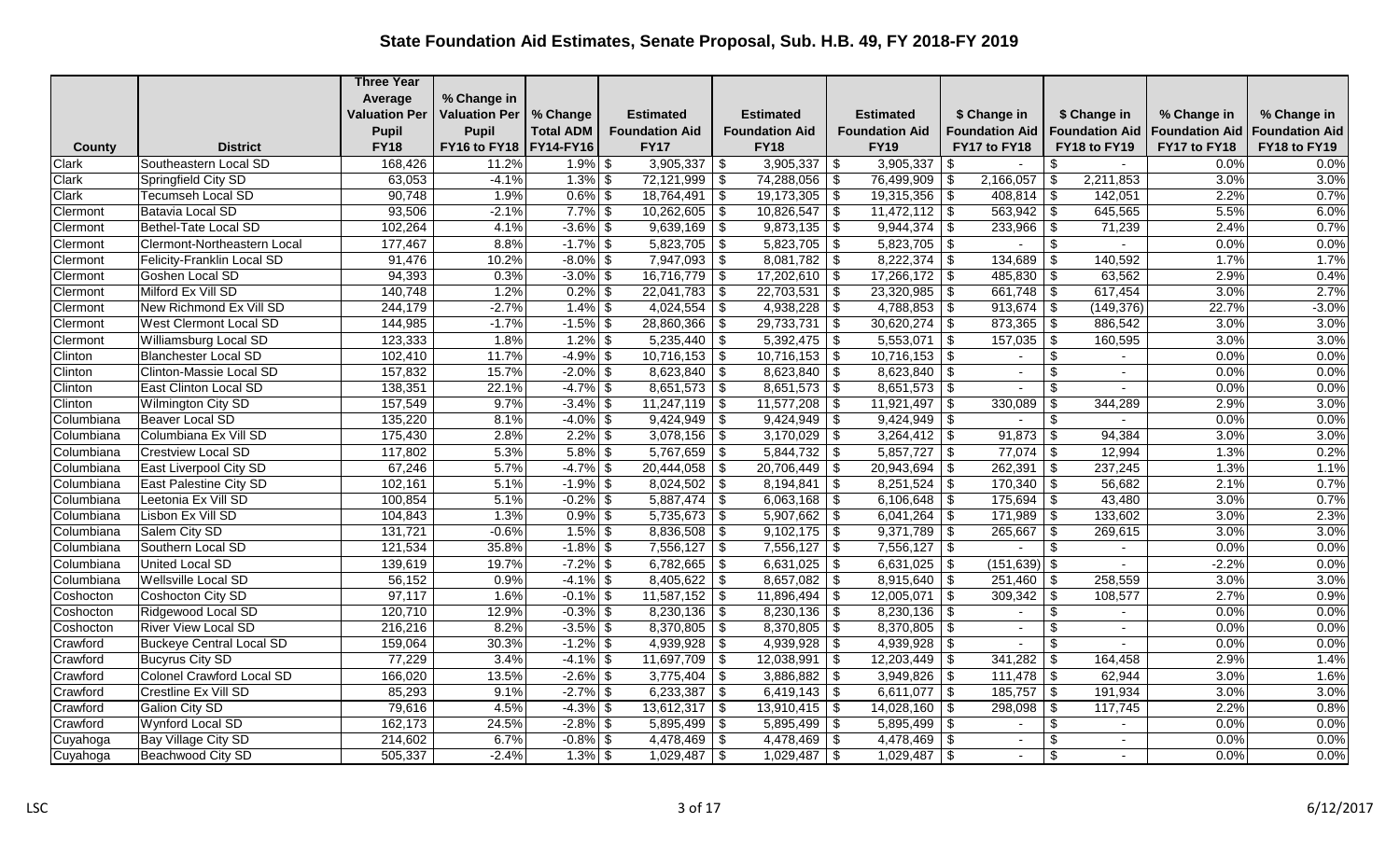|              |                                 | <b>Three Year</b>    |                          |                  |                       |                           |                              |                                 |                                    |                       |                       |
|--------------|---------------------------------|----------------------|--------------------------|------------------|-----------------------|---------------------------|------------------------------|---------------------------------|------------------------------------|-----------------------|-----------------------|
|              |                                 | Average              | % Change in              |                  |                       |                           |                              |                                 |                                    |                       |                       |
|              |                                 | <b>Valuation Per</b> | <b>Valuation Per</b>     | % Change         | <b>Estimated</b>      | <b>Estimated</b>          | <b>Estimated</b>             | \$ Change in                    | \$ Change in                       | % Change in           | % Change in           |
|              |                                 | <b>Pupil</b>         | <b>Pupil</b>             | <b>Total ADM</b> | <b>Foundation Aid</b> | <b>Foundation Aid</b>     | <b>Foundation Aid</b>        | <b>Foundation Aid</b>           | <b>Foundation Aid</b>              | <b>Foundation Aid</b> | <b>Foundation Aid</b> |
| County       | <b>District</b>                 | <b>FY18</b>          | FY16 to FY18   FY14-FY16 |                  | <b>FY17</b>           | <b>FY18</b>               | <b>FY19</b>                  | FY17 to FY18                    | FY18 to FY19                       | FY17 to FY18          | FY18 to FY19          |
| <b>Clark</b> | Southeastern Local SD           | 168,426              | 11.2%                    | $1.9\%$ \$       | $3,905,337$ \$        | 3,905,337                 | 3,905,337<br>  \$            | - \$<br>$\sim$                  | \$                                 | 0.0%                  | 0.0%                  |
| Clark        | Springfield City SD             | 63,053               | $-4.1%$                  | $1.3\%$ \$       | $72,121,999$ \$       | $74,288,056$ \$           | 76,499,909                   | 2,166,057<br>\$                 | 2,211,853<br>-\$                   | 3.0%                  | 3.0%                  |
| Clark        | Tecumseh Local SD               | 90,748               | 1.9%                     | $0.6\%$ \$       | $18,764,491$ \\$      | $19,173,305$ \$           | 19,315,356                   | -\$<br>$408,814$ \\$            | 142,051                            | 2.2%                  | 0.7%                  |
| Clermont     | Batavia Local SD                | 93,506               | $-2.1%$                  | $7.7\%$ \$       | $10,262,605$ \$       | $10,826,547$ \$           | $11,472,112$ \$              | $563,942$ \\$                   | 645,565                            | 5.5%                  | 6.0%                  |
| Clermont     | <b>Bethel-Tate Local SD</b>     | 102,264              | 4.1%                     | $-3.6\%$ \$      | $9,639,169$ \$        | $9,873,135$ \$            | 9,944,374                    | $233,966$ \ \$<br>\$            | 71,239                             | 2.4%                  | 0.7%                  |
| Clermont     | Clermont-Northeastern Local     | 177,467              | 8.8%                     | $-1.7\%$ \$      | $5,823,705$ \$        | $5,823,705$ \$            | $5,823,705$ \$               | $\sim$                          | $\sqrt[6]{3}$<br>$\sim$            | 0.0%                  | 0.0%                  |
| Clermont     | Felicity-Franklin Local SD      | 91,476               | 10.2%                    | $-8.0\%$ \$      | $7,947,093$ \$        | $8,081,782$ \$            | 8,222,374                    | $134,689$ \$<br>-\$             | 140,592                            | 1.7%                  | 1.7%                  |
| Clermont     | Goshen Local SD                 | 94,393               | 0.3%                     | $-3.0\%$ \$      | $16,716,779$ \$       | $17,202,610$ \$           | $17,266,172$ \$              | $485,830$ \$                    | 63,562                             | 2.9%                  | 0.4%                  |
| Clermont     | Milford Ex Vill SD              | 140,748              | 1.2%                     | $0.2\%$ \$       | $22,041,783$ \$       | 22,703,531                | 23,320,985<br>$\vert$ \$     | \$                              | 617,454                            | 3.0%                  | 2.7%                  |
| Clermont     | New Richmond Ex Vill SD         | 244,179              | $-2.7%$                  | $1.4\%$ \$       | $4,024,554$ \$        | $4,938,228$ \$            | $4,788,853$ \$               | $913,674$ \$                    | (149, 376)                         | 22.7%                 | $-3.0%$               |
| Clermont     | West Clermont Local SD          | 144,985              | $-1.7%$                  | $-1.5\%$ \$      | 28,860,366 \$         | $29,733,731$ \$           | 30,620,274                   | \$<br>$873,365$ \$              | 886,542                            | 3.0%                  | 3.0%                  |
| Clermont     | Williamsburg Local SD           | 123,333              | 1.8%                     | $1.2\%$ \$       | $5,235,440$ \$        | $5,392,475$ \$            | 5,553,071                    | -\$<br>$157,035$   \$           | 160,595                            | 3.0%                  | 3.0%                  |
| Clinton      | <b>Blanchester Local SD</b>     | 102,410              | 11.7%                    | $-4.9\%$ \$      | $10,716,153$ \$       | $10,716,153$ \$           | $10,716,153$ \$              | $\sim$                          | $\sqrt[6]{3}$<br>$\sim$            | 0.0%                  | 0.0%                  |
| Clinton      | Clinton-Massie Local SD         | 157,832              | 15.7%                    | $-2.0\%$ \$      | $8,623,840$ \$        | $8,623,840$ \$            | 8,623,840                    | -\$<br>$\blacksquare$           | \$                                 | 0.0%                  | 0.0%                  |
| Clinton      | East Clinton Local SD           | 138,351              | 22.1%                    | $-4.7\%$ \$      | $8,651,573$ \$        | $8,651,573$ \$            | $8,651,573$ \$               | $\blacksquare$                  | $\sqrt[6]{\frac{1}{2}}$            | 0.0%                  | 0.0%                  |
| Clinton      | Wilmington City SD              | 157,549              | 9.7%                     | $-3.4\%$ \$      | $11,247,119$ \$       |                           | 11,921,497                   | 330,089<br>\$.                  | \$<br>344,289                      | 2.9%                  | 3.0%                  |
| Columbiana   | Beaver Local SD                 | 135,220              | 8.1%                     | $-4.0\%$ \$      | $9,424,949$ \$        | $9,424,949$ \$            | $9,424,949$ \$               | $\sim$                          | $\overline{\mathcal{F}}$<br>$\sim$ | 0.0%                  | 0.0%                  |
| Columbiana   | Columbiana Ex Vill SD           | 175,430              | 2.8%                     | $2.2\%$ \$       | $3,078,156$ \$        | $3,170,029$ \$            | 3,264,412                    | $91,873$ \$<br>-\$              | 94,384                             | 3.0%                  | 3.0%                  |
| Columbiana   | Crestview Local SD              | 117,802              | 5.3%                     | $5.8\%$ \$       | $5,767,659$ \$        |                           | $5,857,727$ \\$              | $77,074$ \ \$                   | 12,994                             | 1.3%                  | 0.2%                  |
| Columbiana   | East Liverpool City SD          | 67,246               | 5.7%                     | $-4.7\%$ \$      | $20,444,058$ \\$      | $20,706,449$ \$           | 20,943,694                   | -\$                             | 237,245                            | 1.3%                  | 1.1%                  |
| Columbiana   | East Palestine City SD          | 102,161              | 5.1%                     | $-1.9\%$ \$      | $8,024,502$ \$        | 8,194,841                 | $8,251,524$ \$<br>$\vert$ \$ | $170,340$ \$                    | 56,682                             | 2.1%                  | 0.7%                  |
| Columbiana   | Leetonia Ex Vill SD             | 100,854              | 5.1%                     | $-0.2\%$ \$      | $5,887,474$ \$        | $6,063,168$ \$            | 6,106,648                    | \$<br>$175,694$ \\$             | 43,480                             | 3.0%                  | 0.7%                  |
| Columbiana   | Lisbon Ex Vill SD               | 104,843              | 1.3%                     | $0.9\%$ \$       | $5,735,673$ \$        | $5,907,662$ \$            | 6,041,264                    | $171,989$ \$<br>-\$             | 133,602                            | 3.0%                  | 2.3%                  |
| Columbiana   | Salem City SD                   | 131,721              | $-0.6%$                  | $1.5\%$ \$       | $8,836,508$ \$        | $9,102,175$ \$            | $9,371,789$ \$               | $265,667$ \ \$                  | 269,615                            | 3.0%                  | 3.0%                  |
| Columbiana   | Southern Local SD               | 121,534              | 35.8%                    | $-1.8\%$ \$      | $7,556,127$ \$        | $7,556,127$ \$            | $7,556,127$ \\$              |                                 | \$                                 | 0.0%                  | 0.0%                  |
| Columbiana   | United Local SD                 | 139,619              | 19.7%                    | $-7.2\%$ \$      | $6,782,665$ \$        | $6,631,025$ \$            | $6,631,025$ \\$              | $(151, 639)$ \$                 | $\sim$                             | $-2.2%$               | 0.0%                  |
| Columbiana   | Wellsville Local SD             | 56,152               | 0.9%                     | $-4.1\%$ \$      | $8,405,622$ \$        | $8,657,082$ \$            | 8,915,640                    | - \$<br>$251,460$ \ \$          | 258,559                            | 3.0%                  | 3.0%                  |
| Coshocton    | Coshocton City SD               | 97,117               | 1.6%                     | $-0.1\%$ \$      | $11,587,152$ \$       | $11,896,494$ \$           | $12,005,071$ \$              | $309,342$ \$                    | 108,577                            | 2.7%                  | 0.9%                  |
| Coshocton    | Ridgewood Local SD              | 120,710              | 12.9%                    | $-0.3\%$ \$      | $8,230,136$ \$        | $8,230,136$ \$            | 8,230,136                    | \$<br>$\blacksquare$            | \$                                 | 0.0%                  | 0.0%                  |
| Coshocton    | <b>River View Local SD</b>      | 216,216              | 8.2%                     | $-3.5\%$ \$      | $8,370,805$ \$        | $8,370,805$ \$            | 8,370,805                    | -\$<br>$\overline{\phantom{a}}$ | $\boldsymbol{\theta}$              | 0.0%                  | 0.0%                  |
| Crawford     | <b>Buckeye Central Local SD</b> | 159,064              | 30.3%                    | $-1.2\%$ \$      | $4,939,928$ \$        | $4,939,928$ \$            | 4,939,928                    | -\$<br>$\blacksquare$           | $\overline{\boldsymbol{\theta}}$   | 0.0%                  | 0.0%                  |
| Crawford     | <b>Bucyrus City SD</b>          | 77,229               | 3.4%                     | $-4.1\%$ \$      | $11,697,709$ \\$      | 12,038,991                | l \$<br>12,203,449           | \$                              | 164,458                            | 2.9%                  | 1.4%                  |
| Crawford     | Colonel Crawford Local SD       | 166,020              | 13.5%                    | $-2.6\%$ \$      | $3,775,404$ \$        | $3,886,882$ \$            | 3,949,826                    | \$                              | 62,944                             | 3.0%                  | 1.6%                  |
| Crawford     | Crestline Ex Vill SD            | 85,293               | 9.1%                     | $-2.7\%$ \$      | $6,233,387$ \$        |                           | $6,611,077$ \\$              | $185,757$ \ \$                  | 191,934                            | 3.0%                  | 3.0%                  |
| Crawford     | <b>Galion City SD</b>           | 79,616               | 4.5%                     | $-4.3\%$ \$      | $13,612,317$ \$       | $13,910,415$ \$           | $14,028,160$ \\$             | $298,098$ \ \$                  | 117,745                            | 2.2%                  | 0.8%                  |
| Crawford     | Wynford Local SD                | 162,173              | 24.5%                    | $-2.8\%$ \$      | $5,895,499$ \$        | $5,895,499$ \$            | 5,895,499                    | \$<br>$\blacksquare$            | \$                                 | 0.0%                  | 0.0%                  |
| Cuyahoga     | Bay Village City SD             | 214,602              | 6.7%                     | $-0.8\%$ \$      | $4,478,469$ \\$       | $4,478,\overline{469}$ \$ | $4,478,469$ \\$              | $\sim$                          | \$<br>$\sim$                       | 0.0%                  | 0.0%                  |
| Cuyahoga     | Beachwood City SD               | 505,337              | $-2.4%$                  | $1.3\%$ \$       | $1,029,487$ \$        | $1,029,487$ \$            |                              | $\blacksquare$                  | \$                                 | 0.0%                  | 0.0%                  |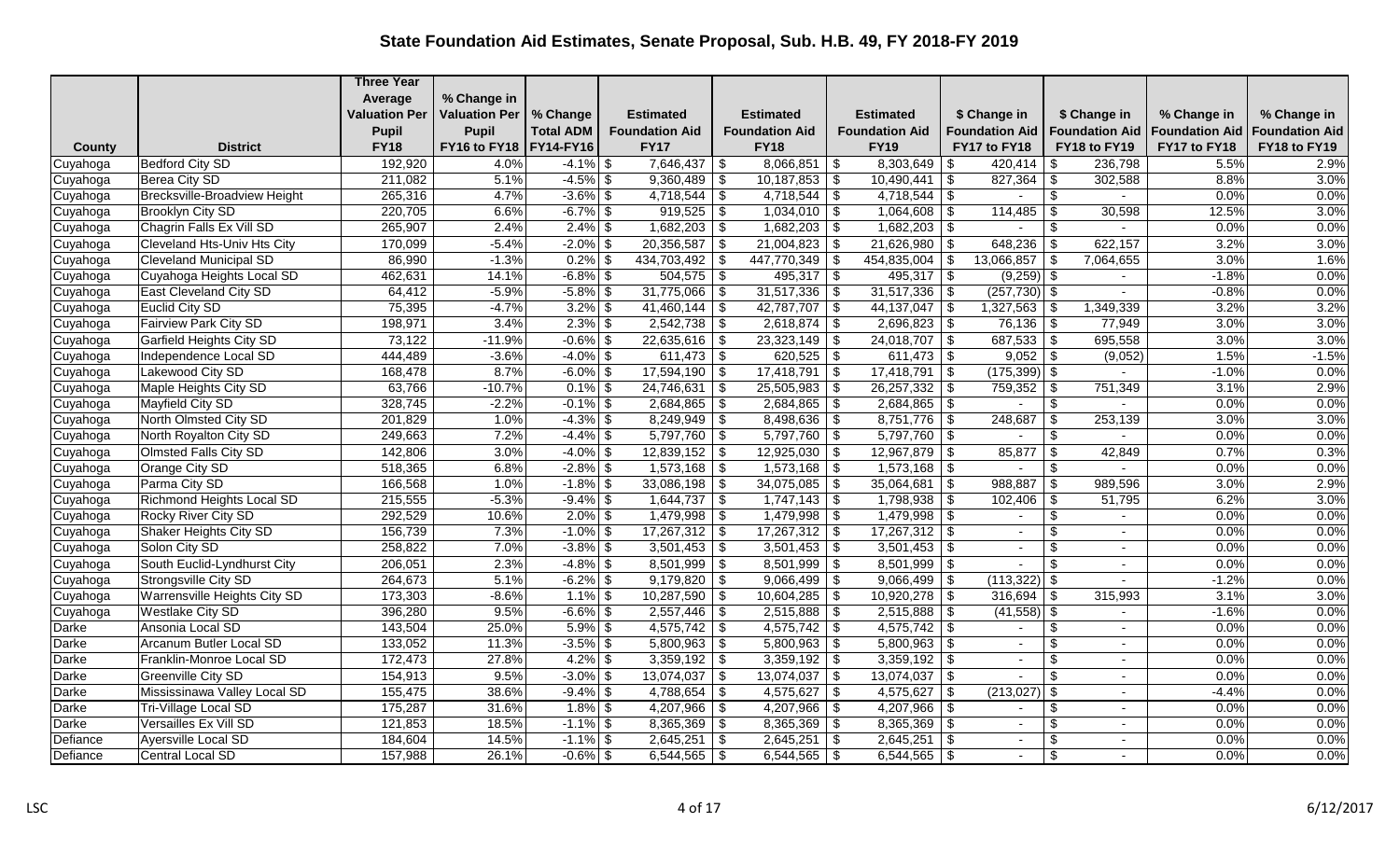|          |                                     | <b>Three Year</b>    |                          |                   |                       |                                               |                                          |                              |                                                       |                       |                       |
|----------|-------------------------------------|----------------------|--------------------------|-------------------|-----------------------|-----------------------------------------------|------------------------------------------|------------------------------|-------------------------------------------------------|-----------------------|-----------------------|
|          |                                     | Average              | % Change in              |                   |                       |                                               |                                          |                              |                                                       |                       |                       |
|          |                                     | <b>Valuation Per</b> | <b>Valuation Per</b>     | % Change          | <b>Estimated</b>      | <b>Estimated</b>                              | <b>Estimated</b>                         | \$ Change in                 | \$ Change in                                          | % Change in           | % Change in           |
|          |                                     | <b>Pupil</b>         | <b>Pupil</b>             | <b>Total ADM</b>  | <b>Foundation Aid</b> | <b>Foundation Aid</b>                         | <b>Foundation Aid</b>                    | <b>Foundation Aid</b>        | <b>Foundation Aid</b>                                 | <b>Foundation Aid</b> | <b>Foundation Aid</b> |
| County   | <b>District</b>                     | <b>FY18</b>          | FY16 to FY18   FY14-FY16 |                   | <b>FY17</b>           | <b>FY18</b>                                   | <b>FY19</b>                              | FY17 to FY18                 | FY18 to FY19                                          | FY17 to FY18          | FY18 to FY19          |
| Cuyahoga | <b>Bedford City SD</b>              | 192,920              | 4.0%                     | $-4.1\%$ \$       | $7,646,437$ \$        | 8,066,851                                     | 8,303,649<br>  \$                        | 420,414<br>- \$              | 236,798<br>l \$                                       | 5.5%                  | 2.9%                  |
| Cuyahoga | Berea City SD                       | 211,082              | 5.1%                     | $-4.5\%$ \$       | $9,360,489$ \$        | $10,187,853$ \$                               | 10,490,441                               | \$                           | 302,588                                               | 8.8%                  | 3.0%                  |
| Cuyahoga | Brecksville-Broadview Height        | 265,316              | 4.7%                     | $-3.6\%$ \$       | $4,718,544$ \$        | $4,718,544$ \\$                               | $4,718,544$ \\$                          |                              | $\frac{1}{2}$                                         | 0.0%                  | 0.0%                  |
| Cuyahoga | <b>Brooklyn City SD</b>             | 220,705              | 6.6%                     | $-6.7\%$ \$       | $919,525$ \$          | $1,034,010$ \$                                | $1,064,608$ \$                           |                              | 30,598                                                | 12.5%                 | 3.0%                  |
| Cuyahoga | Chagrin Falls Ex Vill SD            | 265,907              | 2.4%                     | $2.4\%$ \$        | $1,682,203$ \$        | $1,682,203$ \$                                | 1,682,203                                | -\$                          | \$                                                    | 0.0%                  | 0.0%                  |
| Cuyahoga | <b>Cleveland Hts-Univ Hts City</b>  | 170,099              | $-5.4%$                  | $-2.0\%$ \$       | $20,356,587$ \$       | 21,004,823                                    | $21,626,980$ \$<br>$\vert$ \$            | 648,236                      | 622,157<br>  \$                                       | 3.2%                  | 3.0%                  |
| Cuyahoga | <b>Cleveland Municipal SD</b>       | 86,990               | $-1.3%$                  | 0.2%              | \$<br>434,703,492 \$  | 447,770,349                                   | \$<br>454,835,004                        | 13,066,857                   | - \$<br>7,064,655                                     | 3.0%                  | 1.6%                  |
| Cuyahoga | Cuyahoga Heights Local SD           | 462,631              | 14.1%                    | $-6.8\%$ \$       | $504,575$ \$          | 495,317                                       | $\vert$ \$<br>$495,317$ \$               | $(9,259)$ \$                 |                                                       | $-1.8%$               | 0.0%                  |
| Cuyahoga | <b>East Cleveland City SD</b>       | 64,412               | $-5.9%$                  | $-5.8\%$ \$       | $31,775,066$ \$       | $31,517,336$ \$                               | 31,517,336                               | $(257, 730)$ \$<br>-\$       | $\sim$                                                | $-0.8%$               | 0.0%                  |
| Cuyahoga | Euclid City SD                      | 75,395               | $-4.7%$                  | $3.2\%$ \$        | $41,460,144$ \$       | 42,787,707                                    | 44,137,047<br>$\vert$ \$                 | $1,327,563$ \$<br>-\$        | 1,349,339                                             | 3.2%                  | 3.2%                  |
| Cuyahoga | <b>Fairview Park City SD</b>        | 198,971              | 3.4%                     | $2.3\%$ \$        | $2,542,738$ \$        | $2,618,874$ \$                                | $2,696,823$ \$                           | $76,136$ \$                  | 77,949                                                | 3.0%                  | 3.0%                  |
| Cuyahoga | Garfield Heights City SD            | 73,122               | $-11.9%$                 | $-0.6\sqrt{8}$ \$ | $22,635,616$ \$       | 23,323,149                                    | $\vert$ \$<br>$24,018,707$ \\$           | $687,533$ \$                 | 695,558                                               | 3.0%                  | 3.0%                  |
| Cuyahoga | Independence Local SD               | 444,489              | $-3.6%$                  | $-4.0\%$ \$       | $611,473$ \$          | $620,525$ \$                                  | $611,473$ \$                             | $9,052$ \$                   | (9,052)                                               | 1.5%                  | $-1.5%$               |
| Cuyahoga | Lakewood City SD                    | 168,478              | 8.7%                     | $-6.0\%$ \$       | $17,594,190$ \$       | 17,418,791                                    | $\vert$ \$<br>17,418,791                 | $(175,399)$ \$<br>l \$       |                                                       | $-1.0%$               | 0.0%                  |
| Cuyahoga | Maple Heights City SD               | 63,766               | $-10.7%$                 | $0.1\%$ \$        | $24,746,631$ \$       | 25,505,983                                    | $\sqrt{s}$<br>26,257,332                 | -\$<br>$759,352$ \$          | 751,349                                               | 3.1%                  | 2.9%                  |
| Cuyahoga | Mayfield City SD                    | 328,745              | $-2.2%$                  | $-0.1\sqrt{8}$ \$ | $2,684,865$ \$        | 2,684,865                                     | $\sqrt{3}$<br>2,684,865                  | -\$                          | $\overline{\mathbf{s}}$                               | 0.0%                  | 0.0%                  |
| Cuyahoga | North Olmsted City SD               | 201,829              | 1.0%                     | $-4.3\%$ \$       | $8,249,949$ \$        | $8,498,636$ \$                                | $8,751,776$ \\$                          | 248,687                      | \$<br>253,139                                         | 3.0%                  | 3.0%                  |
| Cuyahoga | North Royalton City SD              | 249,663              | 7.2%                     | $-4.4\%$ \$       | $5,797,760$ \$        | $5,797,760$ \$                                | $5,797,760$ \\$                          |                              | \$                                                    | 0.0%                  | 0.0%                  |
| Cuyahoga | Olmsted Falls City SD               | 142,806              | 3.0%                     | $-4.0\%$ \$       | $12,839,152$ \$       | $12,925,030$ \ \$                             | $12,967,879$ \\$                         | 85,877                       | \$<br>42,849                                          | 0.7%                  | 0.3%                  |
| Cuyahoga | Orange City SD                      | 518,365              | 6.8%                     | $-2.8\%$ \$       | $1,573,168$ \$        | $1,573,168$ \$                                | $1,573,168$ \\$                          |                              | $\boldsymbol{\mathsf{S}}$                             | 0.0%                  | 0.0%                  |
| Cuyahoga | Parma City SD                       | 166,568              | 1.0%                     | $-1.8\%$ \$       | $33,086,198$ \$       | 34,075,085                                    | 35,064,681<br>$\vert$ \$                 | 988,887<br>-\$               | 989,596<br>\$                                         | 3.0%                  | 2.9%                  |
| Cuyahoga | Richmond Heights Local SD           | 215,555              | $-5.3%$                  | $-9.4\%$ \$       | $1,644,737$ \$        | $1,747,143$ \$                                | 1,798,938                                | $102,406$ \ \$<br>\$         | 51,795                                                | 6.2%                  | 3.0%                  |
| Cuyahoga | Rocky River City SD                 | 292,529              | 10.6%                    | $2.0\%$ \$        | $1,479,998$ \$        | $1,479,998$ \$                                | 1,479,998                                | \$<br>$\blacksquare$         | \$                                                    | 0.0%                  | 0.0%                  |
| Cuyahoga | Shaker Heights City SD              | 156,739              | 7.3%                     | $-1.0\%$ \$       | $17,267,312$ \$       | $17,267,312$ \$                               | $17,267,312$ \\$                         | $\sim$                       | \$<br>$\sim$                                          | 0.0%                  | 0.0%                  |
| Cuyahoga | Solon City SD                       | 258,822              | 7.0%                     | $-3.8\%$ \$       | $3,501,453$ \$        | $3,501,453$ \$                                | $3,501,453$ \$                           | $\blacksquare$               | -\$                                                   | 0.0%                  | 0.0%                  |
| Cuyahoga | South Euclid-Lyndhurst City         | 206,051              | 2.3%                     | $-4.8\%$ \$       | $8,501,999$ \$        | $8,501,999$ \$                                | $8,501,999$ \\$                          | $\sim$                       | \$                                                    | 0.0%                  | 0.0%                  |
| Cuyahoga | Strongsville City SD                | 264,673              | 5.1%                     | $-6.2\%$ \$       | 9,179,820             | $\overline{\boldsymbol{\theta}}$<br>9,066,499 | $\overline{\phantom{a}}$<br>9,066,499    | $(113, 322)$ \$<br>- \$      |                                                       | $-1.2%$               | 0.0%                  |
| Cuyahoga | <b>Warrensville Heights City SD</b> | 173,303              | $-8.6%$                  | $1.1\%$ \$        | $10,287,590$ \$       | 10,604,285                                    | $\overline{10,920,278}$ \$<br>$\vert$ \$ | 316,694                      | 315,993<br>l \$                                       | 3.1%                  | 3.0%                  |
| Cuyahoga | <b>Westlake City SD</b>             | 396,280              | 9.5%                     | $-6.6\%$ \$       | $2,557,446$ \$        | $2,515,888$ \$                                | 2,515,888                                | $(41,558)$ \$<br>-\$         | $\sim$                                                | $-1.6%$               | 0.0%                  |
| Darke    | Ansonia Local SD                    | 143,504              | 25.0%                    | $5.9\%$ \$        | $4,575,742$ \\$       | $4,575,742$ \$                                | $4,575,742$ \\$                          | $\overline{a}$               | $\frac{1}{2}$                                         | 0.0%                  | 0.0%                  |
| Darke    | Arcanum Butler Local SD             | 133,052              | 11.3%                    | $-3.5\%$ \$       | $5,800,963$ \$        | $5,800,963$ \$                                | 5,800,963                                | \$<br>$\sim$                 | \$                                                    | 0.0%                  | 0.0%                  |
| Darke    | Franklin-Monroe Local SD            | 172,473              | 27.8%                    | $4.2\%$ \$        | $3,359,192$ \$        | $3,359,192$ \$                                | $3,359,192$ \$                           | $\sim$                       | \$<br>$\sim$                                          | 0.0%                  | 0.0%                  |
| Darke    | <b>Greenville City SD</b>           | 154,913              | 9.5%                     | $-3.0\%$ \$       | $13,074,037$ \$       | $13,074,037$ \$                               | $13,074,037$ \\$                         |                              | $\boldsymbol{\mathsf{S}}$<br>$\overline{\phantom{0}}$ | 0.0%                  | 0.0%                  |
| Darke    | Mississinawa Valley Local SD        | 155,475              | 38.6%                    | $-9.4\%$ \$       | $4,788,654$ \$        | 4,575,627                                     | \$<br>4,575,627                          | \$<br>$(213, 027)$ \$        |                                                       | $-4.4%$               | 0.0%                  |
| Darke    | Tri-Village Local SD                | 175,287              | 31.6%                    | $1.8\%$ \$        | $4,207,966$ \$        | 4,207,966                                     | 4,207,966<br>$\sqrt{s}$                  | -\$<br>$\sim$                | \$                                                    | 0.0%                  | 0.0%                  |
| Darke    | Versailles Ex Vill SD               | 121,853              | 18.5%                    | $-1.1\%$ \$       | $8,365,369$ \$        | $8,365,369$ \$                                | $8,365,369$ \$                           | $\sim$                       | \$                                                    | 0.0%                  | 0.0%                  |
| Defiance | Ayersville Local SD                 | 184,604              | 14.5%                    | $-1.1\%$ \$       | $2,645,251$ \$        | 2,645,251                                     | l \$<br>2,645,251                        | $\vert$ \$<br>$\blacksquare$ | \$                                                    | 0.0%                  | 0.0%                  |
| Defiance | Central Local SD                    | 157,988              | 26.1%                    | $-0.6\%$ \$       | $6,544,565$ \$        | $6,544,565$ \$                                | 6,544,565                                | -\$                          | \$                                                    | 0.0%                  | 0.0%                  |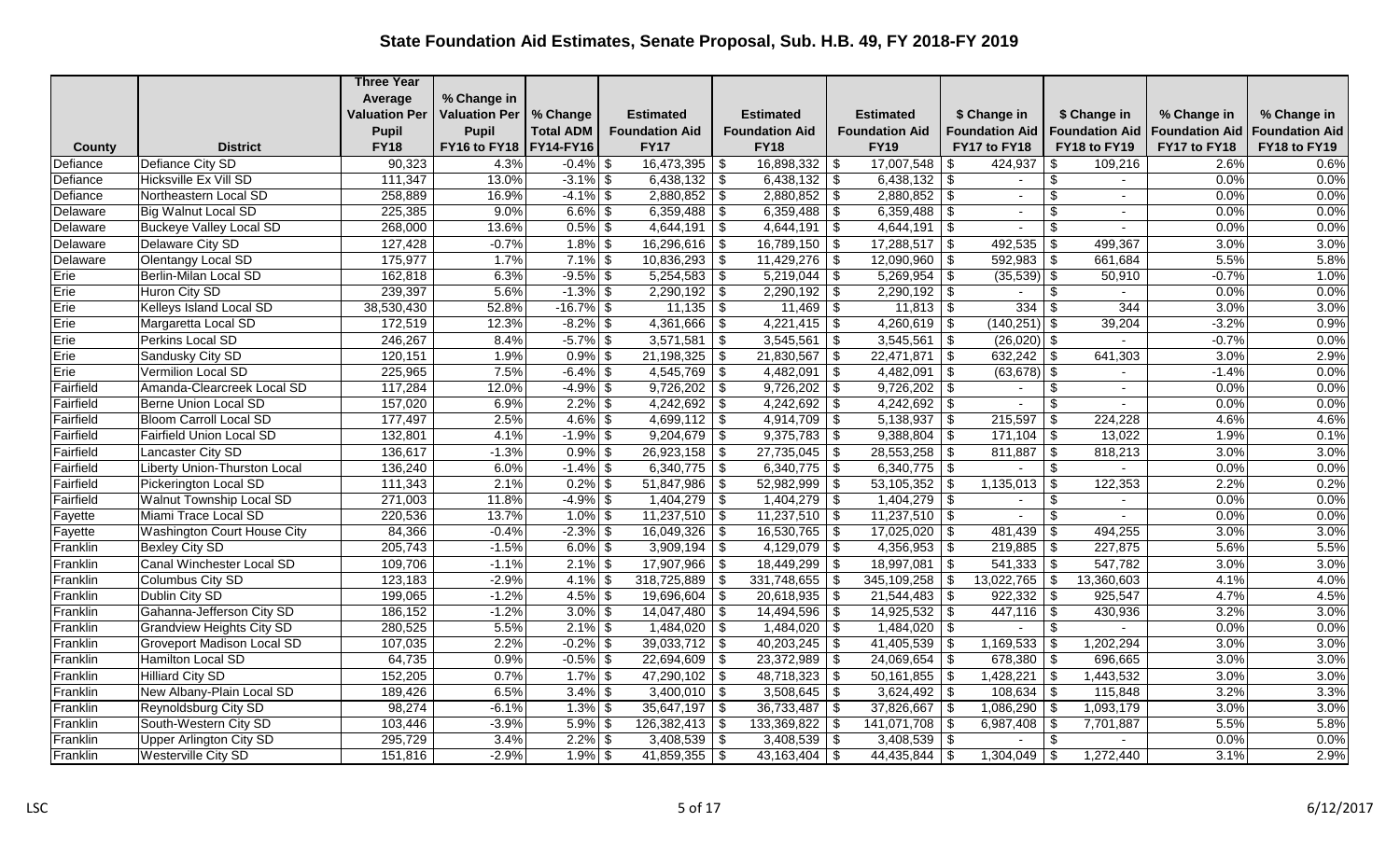|           |                                    | <b>Three Year</b>    |                          |                  |                        |                           |                               |                              |                           |                       |                       |
|-----------|------------------------------------|----------------------|--------------------------|------------------|------------------------|---------------------------|-------------------------------|------------------------------|---------------------------|-----------------------|-----------------------|
|           |                                    | Average              | % Change in              |                  |                        |                           |                               |                              |                           |                       |                       |
|           |                                    | <b>Valuation Per</b> | <b>Valuation Per</b>     | % Change         | <b>Estimated</b>       | <b>Estimated</b>          | <b>Estimated</b>              | \$ Change in                 | \$ Change in              | % Change in           | % Change in           |
|           |                                    | <b>Pupil</b>         | <b>Pupil</b>             | <b>Total ADM</b> | <b>Foundation Aid</b>  | <b>Foundation Aid</b>     | <b>Foundation Aid</b>         | <b>Foundation Aid</b>        | <b>Foundation Aid</b>     | <b>Foundation Aid</b> | <b>Foundation Aid</b> |
| County    | <b>District</b>                    | <b>FY18</b>          | FY16 to FY18   FY14-FY16 |                  | <b>FY17</b>            | <b>FY18</b>               | <b>FY19</b>                   | FY17 to FY18                 | FY18 to FY19              | FY17 to FY18          | FY18 to FY19          |
| Defiance  | Defiance City SD                   | 90,323               | 4.3%                     | $-0.4\%$ \$      | $16,473,395$ \$        | $16,898,332$ \$           | 17,007,548                    | 424,937<br>-96               | 109,216<br>\$             | 2.6%                  | 0.6%                  |
| Defiance  | Hicksville Ex Vill SD              | 111,347              | 13.0%                    | $-3.1\%$ \$      | $6,438,132$ \$         | $6,438,132$ \$            | 6,438,132                     | \$<br>$\sim$                 | $\boldsymbol{\mathsf{S}}$ | 0.0%                  | 0.0%                  |
| Defiance  | Northeastern Local SD              | 258,889              | 16.9%                    | $-4.1\%$ \$      | $2,880,852$ \$         | $2,880,852$ \$            | $2,880,852$ \$                | $\blacksquare$               | \$<br>$\sim$              | 0.0%                  | 0.0%                  |
| Delaware  | Big Walnut Local SD                | 225,385              | 9.0%                     | $6.6\%$ \$       | $6,359,488$ \$         | $6,359,488$ \ \$          | 6,359,488                     | -\$<br>$\sim$                | \$                        | 0.0%                  | 0.0%                  |
| Delaware  | <b>Buckeye Valley Local SD</b>     | 268,000              | 13.6%                    | $0.5\%$ \$       | $4,644,191$ \$         | 4,644,191                 | $\vert$ \$<br>4,644,191       | $\vert$ \$                   | $\overline{\mathcal{S}}$  | 0.0%                  | 0.0%                  |
| Delaware  | Delaware City SD                   | 127,428              | $-0.7%$                  | $1.8\%$ \$       | $16,296,616$ \$        | 16,789,150                | 17,288,517<br>$\sqrt{3}$      | 492,535<br>  \$              | 499,367<br>  \$           | 3.0%                  | 3.0%                  |
| Delaware  | Olentangy Local SD                 | 175,977              | 1.7%                     | $7.1\%$ \$       | $10,836,293$ \$        | $11,429,276$ \$           | 12,090,960                    | $592,983$ \$<br>-\$          | 661,684                   | 5.5%                  | 5.8%                  |
| Erie      | Berlin-Milan Local SD              | 162,818              | 6.3%                     | $-9.5\%$ \$      | $5,254,583$ \$         |                           | 5,269,954                     | $(35,539)$ \$<br>- \$        | 50,910                    | $-0.7%$               | 1.0%                  |
| Erie      | Huron City SD                      | 239,397              | 5.6%                     | $-1.3\%$ \$      | $2,290,192$ \$         | $2,290,192$ \$            | 2,290,192                     | -\$                          | \$                        | 0.0%                  | 0.0%                  |
| Erie      | Kelleys Island Local SD            | 38,530,430           | 52.8%                    | $-16.7\%$ \$     | $11,135$ \$            | $11,469$ \$               | $11,813$ \$                   | $334$ \ \$                   | 344                       | 3.0%                  | 3.0%                  |
| Erie      | Margaretta Local SD                | 172,519              | 12.3%                    | $-8.2\%$ \$      | $4,361,666$ \$         | $\overline{4,221,415}$ \$ | $4,260,619$ \$                | $(140,251)$ \$               | 39,204                    | $-3.2%$               | 0.9%                  |
| Erie      | Perkins Local SD                   | 246,267              | 8.4%                     | $-5.7\%$ \$      | $3,571,581$ \$         | 3,545,561                 | \$<br>$3,545,561$ \\$         | $(26,020)$ \$                |                           | $-0.7%$               | 0.0%                  |
| Erie      | Sandusky City SD                   | 120,151              | 1.9%                     | $0.9\%$ \$       | $21,198,325$ \$        | 21,830,567                | \$<br>$22,471,871$ \$         |                              | 641,303                   | 3.0%                  | 2.9%                  |
| Erie      | Vermilion Local SD                 | 225,965              | 7.5%                     | $-6.4\%$ \$      | $4,545,769$ \$         | 4,482,091                 | \$<br>4,482,091               | $(63, 678)$ \$<br>-\$        | $\sim$                    | $-1.4%$               | 0.0%                  |
| Fairfield | Amanda-Clearcreek Local SD         | 117,284              | 12.0%                    | $-4.9%$ \$       | $9,726,202$ \$         | $9,726,202$ \$            | 9,726,202                     | -\$<br>$\sim$                | \$                        | 0.0%                  | 0.0%                  |
| Fairfield | Berne Union Local SD               | 157,020              | 6.9%                     | $2.2\%$ \$       | $4,242,692$ \$         | $4,242,692$ \$            | 4,242,692                     | \$                           | $\overline{\mathbf{s}}$   | 0.0%                  | 0.0%                  |
| Fairfield | <b>Bloom Carroll Local SD</b>      | 177,497              | 2.5%                     | $4.6\%$ \$       | 4,699,112   \$         | $4,914,709$ \$            | 5,138,937                     | 215,597<br>- \$              | \$<br>224,228             | 4.6%                  | 4.6%                  |
| Fairfield | Fairfield Union Local SD           | 132,801              | 4.1%                     | $-1.9\%$ \$      | $9,204,679$ \$         | $9,375,783$ \$            | 9,388,804                     | \$<br>$171,104$ \ \$         | 13,022                    | 1.9%                  | 0.1%                  |
| Fairfield | Lancaster City SD                  | 136,617              | $-1.3%$                  | $0.9\%$ \$       | $26,923,158$ \$        | $27,735,045$ \$           | 28,553,258                    | \$<br>$811,887$ \ \$         | 818,213                   | 3.0%                  | 3.0%                  |
| Fairfield | Liberty Union-Thurston Local       | 136,240              | 6.0%                     | $-1.4\%$ \$      | $6,340,775$ \$         | $6,340,775$ \$            | $6,340,775$ \\$               |                              | $\sqrt[6]{3}$             | 0.0%                  | 0.0%                  |
| Fairfield | Pickerington Local SD              | 111,343              | 2.1%                     | $0.2\%$ \$       | $51,847,986$ \$        | 52,982,999                | 53,105,352<br>$\vert$ \$      | $1,135,013$ \$<br>- \$       | 122,353                   | 2.2%                  | 0.2%                  |
| Fairfield | <b>Walnut Township Local SD</b>    | 271,003              | 11.8%                    | $-4.9\%$ \$      | $1,404,279$ \$         | $1,404,279$ \$            | $1,404,279$ \\$               | $\sim$                       | $\boldsymbol{\mathsf{S}}$ | 0.0%                  | 0.0%                  |
| Fayette   | Miami Trace Local SD               | 220,536              | 13.7%                    | $1.0\%$ \$       | $11,237,510$ \$        | $11,237,510$ \$           | $11,237,510$ \$               | $\overline{\phantom{a}}$     | \$                        | 0.0%                  | 0.0%                  |
| Fayette   | <b>Washington Court House City</b> | 84,366               | $-0.4%$                  | $-2.3\%$ \$      | $16,049,326$ \$        | $16,530,765$ \$           | $17,025,020$ \$               |                              | 494,255                   | 3.0%                  | 3.0%                  |
| Franklin  | <b>Bexley City SD</b>              | 205,743              | $-1.5%$                  | $6.0\%$ \$       | $3,909,194$ \$         | $4,129,079$ \\$           | $4,356,953$ \\$               | $219,885$ \ \$               | 227,875                   | 5.6%                  | 5.5%                  |
| Franklin  | Canal Winchester Local SD          | 109,706              | $-1.1%$                  | $2.1\%$ \$       | 17,907,966 \$          | $18,449,299$ \$           | 18,997,081                    | $\vert$ \$                   | 547,782                   | 3.0%                  | 3.0%                  |
| Franklin  | Columbus City SD                   | 123,183              | $-2.9%$                  | $4.1\%$ \$       | $318,725,889$ \$       | 331,748,655               | 345,109,258<br>  \$           | $13,022,765$ \\$<br>- \$     | 13,360,603                | 4.1%                  | 4.0%                  |
| Franklin  | Dublin City SD                     | 199,065              | $-1.2%$                  | $4.5\%$ \$       | $19,696,604$ \$        | $20,618,935$ \$           | $\sqrt{21,544,483}$ \ \$      | $922,332$ \$                 | 925,547                   | 4.7%                  | 4.5%                  |
| Franklin  | Gahanna-Jefferson City SD          | 186,152              | $-1.2%$                  | $3.0\%$ \$       | $14,047,480$ \$        | $14,494,596$ \$           | 14,925,532                    | $447,116$ \\$<br>\$          | 430,936                   | 3.2%                  | 3.0%                  |
| Franklin  | <b>Grandview Heights City SD</b>   | 280,525              | 5.5%                     | $2.1\%$ \$       | $1,484,020$ \$         | $1,484,020$ \$            | $1,484,020$ \$                | $\sim$                       | $\sqrt[6]{3}$             | 0.0%                  | 0.0%                  |
| Franklin  | <b>Groveport Madison Local SD</b>  | 107,035              | 2.2%                     | $-0.2\%$ \$      | $39,033,712$ \$        | $40,203,245$ \$           | 41,405,539                    | $1,169,533$ \$<br>-\$        | 1,202,294                 | 3.0%                  | 3.0%                  |
| Franklin  | Hamilton Local SD                  | 64,735               | 0.9%                     | $-0.5\%$ \$      | $22,694,609$ \$        | $23,372,989$ \$           | 24,069,654                    | 678,380 $\frac{1}{3}$<br>-\$ | 696,665                   | 3.0%                  | 3.0%                  |
| Franklin  | <b>Hilliard City SD</b>            | 152,205              | 0.7%                     | $1.7\%$ \$       | 47,290,102 \$          | $48,718,323$ \$           | 50,161,855                    | $1,428,221$ \$<br>\$         | 1,443,532                 | 3.0%                  | 3.0%                  |
| Franklin  | New Albany-Plain Local SD          | 189,426              | 6.5%                     | $3.4\%$ \$       | $3,400,010$ \$         | $3,508,645$ \$            | 3,624,492                     | $108,634$ \ \$<br>l \$       | 115,848                   | 3.2%                  | 3.3%                  |
| Franklin  | Reynoldsburg City SD               | 98,274               | $-6.1%$                  | $1.3\%$ \$       | $35,647,197$ \$        | 36,733,487                | $37,826,667$ \$<br>$\vert$ \$ | $1,086,290$ \$               | 1,093,179                 | 3.0%                  | 3.0%                  |
| Franklin  | South-Western City SD              | 103,446              | $-3.9%$                  | 5.9%             | \$<br>$126,382,413$ \$ | 133,369,822 \$            | 141,071,708                   | $6,987,408$ \$<br>- \$       | 7,701,887                 | 5.5%                  | 5.8%                  |
| Franklin  | <b>Upper Arlington City SD</b>     | 295,729              | 3.4%                     | $2.2\%$ \$       | $3,408,539$ \$         | $3,408,539$ \$            | $3,408,539$ \\$               | $\blacksquare$               | \$                        | 0.0%                  | 0.0%                  |
| Franklin  | <b>Westerville City SD</b>         | 151,816              | $-2.9%$                  | $1.9\%$ \$       | $41,859,355$ \$        | $43,163,404$ \$           | 44,435,844                    | \$<br>$1,304,049$ \ \$       | 1,272,440                 | 3.1%                  | 2.9%                  |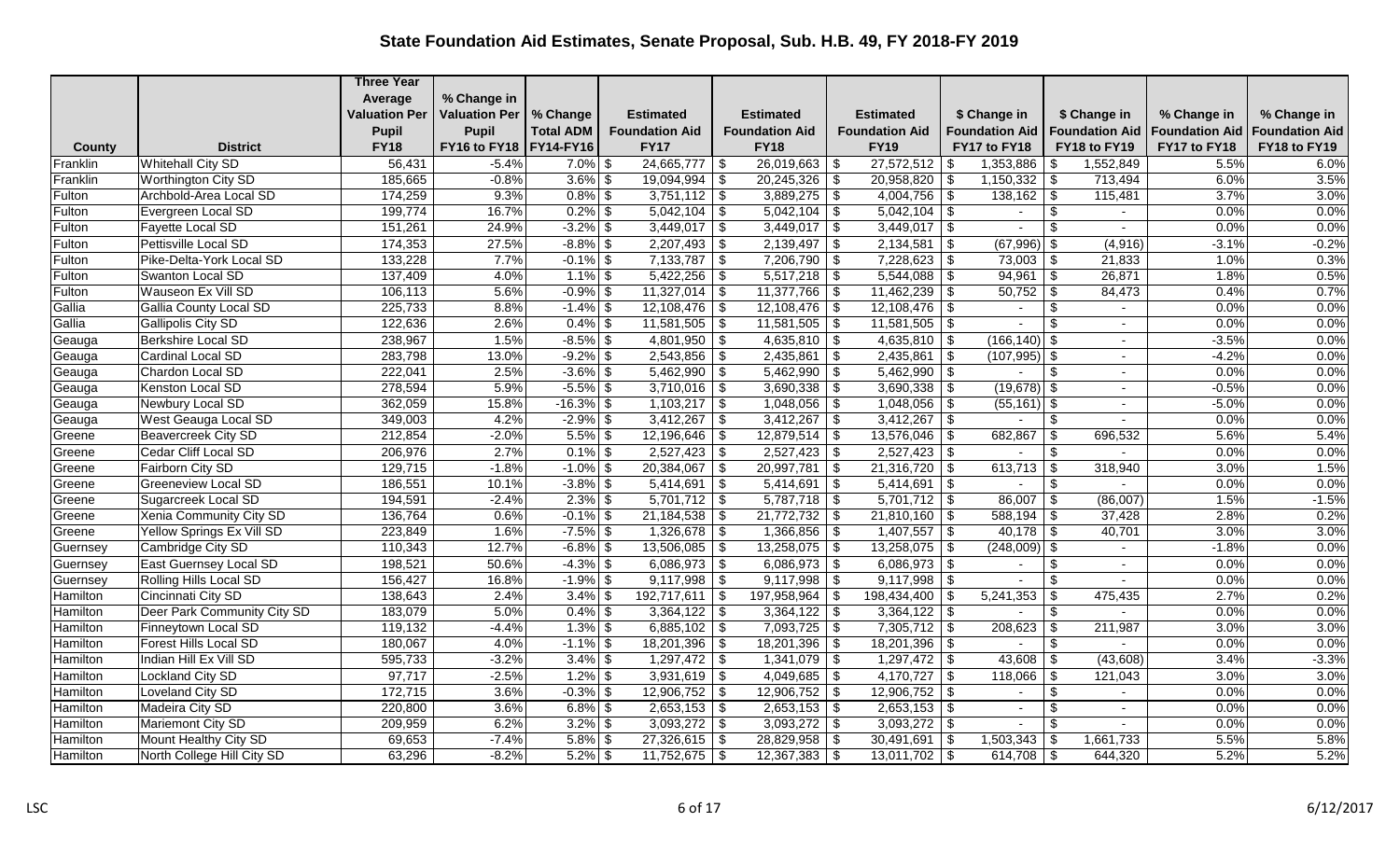|          |                               | <b>Three Year</b>    |                      |                  |                       |                         |                               |                               |                                     |                       |                       |
|----------|-------------------------------|----------------------|----------------------|------------------|-----------------------|-------------------------|-------------------------------|-------------------------------|-------------------------------------|-----------------------|-----------------------|
|          |                               | Average              | % Change in          |                  |                       |                         |                               |                               |                                     |                       |                       |
|          |                               | <b>Valuation Per</b> | <b>Valuation Per</b> | % Change         | <b>Estimated</b>      | <b>Estimated</b>        | <b>Estimated</b>              | \$ Change in                  | \$ Change in                        | % Change in           | % Change in           |
|          |                               | <b>Pupil</b>         | <b>Pupil</b>         | <b>Total ADM</b> | <b>Foundation Aid</b> | <b>Foundation Aid</b>   | <b>Foundation Aid</b>         | <b>Foundation Aid</b>         | <b>Foundation Aid</b>               | <b>Foundation Aid</b> | <b>Foundation Aid</b> |
| County   | <b>District</b>               | <b>FY18</b>          | FY16 to FY18         | FY14-FY16        | <b>FY17</b>           | <b>FY18</b>             | <b>FY19</b>                   | FY17 to FY18                  | FY18 to FY19                        | FY17 to FY18          | FY18 to FY19          |
| Franklin | <b>Whitehall City SD</b>      | 56,431               | $-5.4%$              | $7.0\%$ \$       | $24,665,777$ \\$      | $26,019,663$ \$         | 27,572,512                    | 1,353,886<br>- \$             | 1,552,849<br>\$                     | 5.5%                  | 6.0%                  |
| Franklin | Worthington City SD           | 185,665              | $-0.8%$              | $3.6\%$ \$       | $19,094,994$ \$       | $20,245,326$ \$         | 20,958,820                    | \$                            | 713,494                             | 6.0%                  | 3.5%                  |
| Fulton   | Archbold-Area Local SD        | 174,259              | 9.3%                 | $0.8\%$ \$       | $3,751,112$ \$        | $3,889,275$ \$          | $4,004,756$ \\$               | $138,162$ \$                  | 115,481                             | 3.7%                  | 3.0%                  |
| Fulton   | Evergreen Local SD            | 199,774              | 16.7%                | $0.2\%$ \$       | $5,042,104$ \$        | $5,042,104$ \ \$        | $5,042,104$ \\$               | $\sim$                        | \$<br>$\sim$                        | 0.0%                  | 0.0%                  |
| Fulton   | Fayette Local SD              | 151,261              | 24.9%                | $-3.2\%$ \$      | $3,449,017$ \$        | 3,449,017               | $\sqrt{s}$<br>$3,449,017$ \\$ |                               | $\overline{\mathcal{S}}$            | 0.0%                  | 0.0%                  |
| Fulton   | Pettisville Local SD          | 174,353              | 27.5%                | $-8.8\%$ \$      | $2,207,493$ \$        | 2,139,497               | 2,134,581<br>l \$             | $(67,996)$ \$<br>\$           | (4,916)                             | $-3.1%$               | $-0.2%$               |
| Fulton   | Pike-Delta-York Local SD      | 133,228              | 7.7%                 | $-0.1\%$ \$      | $7,133,787$ \$        | $7,206,790$ \$          | 7,228,623                     | $73,003$ \$<br>-\$            | 21,833                              | 1.0%                  | 0.3%                  |
| Fulton   | Swanton Local SD              | 137,409              | 4.0%                 | $1.1\%$ \$       | $5,422,256$ \$        | $5,517,218$ \$          | $5,544,088$ \\$               | $94,961$ \$                   | 26,871                              | 1.8%                  | 0.5%                  |
| Fulton   | Wauseon Ex Vill SD            | 106,113              | 5.6%                 | $-0.9\%$ \$      | $11,327,014$ \$       | $11,377,766$ \$         | 11,462,239                    | $\overline{50,752}$ \$<br>\$. | 84,473                              | 0.4%                  | 0.7%                  |
| Gallia   | <b>Gallia County Local SD</b> | 225,733              | 8.8%                 | $-1.4\%$ \$      | $12,108,476$ \$       | $12,108,476$ \$         | $12,108,476$ \\$              | $\sim$                        | $\frac{1}{2}$<br>$\sim$             | 0.0%                  | 0.0%                  |
| Gallia   | Gallipolis City SD            | 122,636              | 2.6%                 | $0.4\%$ \$       | $11,581,505$ \$       | $11,581,505$ \$         | 11,581,505                    | -\$<br>$\overline{a}$         | \$<br>$\overline{a}$                | 0.0%                  | 0.0%                  |
| Geauga   | <b>Berkshire Local SD</b>     | 238,967              | 1.5%                 | $-8.5\%$ \$      | $4,801,950$ \$        | 4,635,810 $\frac{1}{9}$ | 4,635,810 $\frac{1}{9}$       | $(166, 140)$ \$               |                                     | $-3.5%$               | 0.0%                  |
| Geauga   | Cardinal Local SD             | 283,798              | 13.0%                | $-9.2\%$ \$      | $2,543,856$ \$        | 2,435,861               | 2,435,861<br>$\sqrt{s}$       | $(107,995)$ \$<br>l \$        |                                     | $-4.2%$               | 0.0%                  |
| Geauga   | Chardon Local SD              | 222,041              | 2.5%                 | $-3.6\%$ \$      | $5,462,990$ \$        | $5,462,990$ \$          | $5,462,990$ \$                |                               | \$                                  | 0.0%                  | 0.0%                  |
| Geauga   | Kenston Local SD              | 278,594              | 5.9%                 | $-5.5\%$ \$      | $3,710,016$ \$        | $3,690,338$ \$          | 3,690,338                     | $(19,678)$ \$<br>\$           |                                     | $-0.5%$               | 0.0%                  |
| Geauga   | Newbury Local SD              | 362,059              | 15.8%                | $-16.3\%$ \$     | $1,103,217$ \$        | $1,048,056$ \ \$        | 1,048,056                     | $(55, 161)$ \$<br>-\$         |                                     | $-5.0%$               | 0.0%                  |
| Geauga   | West Geauga Local SD          | 349,003              | 4.2%                 | $-2.9\%$ \$      | $3,412,267$ \$        | 3,412,267               | $3,412,267$ \\$<br>$\vert$ \$ | $\sim$                        | $\boldsymbol{\mathsf{S}}$<br>$\sim$ | 0.0%                  | 0.0%                  |
| Greene   | <b>Beavercreek City SD</b>    | 212,854              | $-2.0%$              | $5.5\%$ \$       | $12,196,646$ \$       | $12,879,514$ \$         | 13,576,046                    | 682,867<br>-\$                | $\sqrt[6]{3}$<br>696,532            | 5.6%                  | 5.4%                  |
| Greene   | Cedar Cliff Local SD          | 206,976              | 2.7%                 | $0.1\%$ \$       | $2,527,423$ \$        | $\sqrt{2,527,423}$ \ \$ | $2,527,423$ \\$               | $\sim$                        | \$                                  | 0.0%                  | 0.0%                  |
| Greene   | Fairborn City SD              | 129,715              | $-1.8%$              | $-1.0\%$ \$      | $20,384,067$ \$       | $20,997,781$ \$         | 21,316,720                    | -\$                           | 318,940                             | 3.0%                  | 1.5%                  |
| Greene   | <b>Greeneview Local SD</b>    | 186,551              | 10.1%                | $-3.8\%$ \$      | $5,414,691$ \$        | 5,414,691               | $5,414,691$ \$<br>$\vert$ \$  | $\blacksquare$                | $\sqrt[6]{3}$                       | 0.0%                  | 0.0%                  |
| Greene   | Sugarcreek Local SD           | 194,591              | $-2.4%$              | $2.3\%$ \$       | $5,701,712$ \$        | $5,787,718$ \$          | $5,701,712$ \$                | $86,007$ \$                   | (86,007)                            | 1.5%                  | $-1.5%$               |
| Greene   | Xenia Community City SD       | 136,764              | 0.6%                 | $-0.1\%$ \$      | $21,184,538$ \$       | 21,772,732              | $21,810,160$ \$<br>$\vert$ \$ |                               | 37,428                              | 2.8%                  | 0.2%                  |
| Greene   | Yellow Springs Ex Vill SD     | 223,849              | 1.6%                 | $-7.5\%$ \$      | $1,326,678$ \$        | $1,366,856$ \$          | $1,407,557$ \\$               |                               | 40,701                              | 3.0%                  | 3.0%                  |
| Guernsey | Cambridge City SD             | 110,343              | 12.7%                | $-6.8\%$ \$      | $13,506,085$ \$       | $13,258,075$ \\$        | 13,258,075                    | $(248,009)$ \$<br>\$          |                                     | $-1.8%$               | 0.0%                  |
| Guernsey | East Guernsey Local SD        | 198,521              | 50.6%                | $-4.3\%$ \$      | $6,086,973$ \$        | $6,086,973$ \$          | $6,086,973$ \$                | $\sim$                        | \$                                  | 0.0%                  | 0.0%                  |
| Guernsey | Rolling Hills Local SD        | 156,427              | 16.8%                | $-1.9\%$ \$      | $9,117,998$ \$        | $9,117,998$ \$          | 9,117,998                     | -\$                           | \$                                  | 0.0%                  | 0.0%                  |
| Hamilton | Cincinnati City SD            | 138,643              | 2.4%                 | $3.4\%$ \$       | $192,717,611$ \$      | 197,958,964             | 198,434,400<br>$\vert$ \$     | 5,241,353<br>- \$             | \$<br>475,435                       | 2.7%                  | 0.2%                  |
| Hamilton | Deer Park Community City SD   | 183,079              | 5.0%                 | $0.4\%$ \$       | $3,364,122$ \$        | $3,364,122$ \$          | 3,364,122                     | -\$                           | \$                                  | 0.0%                  | 0.0%                  |
| Hamilton | Finneytown Local SD           | 119,132              | $-4.4%$              | $1.3\%$ \$       | $6,885,102$ \$        | $7,093,725$ \$          | $7,305,712$ \$                | 208,623                       | 211,987<br>  \$                     | 3.0%                  | 3.0%                  |
| Hamilton | Forest Hills Local SD         | 180,067              | 4.0%                 | $-1.1\%$ \$      | $18,201,396$ \$       | $18,201,396$ \$         | 18,201,396                    | -\$<br>$\blacksquare$         | \$                                  | 0.0%                  | 0.0%                  |
| Hamilton | Indian Hill Ex Vill SD        | 595,733              | $-3.2%$              | $3.4\%$ \$       | $1,297,472$ \$        | $1,341,079$ \\$         | $1,297,472$ \\$               | $43,608$ \ \$                 | (43,608)                            | 3.4%                  | $-3.3%$               |
| Hamilton | Lockland City SD              | 97,717               | $-2.5%$              | $1.2\%$ \$       | $3,931,619$ \$        | $4,049,685$ \$          | 4,170,727                     | $118,066$ \ \$<br>\$          | 121,043                             | 3.0%                  | 3.0%                  |
| Hamilton | Loveland City SD              | 172,715              | 3.6%                 | $-0.3\%$ \$      | $12,906,752$ \$       | $12,906,752$ \$         | 12,906,752                    | \$                            | $\frac{1}{2}$                       | 0.0%                  | 0.0%                  |
| Hamilton | Madeira City SD               | 220,800              | 3.6%                 | $6.8\%$ \$       | $2,653,153$ \$        | $2,653,153$ \$          | $2,653,153$ \$                | $\blacksquare$                | $\boldsymbol{\mathsf{S}}$<br>$\sim$ | 0.0%                  | 0.0%                  |
| Hamilton | Mariemont City SD             | 209,959              | 6.2%                 | $3.2\%$ \$       | $3,093,272$ \$        | $3,093,272$ \$          | 3,093,272                     | -\$                           | \$                                  | 0.0%                  | 0.0%                  |
| Hamilton | Mount Healthy City SD         | 69,653               | $-7.4%$              | $5.8\%$ \$       | $27,326,615$ \$       | $28,829,958$ \$         | 30,491,691                    | $1,503,343$ \$<br>-\$         | 1,661,733                           | 5.5%                  | 5.8%                  |
| Hamilton | North College Hill City SD    | 63,296               | $-8.2%$              | $5.2\%$ \$       | $11,752,675$ \$       | $12,367,383$ \$         | 13,011,702                    | 614,708 $\sqrt{5}$<br>-\$     | 644,320                             | 5.2%                  | 5.2%                  |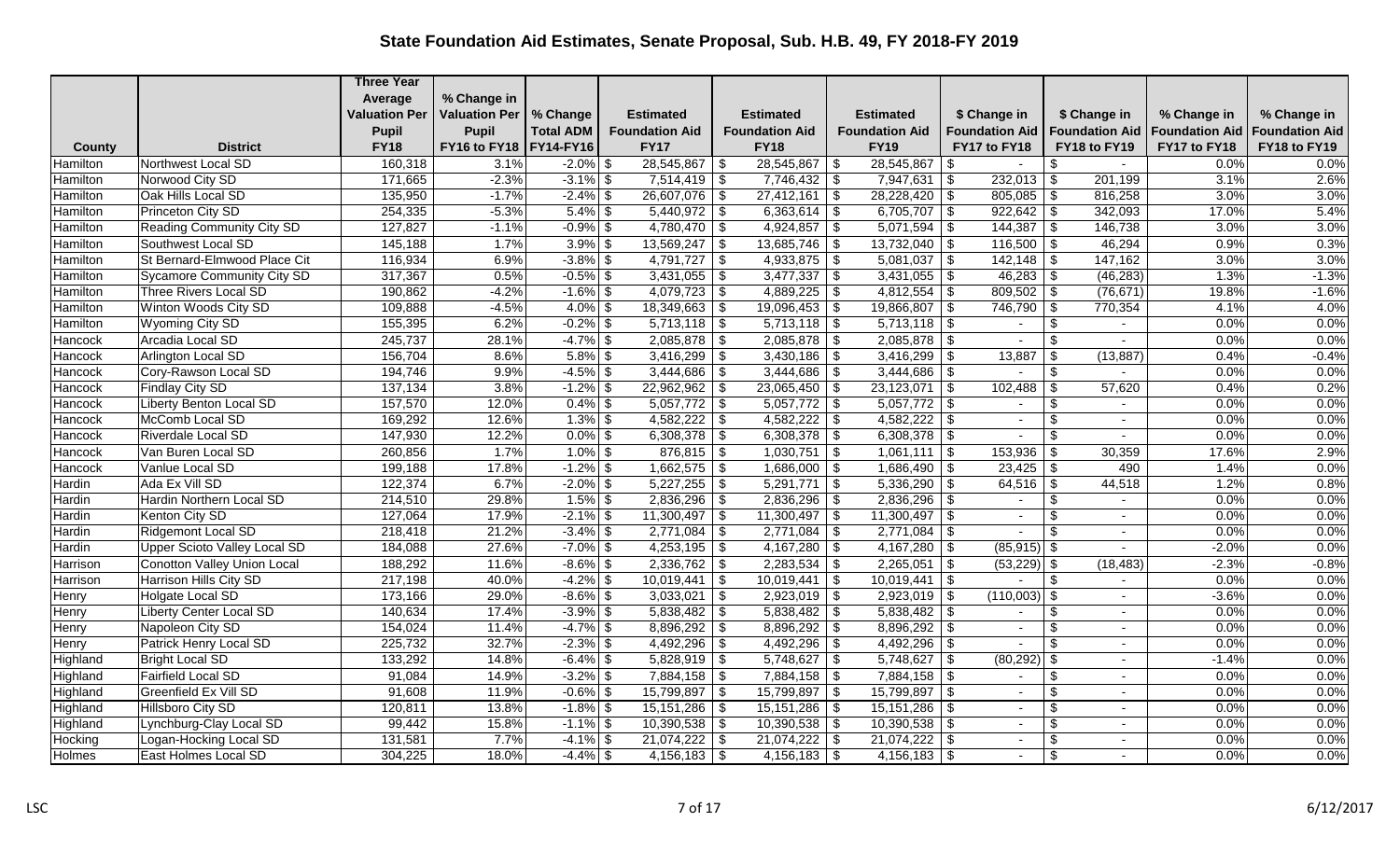|          |                                     | <b>Three Year</b>    |                          |                  |                         |                           |                                |                                            |                                 |                       |                       |
|----------|-------------------------------------|----------------------|--------------------------|------------------|-------------------------|---------------------------|--------------------------------|--------------------------------------------|---------------------------------|-----------------------|-----------------------|
|          |                                     | Average              | % Change in              |                  |                         |                           |                                |                                            |                                 |                       |                       |
|          |                                     | <b>Valuation Per</b> | <b>Valuation Per</b>     | % Change         | <b>Estimated</b>        | <b>Estimated</b>          | <b>Estimated</b>               | \$ Change in                               | \$ Change in                    | % Change in           | % Change in           |
|          |                                     | <b>Pupil</b>         | <b>Pupil</b>             | <b>Total ADM</b> | <b>Foundation Aid</b>   | <b>Foundation Aid</b>     | <b>Foundation Aid</b>          | <b>Foundation Aid</b>                      | <b>Foundation Aid</b>           | <b>Foundation Aid</b> | <b>Foundation Aid</b> |
| County   | <b>District</b>                     | <b>FY18</b>          | FY16 to FY18   FY14-FY16 |                  | <b>FY17</b>             | <b>FY18</b>               | <b>FY19</b>                    | FY17 to FY18                               | FY18 to FY19                    | FY17 to FY18          | FY18 to FY19          |
| Hamilton | Northwest Local SD                  | 160,318              | 3.1%                     | $-2.0\%$ \$      | 28,545,867 \$           | 28,545,867                | 28,545,867<br>  \$             | \$<br>$\overline{\phantom{a}}$             | \$                              | 0.0%                  | 0.0%                  |
| Hamilton | Norwood City SD                     | 171,665              | $-2.3%$                  | $-3.1\%$ \$      | $7,514,419$ \$          |                           | 7,947,631                      | $\overline{\$}$<br>$\overline{232,013}$ \$ | 201,199                         | 3.1%                  | 2.6%                  |
| Hamilton | Oak Hills Local SD                  | 135,950              | $-1.7%$                  | $-2.4\%$ \$      | $26,607,076$ \$         | $27,412,161$ \$           | $28,228,420$ \$                | $805,085$ \$                               | 816,258                         | 3.0%                  | 3.0%                  |
| Hamilton | Princeton City SD                   | 254,335              | $-5.3%$                  | $5.4\%$ \$       | $5,440,972$ \$          | $6,363,614$ \$            | $6,705,707$ \$                 | $922,642$ \$                               | 342,093                         | 17.0%                 | 5.4%                  |
| Hamilton | Reading Community City SD           | 127,827              | $-1.1%$                  | $-0.9\%$ \$      | $4,780,470$ \$          | 4,924,857                 | 5,071,594<br>  \$              | 144,387<br>-\$                             | 146,738<br>  \$                 | 3.0%                  | 3.0%                  |
| Hamilton | Southwest Local SD                  | 145,188              | 1.7%                     | $3.9\%$ \$       | $13,569,247$ \$         | $13,685,746$ \$           | $13,732,040$ \$                | $116,500$ \$                               | 46,294                          | 0.9%                  | 0.3%                  |
| Hamilton | St Bernard-Elmwood Place Cit        | 116,934              | 6.9%                     | $-3.8\%$ \$      | $4,791,727$ \$          | $4,933,875$ \$            | 5,081,037                      | \$                                         | 147,162                         | 3.0%                  | 3.0%                  |
| Hamilton | Sycamore Community City SD          | 317,367              | 0.5%                     | $-0.5\%$ \$      | $3,431,055$ \$          | 3,477,337                 | 3,431,055<br>  \$              | -\$                                        | (46, 283)                       | 1.3%                  | $-1.3%$               |
| Hamilton | Three Rivers Local SD               | 190,862              | $-4.2%$                  | $-1.6\%$ \$      | $4,079,723$ \$          | $4,889,225$ \$            | 4,812,554                      | $809,502$ \$<br>\$                         | (76, 671)                       | 19.8%                 | $-1.6%$               |
| Hamilton | Winton Woods City SD                | 109,888              | $-4.5%$                  | $4.0\%$ \$       | $18,349,663$ \$         | $19,096,453$ \$           | 19,866,807                     | $746,790$ \$<br>-\$                        | 770,354                         | 4.1%                  | 4.0%                  |
| Hamilton | Wyoming City SD                     | 155,395              | 6.2%                     | $-0.2\%$ \$      | $5,713,118$ \$          | $5,713,118$ \$            | 5,713,118                      | -\$<br>$\blacksquare$                      | $\boldsymbol{\mathsf{S}}$       | 0.0%                  | 0.0%                  |
| Hancock  | Arcadia Local SD                    | 245,737              | 28.1%                    | $-4.7\%$ \$      | $2,085,878$ \$          | $2,085,878$ \$            | $2,085,878$ \\$                |                                            | \$                              | 0.0%                  | 0.0%                  |
| Hancock  | Arlington Local SD                  | 156,704              | 8.6%                     | $5.8\%$ \$       | $3,416,299$ \$          | $3,430,186$ \$            | 3,416,299                      | 13,887<br>\$                               | (13, 887)<br>-\$                | 0.4%                  | $-0.4%$               |
| Hancock  | Cory-Rawson Local SD                | 194,746              | 9.9%                     | $-4.5\%$ \$      | $3,444,686$ \$          | $3,444,686$ \$            | $3,444,686$ \ \$               |                                            | $\boldsymbol{\mathsf{S}}$       | 0.0%                  | 0.0%                  |
| Hancock  | Findlay City SD                     | 137,134              | 3.8%                     | $-1.2\%$ \$      | $22,962,962$ \$         | $23,065,450$ \$           | 23,123,071                     | - \$                                       | 57,620                          | 0.4%                  | 0.2%                  |
| Hancock  | Liberty Benton Local SD             | 157,570              | 12.0%                    | $0.4\%$ \$       | $5,057,772$ \$          | $5,057,772$ \$            | 5,057,772                      | -\$<br>$\sim$                              | \$                              | 0.0%                  | 0.0%                  |
| Hancock  | McComb Local SD                     | 169,292              | 12.6%                    | $1.3\%$ \$       | $4,582,222$ \$          | $4,582,222$ \$            | 4,582,222                      | \$<br>$\sim$                               | \$<br>$\sim$                    | 0.0%                  | 0.0%                  |
| Hancock  | Riverdale Local SD                  | 147,930              | 12.2%                    | $0.0\%$ \$       | $6,308,378$ \$          | $6,308,378$ \ \ \$        | 6,308,378                      | -\$                                        | \$                              | 0.0%                  | 0.0%                  |
| Hancock  | Van Buren Local SD                  | 260,856              | 1.7%                     | $1.0\%$ \$       | $876,815$ \$            | 1,030,751                 | $\vert$ \$<br>$1,061,111$   \$ | $153,936$ \$                               | 30,359                          | 17.6%                 | 2.9%                  |
| Hancock  | Vanlue Local SD                     | 199,188              | 17.8%                    | $-1.2\%$ \$      | $1,662,575$ \$          | $1,686,000$ \$            | 1,686,490                      | $23,425$ \$<br>\$                          | 490                             | 1.4%                  | 0.0%                  |
| Hardin   | Ada Ex Vill SD                      | 122,374              | 6.7%                     | $-2.0\%$ \$      | $5,227,255$ \$          | 5,291,771                 | 5,336,290<br>$\vert$ \$        | $64,516$ \$<br>\$                          | 44,518                          | 1.2%                  | 0.8%                  |
| Hardin   | Hardin Northern Local SD            | 214,510              | 29.8%                    | $1.5\%$ \$       | $2,836,296$ \$          | $2,836,296$ \$            | 2,836,296                      | \$.<br>$\blacksquare$                      | \$                              | 0.0%                  | 0.0%                  |
| Hardin   | Kenton City SD                      | 127,064              | 17.9%                    | $-2.1\%$ \$      | $11,300,497$ \$         | 11,300,497                | 11,300,497<br>  \$             | \$<br>$\blacksquare$                       | \$                              | 0.0%                  | 0.0%                  |
| Hardin   | Ridgemont Local SD                  | 218,418              | 21.2%                    | $-3.4\%$ \$      | $\boxed{2,771,084}$ \\$ | $\overline{2,771,084}$ \$ | 2,771,084                      | \$<br>$\mathbf{r}$                         | $\mathbf{\$}$                   | 0.0%                  | 0.0%                  |
| Hardin   | <b>Upper Scioto Valley Local SD</b> | 184,088              | 27.6%                    | $-7.0\%$ \$      | $4,253,195$ \$          | $4,167,280$ \$            | $4,167,280$ \$                 | $(85,915)$ \$                              |                                 | $-2.0%$               | 0.0%                  |
| Harrison | Conotton Valley Union Local         | 188,292              | 11.6%                    | $-8.6\%$ \$      | $2,336,762$ \$          | $2,283,534$ \$            | 2,265,051                      | $(53,229)$ \$<br>l \$                      | (18, 483)                       | $-2.3%$               | $-0.8%$               |
| Harrison | Harrison Hills City SD              | 217,198              | 40.0%                    | $-4.2\%$ \$      | $10,019,441$ \$         | 10,019,441                | \$<br>10,019,441               | \$                                         | \$                              | 0.0%                  | 0.0%                  |
| Henry    | Holgate Local SD                    | 173,166              | 29.0%                    | $-8.6\%$ \$      | $3,033,021$ \$          | $2,923,019$ \$            | 2,923,019                      | $(110,003)$ \$<br>-\$                      |                                 | $-3.6%$               | 0.0%                  |
| Henry    | <b>Liberty Center Local SD</b>      | 140,634              | 17.4%                    | $-3.9\%$ \$      | $5,838,482$ \$          | $5,838,482$ \$            | 5,838,482                      | -\$<br>$\sim$                              | \$<br>$\sim$                    | 0.0%                  | 0.0%                  |
| Henry    | Napoleon City SD                    | 154,024              | 11.4%                    | $-4.7\%$ \$      | $8,896,292$ \$          | $8,896,292$ \$            | 8,896,292                      | \$<br>$\sim$                               | $\frac{1}{2}$<br>$\overline{a}$ | 0.0%                  | 0.0%                  |
| Henry    | Patrick Henry Local SD              | 225,732              | 32.7%                    | $-2.3\%$ \$      | $4,492,296$ \$          | $4,492,296$ \\$           | 4,492,296                      | \$                                         | \$                              | 0.0%                  | 0.0%                  |
| Highland | <b>Bright Local SD</b>              | 133,292              | 14.8%                    | $-6.4\%$ \$      | $5,828,919$ \$          | $5,748,627$ \$            | 5,748,627                      | $(80, 292)$ \$<br>\$                       | $\sim$                          | $-1.4%$               | 0.0%                  |
| Highland | Fairfield Local SD                  | 91,084               | 14.9%                    | $-3.2\%$ \$      | $7,884,158$ \$          | $7,884,158$ \\$           | 7,884,158                      | \$<br>$\sim$                               | \$<br>$\sim$                    | 0.0%                  | 0.0%                  |
| Highland | Greenfield Ex Vill SD               | 91,608               | 11.9%                    | $-0.6\%$ \$      | $15,799,897$ \$         | 15,799,897                | \$<br>15,799,897               | -\$<br>$\blacksquare$                      | \$                              | 0.0%                  | 0.0%                  |
| Highland | <b>Hillsboro City SD</b>            | 120,811              | 13.8%                    | $-1.8\%$ \$      | $15,151,286$ \$         | $15,151,286$ \$           | 15,151,286                     | \$<br>$\sim$                               | \$                              | 0.0%                  | 0.0%                  |
| Highland | Lynchburg-Clay Local SD             | 99,442               | 15.8%                    | $-1.1\%$ \$      | $10,390,538$ \$         | $10,390,538$ \$           | 10,390,538                     | -\$<br>$\blacksquare$                      | \$                              | 0.0%                  | 0.0%                  |
| Hocking  | Logan-Hocking Local SD              | 131,581              | 7.7%                     | $-4.1\%$ \$      | $21,074,222$ \ \$       | $21,074,222$ \$           | 21,074,222                     | - \$<br>$\sim$                             | \$<br>$\sim$                    | 0.0%                  | 0.0%                  |
| Holmes   | East Holmes Local SD                | 304,225              | 18.0%                    | $-4.4\%$ \$      | $4,156,183$ \$          | $4,156,183$ \$            | 4,156,183                      | -\$                                        | \$                              | 0.0%                  | 0.0%                  |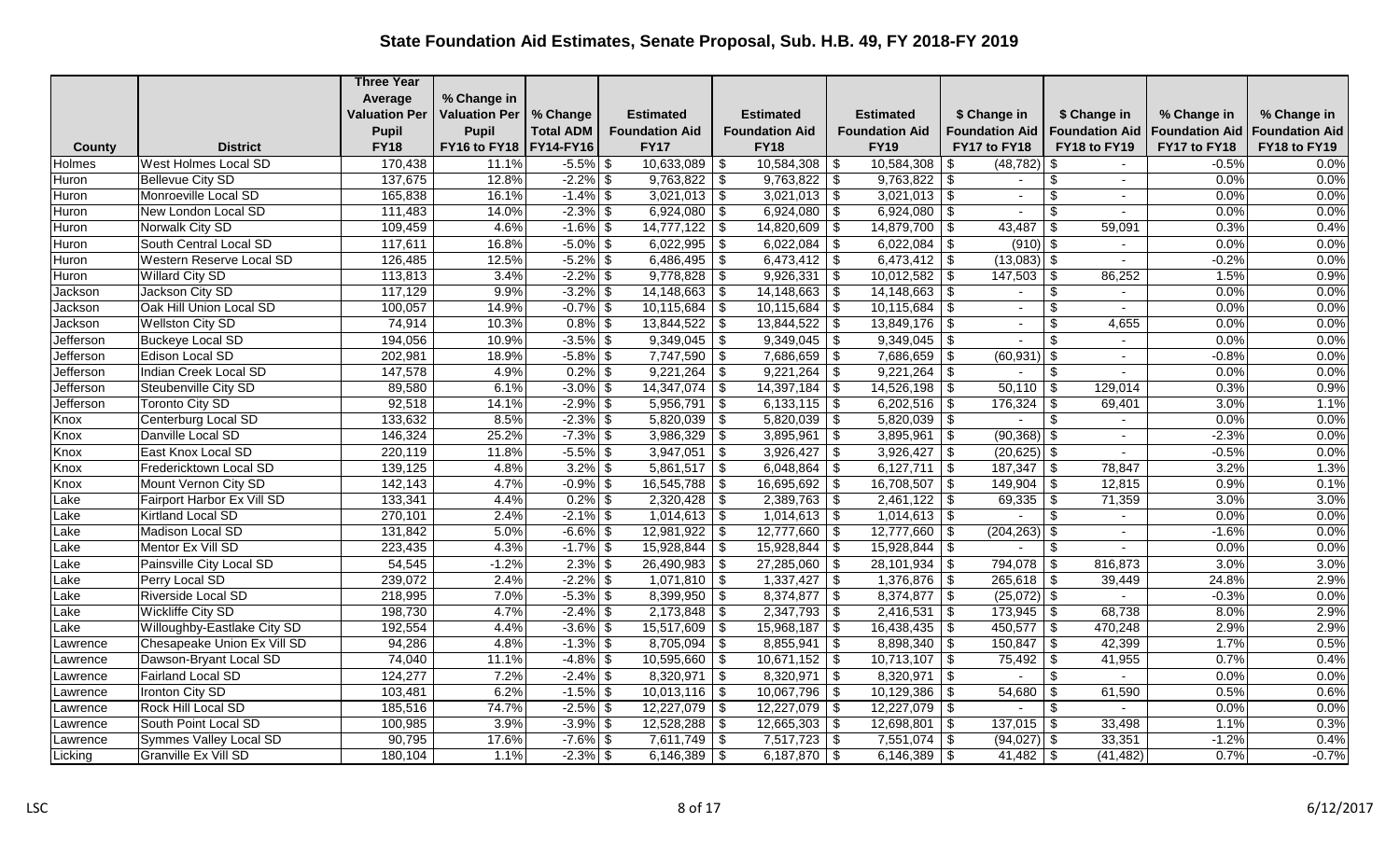|           |                                 | <b>Three Year</b>    |                          |                  |                       |                              |                          |                            |                       |                       |                       |
|-----------|---------------------------------|----------------------|--------------------------|------------------|-----------------------|------------------------------|--------------------------|----------------------------|-----------------------|-----------------------|-----------------------|
|           |                                 | Average              | % Change in              |                  |                       |                              |                          |                            |                       |                       |                       |
|           |                                 | <b>Valuation Per</b> | <b>Valuation Per</b>     | % Change         | <b>Estimated</b>      | <b>Estimated</b>             | <b>Estimated</b>         | \$ Change in               | \$ Change in          | % Change in           | % Change in           |
|           |                                 | <b>Pupil</b>         | <b>Pupil</b>             | <b>Total ADM</b> | <b>Foundation Aid</b> | <b>Foundation Aid</b>        | <b>Foundation Aid</b>    | <b>Foundation Aid</b>      | <b>Foundation Aid</b> | <b>Foundation Aid</b> | <b>Foundation Aid</b> |
| County    | <b>District</b>                 | <b>FY18</b>          | FY16 to FY18   FY14-FY16 |                  | <b>FY17</b>           | <b>FY18</b>                  | <b>FY19</b>              | FY17 to FY18               | FY18 to FY19          | FY17 to FY18          | FY18 to FY19          |
| Holmes    | <b>West Holmes Local SD</b>     | 170,438              | 11.1%                    | $-5.5\%$ \$      | $10,633,089$ \$       | $10,584,308$ \ \$            | 10,584,308               | $(48, 782)$ \$<br>- \$     |                       | $-0.5%$               | 0.0%                  |
| Huron     | Bellevue City SD                | 137,675              | 12.8%                    | $-2.2\%$ \$      | $9,763,822$ \$        | $9,763,822$ \$               | 9,763,822                | \$                         | \$                    | 0.0%                  | 0.0%                  |
| Huron     | Monroeville Local SD            | 165,838              | 16.1%                    | $-1.4\%$ \$      | $3,021,013$ \$        | $3,021,013$ \$               | $3,021,013$ \$           | $\sim$                     | \$                    | 0.0%                  | 0.0%                  |
| Huron     | New London Local SD             | 111,483              | 14.0%                    | $-2.3\%$ \$      | $6,924,080$ \$        | $6,924,080$ \$               | 6,924,080 $\frac{1}{9}$  | $\sim$                     | \$                    | 0.0%                  | 0.0%                  |
| Huron     | Norwalk City SD                 | 109,459              | 4.6%                     | $-1.6\%$ \$      | $14,777,122$ \$       | $14,820,609$ \ \$            | $14,879,700$ \\$         | 43,487                     | \$<br>59,091          | 0.3%                  | 0.4%                  |
| Huron     | South Central Local SD          | 117,611              | 16.8%                    | $-5.0\%$ \$      | $6,022,995$ \$        | $6,022,084$ \$               | $6,022,084$ \$           | $(910)$ \$                 | $\sim$                | 0.0%                  | 0.0%                  |
| Huron     | <b>Western Reserve Local SD</b> | 126,485              | 12.5%                    | $-5.2\%$ \$      | $6,486,495$ \$        | $6,473,412$ \$               | 6,473,412 $\frac{1}{9}$  | $(13,083)$ \$              |                       | $-0.2%$               | 0.0%                  |
| Huron     | <b>Willard City SD</b>          | 113,813              | 3.4%                     | $-2.2\%$ \$      | $9,778,828$ \$        | 9,926,331                    | \$<br>$10,012,582$ \$    |                            | 86,252                | 1.5%                  | 0.9%                  |
| Jackson   | Jackson City SD                 | 117,129              | 9.9%                     | $-3.2\%$ \$      | $14,148,663$ \$       | $14,148,663$ \$              | 14,148,663               | l \$<br>$\blacksquare$     | \$                    | 0.0%                  | 0.0%                  |
| Jackson   | Oak Hill Union Local SD         | 100,057              | 14.9%                    | $-0.7\%$ \$      | $10,115,684$ \$       | $10,115,684$ \$              | $10,115,684$ \\$         | $\sim$                     | -\$<br>$\sim$         | 0.0%                  | 0.0%                  |
| Jackson   | <b>Wellston City SD</b>         | 74,914               | 10.3%                    | $0.8\%$ \$       | $13,844,522$ \$       | $13,844,522$ \ \$            | 13,849,176               | \$<br>$\sim$               | \$<br>4,655           | 0.0%                  | 0.0%                  |
| Jefferson | <b>Buckeye Local SD</b>         | 194,056              | 10.9%                    | $-3.5\%$ \$      | $9,349,045$ \$        | $9,349,045$ \$               | $9,349,045$ \\$          | $\sim$                     | \$<br>$\sim$          | 0.0%                  | 0.0%                  |
| Jefferson | Edison Local SD                 | 202,981              | 18.9%                    | $-5.8\%$ \$      | $7,747,590$ \$        | $7,686,659$ \$               | $7,686,659$ \$           | $(60, 931)$ \$             |                       | $-0.8%$               | 0.0%                  |
| Jefferson | Indian Creek Local SD           | 147,578              | 4.9%                     | $0.2\%$ \$       | $9,221,264$ \$        | $9,221,264$ \$               | $9,221,264$ \$           | $\blacksquare$             | \$                    | 0.0%                  | 0.0%                  |
| Jefferson | Steubenville City SD            | 89,580               | 6.1%                     | $-3.0\%$ \$      | $14,347,074$ \$       | $14,397,184$ \$              | 14,526,198               | $50,110$ \$<br>-\$         | 129,014               | 0.3%                  | 0.9%                  |
| Jefferson | <b>Toronto City SD</b>          | 92,518               | 14.1%                    | $-2.9%$ \$       | $5,956,791$ \$        | 6,133,115                    | 6,202,516<br>$\vert$ \$  | $176,324$ \ \$<br>- \$     | 69,401                | 3.0%                  | 1.1%                  |
| Knox      | Centerburg Local SD             | 133,632              | 8.5%                     | $-2.3\%$ \$      | $5,820,039$ \$        | $5,820,039$ \$               | $5,820,039$ \$           | $\sim$                     | -\$<br>$\sim$         | 0.0%                  | 0.0%                  |
| Knox      | Danville Local SD               | 146,324              | 25.2%                    | $-7.3\%$ \$      | $3,986,329$ \$        | 3,895,961                    | \$<br>3,895,961          | $(90,368)$ \$<br>\$        |                       | $-2.3%$               | 0.0%                  |
| Knox      | East Knox Local SD              | 220,119              | 11.8%                    | $-5.5\%$ \$      | $3,947,051$ \$        | 3,926,427                    | \$<br>$3,926,427$ \$     | $(20,625)$ \$              |                       | $-0.5%$               | 0.0%                  |
| Knox      | Fredericktown Local SD          | 139,125              | 4.8%                     | $3.2\%$ \$       | $5,861,517$ \$        | $6,048,864$ \$               | $6,127,711$ \ \$         |                            | 78,847                | 3.2%                  | 1.3%                  |
| Knox      | Mount Vernon City SD            | 142,143              | 4.7%                     | $-0.9\%$ \$      | $16,545,788$ \\$      | $16,695,692$ \$              | $16,708,507$ \\$         | $149,904$ \ \$             | 12,815                | 0.9%                  | 0.1%                  |
| Lake      | Fairport Harbor Ex Vill SD      | 133,341              | 4.4%                     | $0.2\%$ \$       | $2,320,428$ \$        | $2,389,763$ \$               | $2,461,122$ \$           | $69,335$ \$                | 71,359                | 3.0%                  | 3.0%                  |
| Lake      | Kirtland Local SD               | 270,101              | 2.4%                     | $-2.1\%$ \$      | $1,014,613$ \$        | $1,014,613$ \$               | $1,014,613$ \\$          | $\sim$                     | Ŝ.<br>$\sim$          | 0.0%                  | 0.0%                  |
| Lake      | Madison Local SD                | 131,842              | 5.0%                     | $-6.6\%$ \$      | $12,981,922$ \$       | $12,777,660$ \$              | $12,777,660$ \ \$        | $(204, 263)$ \$            | $\mathbf{r}$          | $-1.6%$               | 0.0%                  |
| Lake      | Mentor Ex Vill SD               | 223,435              | 4.3%                     | $-1.7\%$ \$      | $15,928,844$ \$       | $15,928,844$ \ \$            | $15,928,844$ \ \$        |                            | \$                    | 0.0%                  | 0.0%                  |
| Lake      | Painsville City Local SD        | 54,545               | $-1.2%$                  | $2.3\%$ \$       | $26,490,983$ \$       | $27,285,060$ \$              | $28,101,934$ \ \$        |                            | 816,873               | 3.0%                  | 3.0%                  |
| Lake      | Perry Local SD                  | 239,072              | 2.4%                     | $-2.2\%$ \$      | $1,071,810$ \$        | 1,337,427                    | $\vert$ \$<br>1,376,876  | $265,618$ \$<br>  \$       | 39,449                | 24.8%                 | 2.9%                  |
| Lake      | <b>Riverside Local SD</b>       | 218,995              | 7.0%                     | $-5.3\%$ \$      | $8,399,950$ \$        | $8,374,877$ \$               | $8,374,877$ \\$          | $(25,072)$ \$              |                       | $-0.3%$               | 0.0%                  |
| Lake      | <b>Wickliffe City SD</b>        | 198,730              | 4.7%                     | $-2.4\%$ \$      | $2,173,848$ \$        | $2,347,793$ \$               | 2,416,531                | $173,945$ \$<br>- \$       | 68,738                | 8.0%                  | 2.9%                  |
| Lake      | Willoughby-Eastlake City SD     | 192,554              | 4.4%                     | $-3.6\%$ \$      | $15,517,609$ \$       | 15,968,187                   | $\vert$ \$<br>16,438,435 | $450,577$ \ \\$<br>l \$    | 470,248               | 2.9%                  | 2.9%                  |
| awrence   | Chesapeake Union Ex Vill SD     | 94,286               | 4.8%                     | $-1.3\%$ \$      | 8,705,094             | $\sqrt{3}$<br>8,855,941      | 8,898,340<br>l \$        | $150,847$ \$<br>-\$        | 42,399                | 1.7%                  | 0.5%                  |
| Lawrence  | Dawson-Bryant Local SD          | 74,040               | 11.1%                    | $-4.8\%$ \$      | $10,595,660$ \$       | $\overline{10,671,152}$   \$ | $10,713,107$ \$          | $75,492$ \$                | 41,955                | 0.7%                  | 0.4%                  |
| _awrence  | Fairland Local SD               | 124,277              | 7.2%                     | $-2.4\%$ \$      | $8,320,971$ \$        | $8,320,971$ \$               | $8,320,971$ \$           |                            | \$                    | 0.0%                  | 0.0%                  |
| _awrence  | Ironton City SD                 | 103,481              | 6.2%                     | $-1.5\%$ \$      | $10,013,116$ \$       | $10,067,796$ \$              | 10,129,386               | $54,680$ \ \$<br>-\$       | 61,590                | 0.5%                  | 0.6%                  |
| Lawrence  | Rock Hill Local SD              | 185,516              | 74.7%                    | $-2.5\%$ \$      | $12,227,079$ \$       | $12,227,079$ \$              | $12,227,079$ \$          |                            | \$<br>$\sim$          | 0.0%                  | 0.0%                  |
| Lawrence  | South Point Local SD            | 100,985              | 3.9%                     | $-3.9\%$ \$      | $12,528,288$ \$       | $12,665,303$ \$              | 12,698,801               | $\vert$ \$<br>$137,015$ \$ | 33,498                | 1.1%                  | 0.3%                  |
| Lawrence  | Symmes Valley Local SD          | 90,795               | 17.6%                    | $-7.6\%$ \$      | $7,611,749$ \$        | $7,517,723$ \\$              | $7,551,074$ \\$          | $(94, 027)$ \$             | 33,351                | $-1.2%$               | 0.4%                  |
| Licking   | Granville Ex Vill SD            | 180,104              | 1.1%                     | $-2.3\%$ \$      | $6,146,389$ \$        | $6,187,870$ \$               | 6,146,389                | - \$                       | (41, 482)             | 0.7%                  | $-0.7%$               |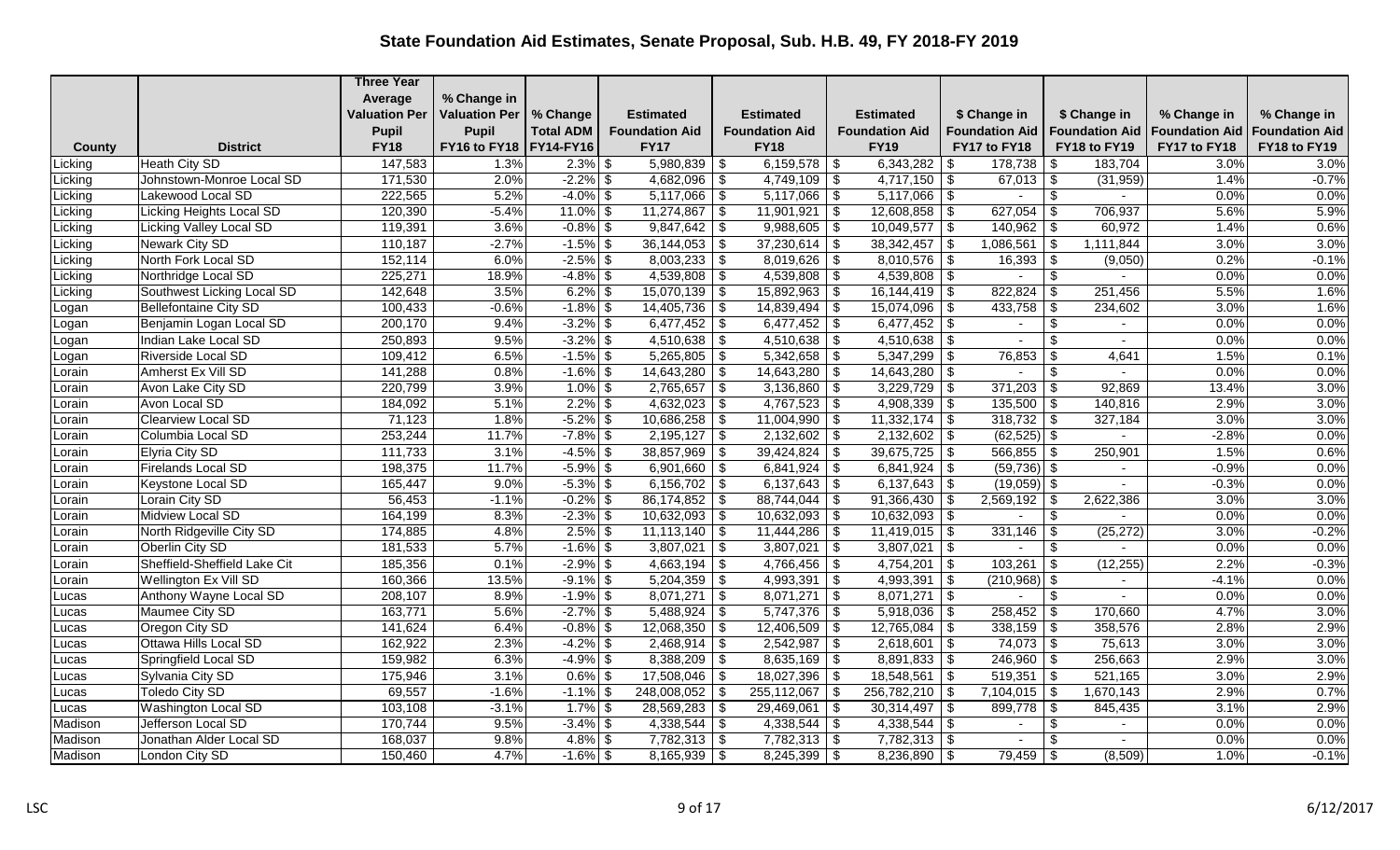|              |                              | <b>Three Year</b>    |                          |                   |                         |                           |                                |                                 |                                     |                       |                       |
|--------------|------------------------------|----------------------|--------------------------|-------------------|-------------------------|---------------------------|--------------------------------|---------------------------------|-------------------------------------|-----------------------|-----------------------|
|              |                              | Average              | % Change in              |                   |                         |                           |                                |                                 |                                     |                       |                       |
|              |                              | <b>Valuation Per</b> | <b>Valuation Per</b>     | % Change          | <b>Estimated</b>        | <b>Estimated</b>          | <b>Estimated</b>               | \$ Change in                    | \$ Change in                        | % Change in           | % Change in           |
|              |                              | <b>Pupil</b>         | <b>Pupil</b>             | <b>Total ADM</b>  | <b>Foundation Aid</b>   | <b>Foundation Aid</b>     | <b>Foundation Aid</b>          | <b>Foundation Aid</b>           | <b>Foundation Aid</b>               | <b>Foundation Aid</b> | <b>Foundation Aid</b> |
| County       | <b>District</b>              | <b>FY18</b>          | FY16 to FY18   FY14-FY16 |                   | <b>FY17</b>             | <b>FY18</b>               | <b>FY19</b>                    | FY17 to FY18                    | FY18 to FY19                        | FY17 to FY18          | FY18 to FY19          |
| Licking      | <b>Heath City SD</b>         | 147,583              | 1.3%                     | $2.3\%$ \$        | $5,980,839$ \$          | $6,159,578$ \ \ \$        | 6,343,282                      | 178,738                         | 183,704<br>-\$                      | 3.0%                  | 3.0%                  |
| Licking      | Johnstown-Monroe Local SD    | 171,530              | 2.0%                     | $-2.2\%$ \$       | $4,682,096$ \$          | $4,749,109$ \$            | 4,717,150                      | $67,013$ \$<br>\$               | (31, 959)                           | 1.4%                  | $-0.7%$               |
| Licking      | Lakewood Local SD            | 222,565              | 5.2%                     | $-4.0\%$ \$       | $5,117,066$ \$          | $5,117,066$ \$            | $5,117,066$ \ \$               | $\blacksquare$                  | $\frac{1}{2}$                       | 0.0%                  | 0.0%                  |
| Licking      | Licking Heights Local SD     | 120,390              | $-5.4%$                  | $11.0\sqrt{8}$ \$ | $11,274,867$ \$         | $11,901,921$ \$           | $12,608,858$ \ \\$             | $627,054$ \ \$                  | 706,937                             | 5.6%                  | 5.9%                  |
| Licking      | Licking Valley Local SD      | 119,391              | 3.6%                     | $-0.8\%$ \$       | $9,847,642$ \$          | $9,988,605$ \$            | 10,049,577                     | $140,962$ \ \$<br>\$            | 60,972                              | 1.4%                  | 0.6%                  |
| Licking      | <b>Newark City SD</b>        | 110,187              | $-2.7%$                  | $-1.5\%$ \$       | $36,144,053$ \$         | 37,230,614                | 38, 342, 457<br>$\sqrt{3}$     | 1,086,561<br>-\$                | 1,111,844<br>  \$                   | 3.0%                  | 3.0%                  |
| Licking      | North Fork Local SD          | 152,114              | 6.0%                     | $-2.5\%$ \$       | $8,003,233$ \$          | $8,019,626$ \$            | 8,010,576                      | $16,393$ \$<br>-\$              | (9,050)                             | 0.2%                  | $-0.1%$               |
| Licking      | Northridge Local SD          | 225,271              | 18.9%                    | $-4.8\%$ \$       | $4,539,808$ \$          | $4,539,808$ \$            | $4,539,808$ \$                 | $\sim$                          | \$                                  | 0.0%                  | 0.0%                  |
| Licking      | Southwest Licking Local SD   | 142,648              | 3.5%                     | $6.2\%$ \$        | $15,070,139$ \$         | $15,892,963$ \$           | 16,144,419                     | $822,824$ \$<br>\$              | 251,456                             | 5.5%                  | 1.6%                  |
| Logan        | <b>Bellefontaine City SD</b> | 100,433              | $-0.6%$                  | $-1.8\%$ \$       | $14,405,736$ \\$        | $14,839,494$ \\$          | 15,074,096                     | -\$                             | 234,602                             | 3.0%                  | 1.6%                  |
| ogan         | Benjamin Logan Local SD      | 200,170              | 9.4%                     | $-3.2\%$ \$       | 6,477,452 $\frac{1}{9}$ | $6,477,452$ \$            | 6,477,452                      | \$<br>$\sim$                    | $\boldsymbol{\mathsf{S}}$           | 0.0%                  | 0.0%                  |
| Logan        | Indian Lake Local SD         | 250,893              | 9.5%                     | $-3.2\%$ \$       | $4,510,638$ \$          |                           | 4,510,638                      | -\$<br>$\overline{\phantom{a}}$ | \$                                  | 0.0%                  | 0.0%                  |
| Logan        | Riverside Local SD           | 109,412              | 6.5%                     | $-1.5\%$ \$       | $5,265,805$ \$          | $\overline{5,342,658}$ \$ | 5,347,299                      | $76,853$ \$<br>\$               | 4,641                               | 1.5%                  | 0.1%                  |
| Lorain       | Amherst Ex Vill SD           | 141,288              | 0.8%                     | $-1.6\%$ \$       | $14,643,280$ \$         | $14,643,280$ \$           | 14,643,280                     | -\$                             | \$                                  | 0.0%                  | 0.0%                  |
| orain        | Avon Lake City SD            | 220,799              | 3.9%                     | $1.0\%$ \$        | $2,765,657$ \$          | $3,136,860$ \$            | 3,229,729                      | $371,203$ \$<br>\$              | 92,869                              | 13.4%                 | 3.0%                  |
| orain        | Avon Local SD                | 184,092              | 5.1%                     | $2.2\%$ \$        | $4,632,023$ \$          | $4,767,523$ \$            | 4,908,339                      | $135,500$ \$<br>\$.             | 140,816                             | 2.9%                  | 3.0%                  |
| Lorain       | <b>Clearview Local SD</b>    | 71,123               | 1.8%                     | $-5.2\%$ \$       | $10,686,258$ \\$        | $11,004,990$ \$           | 11,332,174                     | $318,732$ \$<br>-\$             | 327,184                             | 3.0%                  | 3.0%                  |
| orain        | Columbia Local SD            | 253,244              | 11.7%                    | $-7.8\%$ \$       | $2,195,127$ \$          | $2,132,602$ \$            | 2,132,602                      | $(62, 525)$ \$<br>\$            |                                     | $-2.8%$               | 0.0%                  |
| orain        | Elyria City SD               | 111,733              | 3.1%                     | $-4.5\%$ \$       | $38,857,969$ \$         | $39,424,824$ \$           | 39,675,725                     | \$<br>$566,855$ \ \$            | 250,901                             | 1.5%                  | 0.6%                  |
| orain        | <b>Firelands Local SD</b>    | 198,375              | 11.7%                    | $-5.9\%$ \$       | $6,901,660$ \$          | $6,841,924$ \$            |                                | $(59, 736)$ \$                  |                                     | $-0.9%$               | 0.0%                  |
| orain        | Keystone Local SD            | 165,447              | 9.0%                     | $-5.3\%$ \$       | $6,156,702$ \$          | $6,137,643$ \$            | $6,137,643$ \$                 | $(19,059)$ \$                   | $\sim$                              | $-0.3%$               | 0.0%                  |
| orain        | Lorain City SD               | 56,453               | $-1.1%$                  | $-0.2\%$ \$       | $86,174,852$ \$         | $88,744,044$ \\$          | 91,366,430                     | $2,569,192$ \$                  | 2,622,386                           | 3.0%                  | 3.0%                  |
| orain        | Midview Local SD             | 164,199              | 8.3%                     | $-2.3\%$ \$       | $10,632,093$ \$         | $10,632,093$ \$           | $10,632,093$ \$                | $\blacksquare$                  | \$                                  | 0.0%                  | 0.0%                  |
| orain        | North Ridgeville City SD     | 174,885              | 4.8%                     | $2.5\%$ \$        | $11,113,140$ \$         | $11,444,286$ \$           | $11,419,015$ \$                |                                 | (25, 272)                           | 3.0%                  | $-0.2%$               |
| _orain       | Oberlin City SD              | 181,533              | 5.7%                     | $-1.6\%$ \$       | $3,807,021$ \$          | 3,807,021                 | $\vert$ \$<br>3,807,021        | $\vert$ \$                      | \$                                  | 0.0%                  | 0.0%                  |
| orain        | Sheffield-Sheffield Lake Cit | 185,356              | 0.1%                     | $-2.9\%$ \$       | $4,663,194$ \$          | $4,766,456$ \$            | 4,754,201   \$                 |                                 | (12, 255)                           | 2.2%                  | $-0.3%$               |
| orain        | <b>Wellington Ex Vill SD</b> | 160,366              | 13.5%                    | $-9.1\%$ \$       | $5,204,359$ \$          | 4,993,391                 | l \$<br>4,993,391              | -\$<br>$(210,968)$ \$           |                                     | $-4.1%$               | 0.0%                  |
| <b>Lucas</b> | Anthony Wayne Local SD       | 208,107              | 8.9%                     | $-1.9\%$ \$       | $8,071,271$ \$          | $8,071,271$ \$            | $8,071,271$ \$                 | $\sim$                          | $\boldsymbol{\mathsf{S}}$<br>$\sim$ | 0.0%                  | 0.0%                  |
| Lucas        | Maumee City SD               | 163,771              | 5.6%                     | $-2.7\%$ \$       | $5,488,924$ \$          | $5,747,376$ \\$           | 5,918,036                      | \$<br>$258,452$ \$              | 170,660                             | 4.7%                  | 3.0%                  |
| <b>Lucas</b> | Oregon City SD               | 141,624              | 6.4%                     | $-0.8\%$ \$       | $12,068,350$ \$         | $12,406,509$ \$           | 12,765,084                     | $338,159$ \$<br>\$              | 358,576                             | 2.8%                  | 2.9%                  |
| <b>ucas</b>  | Ottawa Hills Local SD        | 162,922              | 2.3%                     | $-4.2\%$ \$       | $2,468,914$ \$          | $2,542,987$ \$            | 2,618,601                      | $74,073$ \$<br>$\sqrt{s}$       | 75,613                              | 3.0%                  | 3.0%                  |
| <b>Lucas</b> | Springfield Local SD         | 159,982              | 6.3%                     | $-4.9\%$ \$       | $8,388,209$ \$          | $8,635,169$ \$            | $8,891,833$   \$               | $246,960$ \ \$                  | 256,663                             | 2.9%                  | 3.0%                  |
| <b>Lucas</b> | Sylvania City SD             | 175,946              | 3.1%                     | $0.6\sqrt{3}$     | 17,508,046 \$           | $18,027,396$ \$           | 18,548,561                     | $519,351$ \$<br>\$              | 521,165                             | 3.0%                  | 2.9%                  |
| .ucas        | <b>Toledo City SD</b>        | 69,557               | $-1.6%$                  | $-1.1\%$ \$       | $248,008,052$ \$        | 255,112,067               | \$<br>256,782,210              | $7,104,015$ \$<br>-\$           | 1,670,143                           | 2.9%                  | 0.7%                  |
| Lucas        | Washington Local SD          | 103,108              | $-3.1%$                  | $1.7\%$ \$        | $28,569,283$ \$         | 29,469,061                | $30,314,497$ \\$<br>$\vert$ \$ | $899,778$ \$                    | 845,435                             | 3.1%                  | 2.9%                  |
| Madison      | Jefferson Local SD           | 170,744              | 9.5%                     | $-3.4\%$ \$       | $4,338,544$ \$          | 4,338,544   \$            | 4,338,544                      | \$<br>$\blacksquare$            | \$                                  | 0.0%                  | 0.0%                  |
| Madison      | Jonathan Alder Local SD      | 168,037              | 9.8%                     | $4.8\sqrt{5}$     | $7,782,313$ \$          | $7,782,313$ \$            | $7,782,313$ \\$                | $\sim$                          | -\$                                 | 0.0%                  | 0.0%                  |
| Madison      | London City SD               | 150,460              | 4.7%                     | $-1.6\%$ \$       | $8,165,939$ \$          | $8,245,399$ \$            | 8,236,890                      | $79,459$ \ \$<br>-\$            | (8,509)                             | 1.0%                  | $-0.1%$               |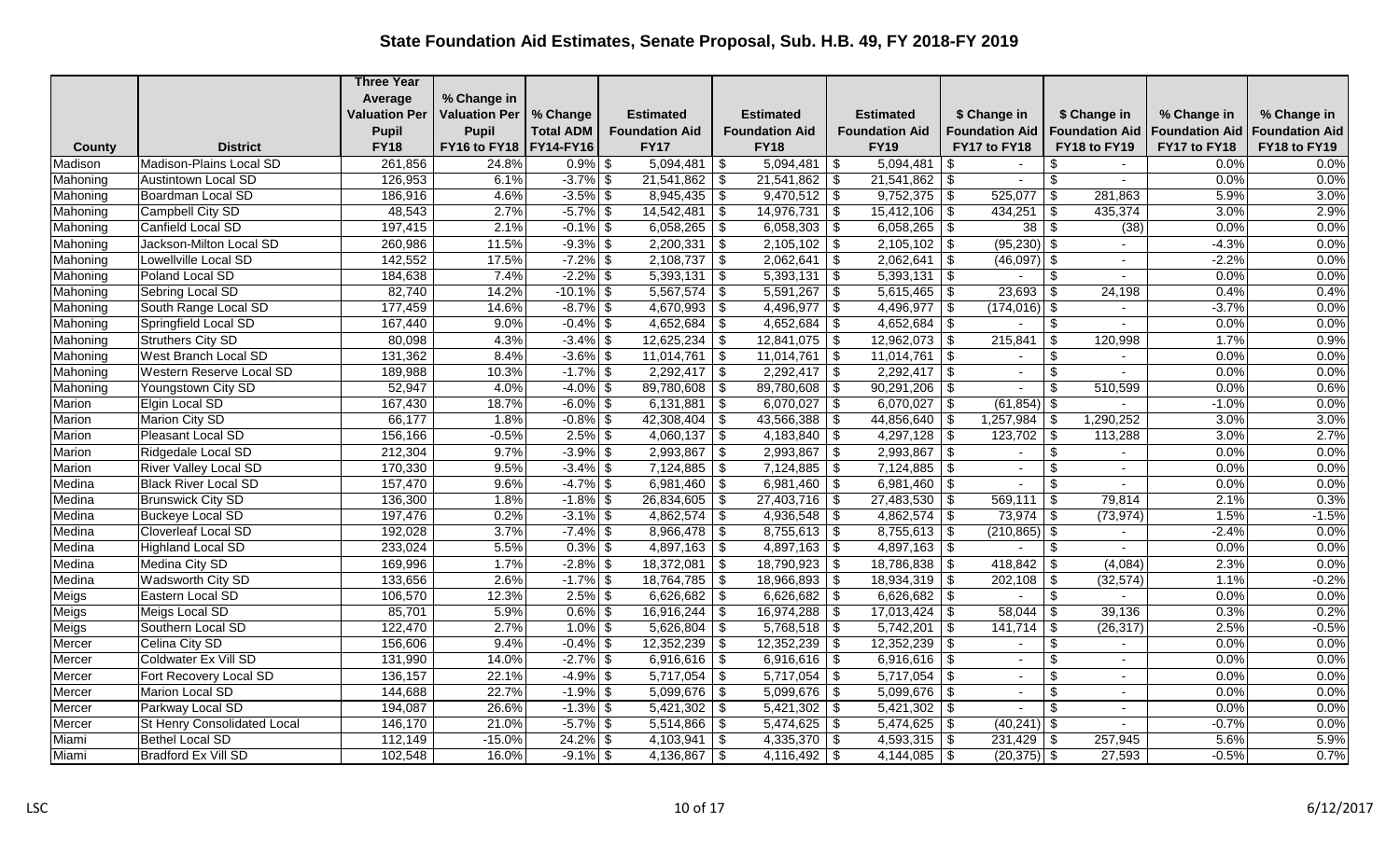|          |                              | <b>Three Year</b>    |                      |                  |                       |                         |                              |                                 |                                                   |                       |                       |
|----------|------------------------------|----------------------|----------------------|------------------|-----------------------|-------------------------|------------------------------|---------------------------------|---------------------------------------------------|-----------------------|-----------------------|
|          |                              | Average              | % Change in          |                  |                       |                         |                              |                                 |                                                   |                       |                       |
|          |                              | <b>Valuation Per</b> | <b>Valuation Per</b> | % Change         | <b>Estimated</b>      | <b>Estimated</b>        | <b>Estimated</b>             | \$ Change in                    | \$ Change in                                      | % Change in           | % Change in           |
|          |                              | <b>Pupil</b>         | <b>Pupil</b>         | <b>Total ADM</b> | <b>Foundation Aid</b> | <b>Foundation Aid</b>   | <b>Foundation Aid</b>        | Foundation Aid                  | <b>Foundation Aid</b>                             | <b>Foundation Aid</b> | <b>Foundation Aid</b> |
| County   | <b>District</b>              | <b>FY18</b>          | FY16 to FY18         | <b>FY14-FY16</b> | <b>FY17</b>           | <b>FY18</b>             | <b>FY19</b>                  | FY17 to FY18                    | FY18 to FY19                                      | FY17 to FY18          | FY18 to FY19          |
| Madison  | Madison-Plains Local SD      | 261,856              | 24.8%                | $0.9\%$ \$       | $5,094,481$ \$        | 5,094,481               | 5,094,481<br>  \$            | \$<br>$\overline{\phantom{a}}$  | \$                                                | 0.0%                  | 0.0%                  |
| Mahoning | <b>Austintown Local SD</b>   | 126,953              | 6.1%                 | $-3.7\%$ \$      | $21,541,862$ \$       | $21,541,862$ \$         | 21,541,862                   | \$<br>$\sim$                    | $\boldsymbol{\mathsf{S}}$<br>$\sim$               | 0.0%                  | 0.0%                  |
| Mahoning | Boardman Local SD            | 186,916              | 4.6%                 | $-3.5\%$ \$      | $8,945,435$ \$        | $9,470,512$ \$          | $9,752,375$ \$               | 525,077                         | \$<br>281,863                                     | 5.9%                  | 3.0%                  |
| Mahoning | Campbell City SD             | 48,543               | 2.7%                 | $-5.7\%$ \$      | $14,542,481$ \$       | $14,976,731$ \$         | 15,412,106                   | -\$                             | 435,374                                           | 3.0%                  | 2.9%                  |
| Mahoning | Canfield Local SD            | 197,415              | 2.1%                 | $-0.1\%$ \$      | $6,058,265$ \$        | $6,058,303$ \$          | 6,058,265                    | $38$ \ $\sqrt$$<br>-\$          | (38)                                              | 0.0%                  | 0.0%                  |
| Mahoning | Jackson-Milton Local SD      | 260,986              | 11.5%                | $-9.3\%$ \$      | $2,200,331$ \$        | $2,105,102$ \$          | $2,105,102$ \$               | $(95,230)$ \$                   | $\sim$                                            | $-4.3%$               | 0.0%                  |
| Mahoning | Lowellville Local SD         | 142,552              | 17.5%                | $-7.2\%$ \$      | $2,108,737$ \$        | 2,062,641               | \$<br>2,062,641              | $(46,097)$ \$<br>-\$            |                                                   | $-2.2%$               | 0.0%                  |
| Mahoning | Poland Local SD              | 184,638              | 7.4%                 | $-2.2\%$ \$      | $5,393,131$ \$        | 5,393,131               | \$<br>$5,393,131$ \\$        | $\sim$                          | \$                                                | 0.0%                  | 0.0%                  |
| Mahoning | Sebring Local SD             | 82,740               | 14.2%                | $-10.1\%$ \$     | $5,567,574$ \$        | 5,591,267               | 5,615,465<br>  \$            | $23,693$ \$<br>-\$              | 24,198                                            | 0.4%                  | 0.4%                  |
| Mahoning | South Range Local SD         | 177,459              | 14.6%                | $-8.7\%$ \$      | $4,670,993$ \$        | 4,496,977               | 4,496,977<br>$\vert$ \$      | $(174, 016)$ \$<br>l \$         | $\sim$                                            | $-3.7%$               | 0.0%                  |
| Mahoning | Springfield Local SD         | 167,440              | 9.0%                 | $-0.4\%$ \$      | $4,652,684$ \$        | 4,652,684 \\$           | 4,652,684                    | -\$                             | $\frac{1}{2}$                                     | 0.0%                  | 0.0%                  |
| Mahoning | <b>Struthers City SD</b>     | 80,098               | 4.3%                 | $-3.4\%$ \$      | $12,625,234$ \$       | $12,841,075$ \$         | 12,962,073                   | -\$<br>215,841                  | \$<br>120,998                                     | 1.7%                  | 0.9%                  |
| Mahoning | West Branch Local SD         | 131,362              | 8.4%                 | $-3.6\%$ \$      | $11,014,761$ \$       | 11,014,761              | 11,014,761<br>$\vert$ \$     | $\vert$ \$<br>$\sim$            | $\boldsymbol{\mathsf{S}}$<br>$\sim$               | 0.0%                  | 0.0%                  |
| Mahoning | Western Reserve Local SD     | 189,988              | 10.3%                | $-1.7\%$ \$      | $2,292,417$ \$        | $2,292,417$ \$          | $2,292,417$ \$               | $\blacksquare$                  | \$                                                | 0.0%                  | 0.0%                  |
| Mahoning | Youngstown City SD           | 52,947               | 4.0%                 | $-4.0\%$ \$      | 89,780,608 \$         | $89,780,608$ \$         | $90,291,206$ \\$             | $\sim$                          | \$<br>510,599                                     | 0.0%                  | 0.6%                  |
| Marion   | Elgin Local SD               | 167,430              | 18.7%                | $-6.0\%$ \$      | $6,131,881$ \$        | 6,070,027               | \$<br>6,070,027              | $(61, 854)$ \$<br>\$            |                                                   | $-1.0%$               | 0.0%                  |
| Marion   | <b>Marion City SD</b>        | 66,177               | 1.8%                 | $-0.8\%$ \$      | $42,308,404$ \$       | $43,566,388$ \$         | 44,856,640                   | 1,257,984<br>-\$                | 1,290,252<br>$\vert$ \$                           | 3.0%                  | 3.0%                  |
| Marion   | Pleasant Local SD            | 156,166              | $-0.5%$              | $2.5\%$ \$       | $4,060,137$ \$        | 4,183,840               | $\sqrt{3}$<br>4,297,128      | $123,702$ \$<br>\$              | 113,288                                           | 3.0%                  | 2.7%                  |
| Marion   | Ridgedale Local SD           | 212,304              | 9.7%                 | $-3.9\%$ \$      | $2,993,867$ \$        | 2,993,867               | $\sqrt{s}$<br>$2,993,867$ \$ | $\sim$                          | $\boldsymbol{\mathsf{S}}$                         | 0.0%                  | 0.0%                  |
| Marion   | <b>River Valley Local SD</b> | 170,330              | 9.5%                 | $-3.4\%$ \$      | $7,124,885$ \$        | $7,124,885$ \$          | 7,124,885                    | -\$<br>$\blacksquare$           | \$                                                | 0.0%                  | 0.0%                  |
| Medina   | <b>Black River Local SD</b>  | 157,470              | 9.6%                 | $-4.7\%$ \$      | $6,981,460$ \$        | $6,981,460$ \$          | $6,981,460$ \$               | $\sim$                          | \$<br>$\sim$                                      | 0.0%                  | 0.0%                  |
| Medina   | <b>Brunswick City SD</b>     | 136,300              | 1.8%                 | $-1.8\%$ \$      | 26,834,605   \$       | $27,403,716$ \$         | 27,483,530                   | \$<br>$569,111$   \$            | 79,814                                            | 2.1%                  | 0.3%                  |
| Medina   | <b>Buckeye Local SD</b>      | 197,476              | 0.2%                 | $-3.1\%$ \$      | $4,862,574$ \$        | 4,936,548 $\frac{1}{3}$ | 4,862,574                    | $73,974$ \\$<br>-\$             | (73, 974)                                         | 1.5%                  | $-1.5%$               |
| Medina   | <b>Cloverleaf Local SD</b>   | 192,028              | 3.7%                 | $-7.4\%$ \$      | $8,966,478$ \$        | $8,755,613$ \$          | 8,755,613                    | $(210, 865)$ \$<br>-\$          |                                                   | $-2.4%$               | 0.0%                  |
| Medina   | <b>Highland Local SD</b>     | 233,024              | 5.5%                 | $0.3\%$ \$       | $4,897,163$ \$        | $4,897,163$ \$          | $4,897,163$ \\$              |                                 | \$                                                | 0.0%                  | 0.0%                  |
| Medina   | Medina City SD               | 169,996              | 1.7%                 | $-2.8\%$ \$      | $18,372,081$ \$       | $18,790,923$ \$         | 18,786,838                   | 418,842   \$<br>-\$             | (4,084)                                           | 2.3%                  | 0.0%                  |
| Medina   | Wadsworth City SD            | 133,656              | 2.6%                 | $-1.7\%$ \$      | $18,764,785$ \$       | $18,966,893$ \$         | 18,934,319                   | -\$                             | (32, 574)                                         | 1.1%                  | $-0.2%$               |
| Meigs    | Eastern Local SD             | 106,570              | 12.3%                | $2.5\%$ \$       | $6,626,682$ \$        | $6,626,682$ \$          | $6,626,682$ \$               | $\sim$                          | $\sqrt[6]{3}$<br>$\sim$                           | 0.0%                  | 0.0%                  |
| Meigs    | Meigs Local SD               | 85,701               | 5.9%                 | $0.6\%$ \$       | $16,916,244$ \$       | $16,974,288$ \$         | 17,013,424                   | 58,044<br>-\$                   | -\$<br>39,136                                     | 0.3%                  | 0.2%                  |
| Meigs    | Southern Local SD            | 122,470              | 2.7%                 | $1.0\%$ \$       | $5,626,804$ \$        | $5,768,518$ \$          | 5,742,201                    | -\$<br>141,714                  | $\vert$ \$<br>(26, 317)                           | 2.5%                  | $-0.5%$               |
| Mercer   | Celina City SD               | 156,606              | 9.4%                 | $-0.4\%$ \$      | $12,352,239$ \$       | $12,352,239$ \$         | 12,352,239                   | \$.<br>$\blacksquare$           | \$                                                | 0.0%                  | 0.0%                  |
| Mercer   | Coldwater Ex Vill SD         | 131,990              | 14.0%                | $-2.7\%$ \$      | $6,916,616$ \$        | $6,916,616$ \$          | $6,916,616$ \$               | $\sim$                          | \$<br>$\sim$                                      | 0.0%                  | 0.0%                  |
| Mercer   | Fort Recovery Local SD       | 136,157              | 22.1%                | $-4.9%$ \$       | $5,717,054$ \$        | $5,717,054$ \$          | 5,717,054                    | \$<br>$\sim$                    | \$                                                | 0.0%                  | 0.0%                  |
| Mercer   | Marion Local SD              | 144,688              | 22.7%                | $-1.9\%$ \$      | $5,099,676$ \$        | $5,099,676$ \$          | 5,099,676                    | -\$<br>$\overline{\phantom{a}}$ | $\boldsymbol{\theta}$<br>$\overline{\phantom{a}}$ | 0.0%                  | 0.0%                  |
| Mercer   | Parkway Local SD             | 194,087              | 26.6%                | $-1.3\%$ \$      | $5,421,302$ \$        | $5,421,302$ \$          | 5,421,302                    | -\$                             | \$                                                | 0.0%                  | 0.0%                  |
| Mercer   | St Henry Consolidated Local  | 146,170              | 21.0%                | $-5.7\%$ \$      | $5,514,866$ \$        | $5,474,625$ \$          | 5,474,625                    | $(40,241)$ \$<br>-\$            | $\sim$                                            | $-0.7%$               | 0.0%                  |
| Miami    | <b>Bethel Local SD</b>       | 112,149              | $-15.0%$             | $24.2\%$ \$      | $4,103,941$ \$        | $4,335,370$ \$          | $4,593,315$ \$               | $231,429$ \ \$                  | 257,945                                           | 5.6%                  | 5.9%                  |
| Miami    | <b>Bradford Ex Vill SD</b>   | 102,548              | 16.0%                | $-9.1\%$ \$      | 4,136,867   \$        | $4,116,492$ \\$         |                              | $(20, 375)$ \$                  | 27,593                                            | $-0.5%$               | 0.7%                  |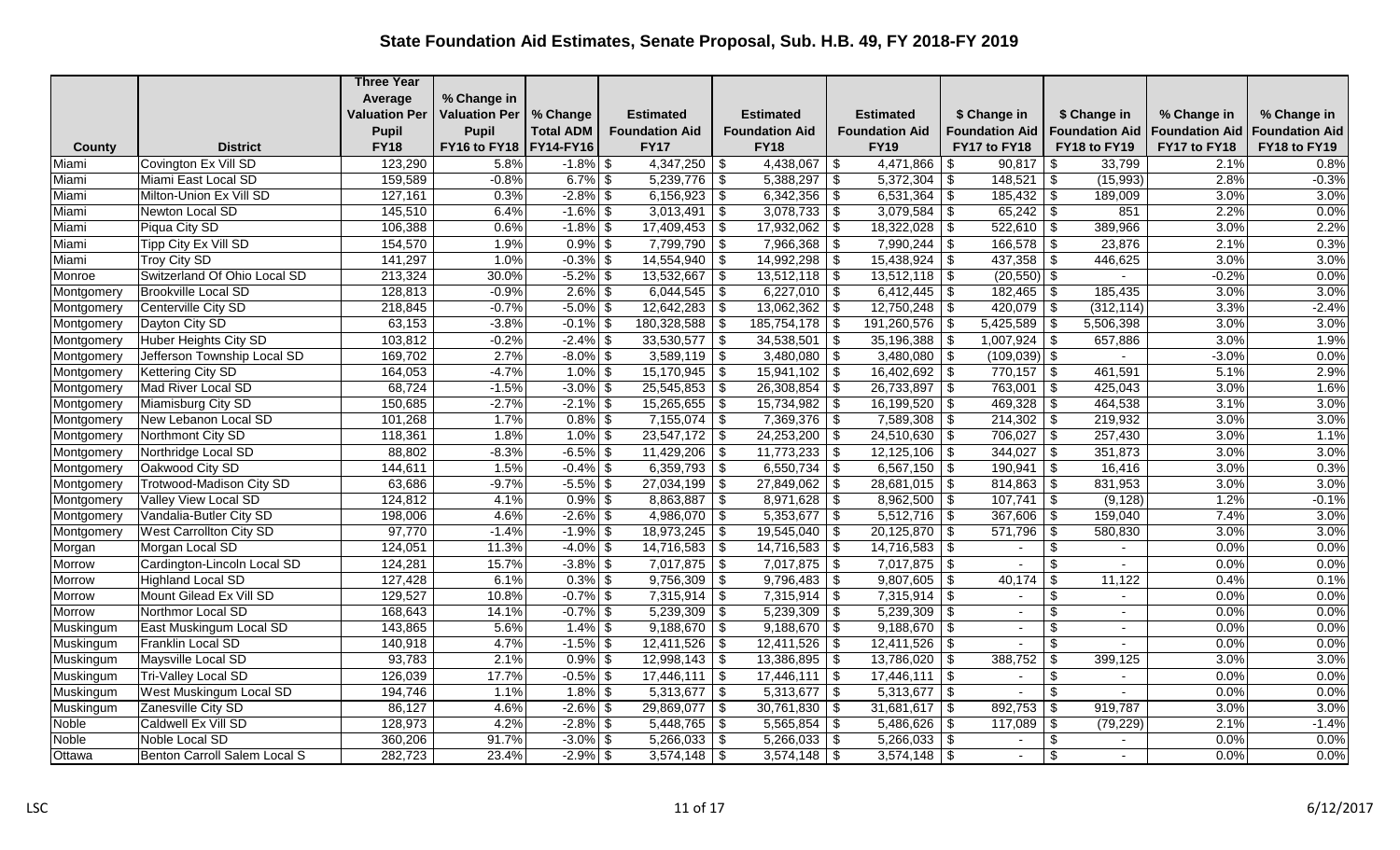|            |                                | <b>Three Year</b>    |                          |                  |                       |                       |                                |                        |                                     |                       |                       |
|------------|--------------------------------|----------------------|--------------------------|------------------|-----------------------|-----------------------|--------------------------------|------------------------|-------------------------------------|-----------------------|-----------------------|
|            |                                | Average              | % Change in              |                  |                       |                       |                                |                        |                                     |                       |                       |
|            |                                | <b>Valuation Per</b> | <b>Valuation Per</b>     | % Change         | <b>Estimated</b>      | <b>Estimated</b>      | <b>Estimated</b>               | \$ Change in           | \$ Change in                        | % Change in           | % Change in           |
|            |                                | <b>Pupil</b>         | <b>Pupil</b>             | <b>Total ADM</b> | <b>Foundation Aid</b> | <b>Foundation Aid</b> | <b>Foundation Aid</b>          | <b>Foundation Aid</b>  | <b>Foundation Aid</b>               | <b>Foundation Aid</b> | <b>Foundation Aid</b> |
| County     | <b>District</b>                | <b>FY18</b>          | FY16 to FY18   FY14-FY16 |                  | <b>FY17</b>           | <b>FY18</b>           | <b>FY19</b>                    | FY17 to FY18           | FY18 to FY19                        | FY17 to FY18          | FY18 to FY19          |
| Miami      | Covington Ex Vill SD           | 123,290              | 5.8%                     | $-1.8\%$ \$      | $4,347,250$ \\$       | $4,438,067$ \ \ \$    | 4,471,866                      | 90,817<br>\$           | 33,799<br>  \$                      | 2.1%                  | 0.8%                  |
| Miami      | Miami East Local SD            | 159,589              | $-0.8%$                  | $6.7\%$ \$       | $5,239,776$ \$        | $5,388,297$ \$        | 5,372,304                      | \$                     | (15,993)                            | 2.8%                  | $-0.3%$               |
| Miami      | Milton-Union Ex Vill SD        | 127,161              | 0.3%                     | $-2.8\%$ \$      | $6,156,923$ \$        | $6,342,356$ \$        | $6,531,364$ \$                 | $185,432$ \$           | 189,009                             | 3.0%                  | 3.0%                  |
| Miami      | Newton Local SD                | 145,510              | 6.4%                     | $-1.6\%$ \$      | $3,013,491$ \$        | $3,078,733$ \$        | $3,079,584$ \$                 |                        | 851                                 | 2.2%                  | 0.0%                  |
| Miami      | Piqua City SD                  | 106,388              | 0.6%                     | $-1.8\%$ \$      | $17,409,453$ \$       | $17,932,062$ \$       | 18,322,028                     | $522,610$ \ \$<br>\$   | 389,966                             | 3.0%                  | 2.2%                  |
| Miami      | Tipp City Ex Vill SD           | 154,570              | 1.9%                     | $0.9\%$ \$       | $7,799,790$ \$        | $7,966,368$ \$        | $7,990,244$ \$                 | $166,578$ \$           | 23,876                              | 2.1%                  | 0.3%                  |
| Miami      | Troy City SD                   | 141,297              | 1.0%                     | $-0.3\%$ \$      | $14,554,940$ \$       | 14,992,298            | $\sqrt{S}$<br>15,438,924       | \$                     | 446,625                             | 3.0%                  | 3.0%                  |
| Monroe     | Switzerland Of Ohio Local SD   | 213,324              | 30.0%                    | $-5.2\%$ \$      | $13,532,667$ \$       | 13,512,118            | $\sqrt{s}$<br>$13,512,118$ \\$ | $(20, 550)$ \$         | $\sim$                              | $-0.2%$               | 0.0%                  |
| Montgomery | <b>Brookville Local SD</b>     | 128,813              | $-0.9%$                  | $2.6\%$ \$       | $6,044,545$ \$        | $6,227,010$ \$        | 6,412,445                      | l \$                   | 185,435                             | 3.0%                  | 3.0%                  |
| Montgomery | Centerville City SD            | 218,845              | $-0.7%$                  | $-5.0\%$ \$      | $12,642,283$ \$       | $13,062,362$ \$       | $12,750,248$ \\$               | $420,079$ \$           | (312, 114)                          | 3.3%                  | $-2.4%$               |
| Montgomery | Dayton City SD                 | 63,153               | $-3.8%$                  | $-0.1\%$ \$      | 180,328,588 \$        | 185,754,178           | $\vert$ \$<br>191,260,576      | $5,425,589$ \$         | 5,506,398                           | 3.0%                  | 3.0%                  |
| Montgomery | Huber Heights City SD          | 103,812              | $-0.2%$                  | $-2.4%$          | \$<br>$33,530,577$ \$ | 34,538,501            | \$<br>35,196,388               | $1,007,924$ \$<br>- \$ | 657,886                             | 3.0%                  | 1.9%                  |
| Montgomery | Jefferson Township Local SD    | 169,702              | 2.7%                     | $-8.0\%$ \$      | $3,589,119$ \$        | $3,480,080$ \$        | $3,480,080$ \$                 | $(109,039)$ \$         | $\sim$                              | $-3.0%$               | 0.0%                  |
| Montgomery | Kettering City SD              | 164,053              | $-4.7%$                  | $1.0\%$ \$       | $15,170,945$ \$       | $15,941,102$ \$       | $16,402,692$ \$                | $770,157$ \$           | 461,591                             | 5.1%                  | 2.9%                  |
| Montgomery | Mad River Local SD             | 68,724               | $-1.5%$                  | $-3.0\%$ \$      | $25,545,853$ \$       | 26,308,854            | $\sqrt{s}$<br>26,733,897       | l \$<br>$763,001$ \$   | 425,043                             | 3.0%                  | 1.6%                  |
| Montgomery | Miamisburg City SD             | 150,685              | $-2.7%$                  | $-2.1\%$ \$      | $15,265,655$ \$       | $15,734,982$ \$       | 16,199,520                     | $469,328$ \$<br>\$     | 464,538                             | 3.1%                  | 3.0%                  |
| Montgomery | New Lebanon Local SD           | 101,268              | 1.7%                     | $0.8\%$ \$       | $7,155,074$ \$        | $7,369,376$ \$        | $7,589,308$ \$                 | $214,302$ \$           | 219,932                             | 3.0%                  | 3.0%                  |
| Montgomery | Northmont City SD              | 118,361              | 1.8%                     | $1.0\%$ \$       | $23,547,172$ \$       | $24,253,200$ \$       | 24,510,630                     | $706,027$ \$<br>-\$    | 257,430                             | 3.0%                  | 1.1%                  |
| Montgomery | Northridge Local SD            | 88,802               | $-8.3%$                  | $-6.5\%$ \$      | $11,429,206$ \\$      | $11,773,233$ \$       | $12,125,106$ \\$               | $344,027$ \ \$         | 351,873                             | 3.0%                  | 3.0%                  |
| Montgomery | Oakwood City SD                | 144,611              | 1.5%                     | $-0.4\%$ \$      | $6,359,793$ \$        | 6,550,734             | $\sqrt{3}$<br>$6,567,150$ \$   | $190,941$ \$           | 16,416                              | 3.0%                  | 0.3%                  |
| Montgomery | Trotwood-Madison City SD       | 63,686               | $-9.7%$                  | $-5.5\%$ \$      | $27,034,199$ \$       | $27,849,062$ \$       | $28,681,015$ \$                | $\sqrt{814,863}$ \$    | 831,953                             | 3.0%                  | 3.0%                  |
| Montgomery | Valley View Local SD           | 124,812              | 4.1%                     | $0.9\%$ \$       | $8,863,887$ \$        | $8,971,628$ \$        | $8,962,500$ \$                 | $107,741$ \$           | (9, 128)                            | 1.2%                  | $-0.1%$               |
| Montgomery | Vandalia-Butler City SD        | 198,006              | 4.6%                     | $-2.6\%$ \$      | $4,986,070$ \$        | 5,353,677             | $\sqrt{s}$<br>$5,512,716$ \\$  | $367,606$ \ \$         | 159,040                             | 7.4%                  | 3.0%                  |
| Montgomery | <b>West Carrollton City SD</b> | 97,770               | $-1.4%$                  | $-1.9\%$ \$      | $18,973,245$ \$       | $19,545,040$ \$       | $20,125,870$ \$                | $571,796$ \$           | 580,830                             | 3.0%                  | 3.0%                  |
| Morgan     | Morgan Local SD                | 124,051              | 11.3%                    | $-4.0\%$ \$      | $14,716,583$ \$       | $14,716,583$ \$       | $14,716,583$ \$                | $\sim$                 | $\sqrt[6]{2}$                       | 0.0%                  | 0.0%                  |
| Morrow     | Cardington-Lincoln Local SD    | 124,281              | 15.7%                    | $-3.8\%$ \$      | $7,017,875$ \$        | $7,017,875$ \$        | $7,017,875$ \$                 | $\sim$                 | -\$<br>$\sim$                       | 0.0%                  | 0.0%                  |
| Morrow     | <b>Highland Local SD</b>       | 127,428              | 6.1%                     | $0.3\%$ \$       | $9,756,309$ \$        | 9,796,483             | $\sqrt{3}$<br>9,807,605        | - \$<br>40,174         | -\$<br>11,122                       | 0.4%                  | 0.1%                  |
| Morrow     | Mount Gilead Ex Vill SD        | 129,527              | 10.8%                    | $-0.7\%$ \$      | $7,315,914$ \$        | 7,315,914             | $7,315,914$ \$<br>$\vert$ \$   | $\sim$                 | $\boldsymbol{\mathsf{S}}$<br>$\sim$ | 0.0%                  | 0.0%                  |
| Morrow     | Northmor Local SD              | 168,643              | 14.1%                    | $-0.7\%$ \$      | $5,239,309$ \$        | 5,239,309             | $\vert$ \$<br>5,239,309        | -\$<br>$\sim$          | \$                                  | 0.0%                  | 0.0%                  |
| Muskingum  | East Muskingum Local SD        | 143,865              | 5.6%                     | $1.4\%$ \$       | $9,188,670$ \$        | $9,188,670$ \$        | $9,188,670$ \\$                | $\overline{a}$         | $\frac{1}{2}$<br>$\overline{a}$     | 0.0%                  | 0.0%                  |
| Muskingum  | Franklin Local SD              | 140,918              | 4.7%                     | $-1.5\%$ \$      | $12,411,526$ \$       |                       | 12,411,526                     | -\$                    | $\boldsymbol{\mathsf{S}}$           | 0.0%                  | 0.0%                  |
| Muskingum  | Maysville Local SD             | 93,783               | 2.1%                     | $0.9\%$ \$       | $12,998,143$ \$       | $13,386,895$ \$       | 13,786,020                     | 388,752<br>  \$        | 399,125<br>-\$                      | 3.0%                  | 3.0%                  |
| Muskingum  | Tri-Valley Local SD            | 126,039              | 17.7%                    | $-0.5\%$ \$      | $17,446,111$ \$       | 17,446,111            | $\vert$ \$<br>$17,446,111$ \\$ | $\sim$                 | \$                                  | 0.0%                  | 0.0%                  |
| Muskingum  | <b>West Muskingum Local SD</b> | 194,746              | 1.1%                     | $1.8\%$ \$       | $5,313,677$ \$        | 5,313,677             | l \$<br>$5,313,677$ \\$        |                        | $\boldsymbol{\mathsf{S}}$           | 0.0%                  | 0.0%                  |
| Muskingum  | Zanesville City SD             | 86,127               | 4.6%                     | $-2.6\%$ \$      | $29,869,077$ \$       | $30,761,830$ \$       | $31,681,617$ \$                | $892,753$ \$           | 919,787                             | 3.0%                  | 3.0%                  |
| Noble      | Caldwell Ex Vill SD            | 128,973              | 4.2%                     | $-2.8\%$ \$      | $5,448,765$ \$        | $5,565,854$ \$        | $5,486,626$ \$                 | $117,089$ \$           | (79, 229)                           | 2.1%                  | $-1.4%$               |
| Noble      | Noble Local SD                 | 360,206              | 91.7%                    | $-3.0\%$ \$      | $5,266,033$ \$        | $5,266,033$ \$        | $5,266,033$ \$                 | $\sim$                 | \$                                  | 0.0%                  | 0.0%                  |
| Ottawa     | Benton Carroll Salem Local S   | 282,723              | 23.4%                    | $-2.9%$ \$       | 3,574,148             | \$<br>$3,574,148$ \$  | 3,574,148                      | - \$                   | $\overline{\mathcal{S}}$            | 0.0%                  | 0.0%                  |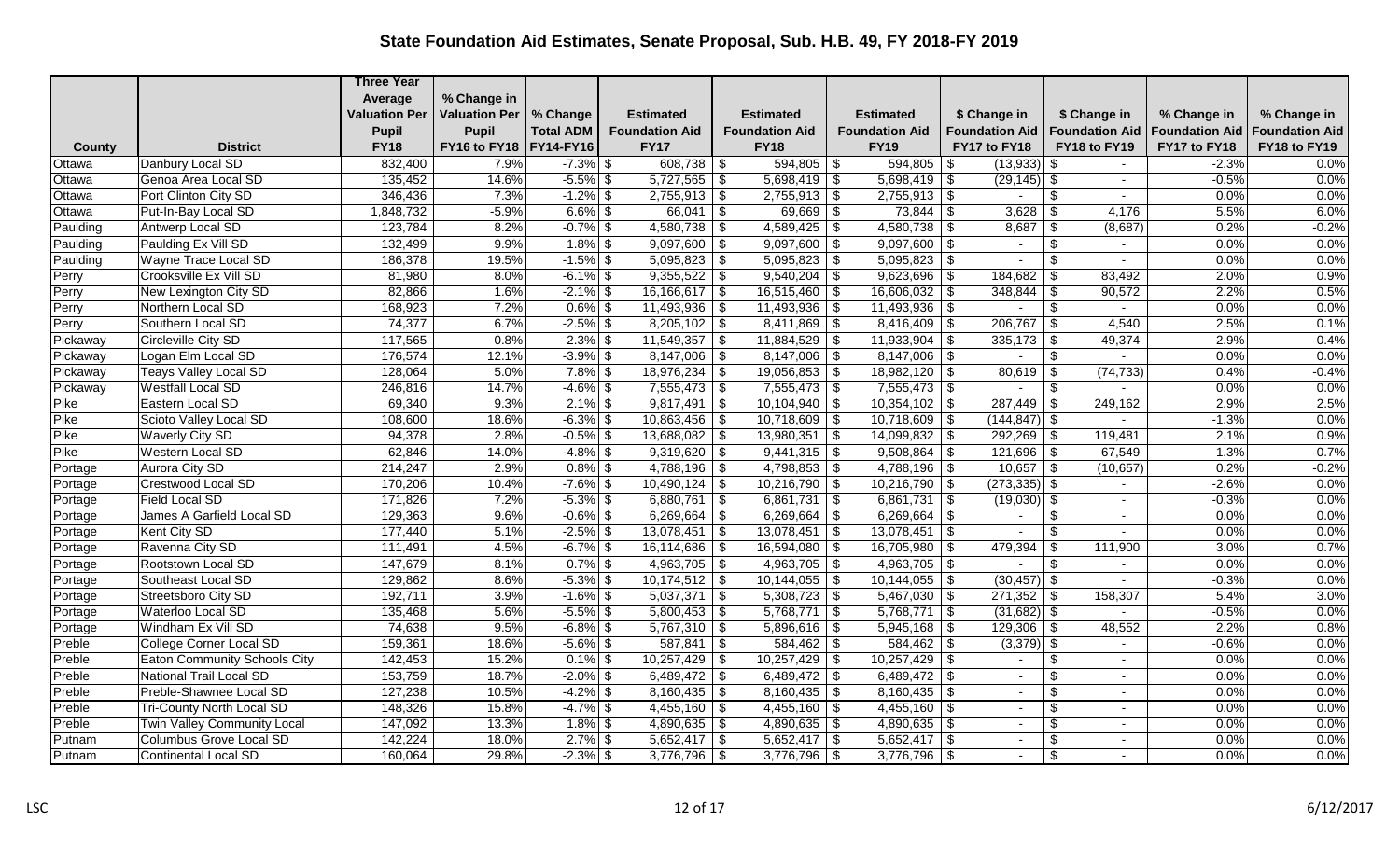|          |                              | <b>Three Year</b>    |                          |                  |                       |                         |                               |                             |                         |                       |                       |
|----------|------------------------------|----------------------|--------------------------|------------------|-----------------------|-------------------------|-------------------------------|-----------------------------|-------------------------|-----------------------|-----------------------|
|          |                              | Average              | % Change in              |                  |                       |                         |                               |                             |                         |                       |                       |
|          |                              | <b>Valuation Per</b> | <b>Valuation Per</b>     | % Change         | <b>Estimated</b>      | <b>Estimated</b>        | <b>Estimated</b>              | \$ Change in                | \$ Change in            | % Change in           | % Change in           |
|          |                              | <b>Pupil</b>         | <b>Pupil</b>             | <b>Total ADM</b> | <b>Foundation Aid</b> | <b>Foundation Aid</b>   | <b>Foundation Aid</b>         | <b>Foundation Aid</b>       | <b>Foundation Aid</b>   | <b>Foundation Aid</b> | <b>Foundation Aid</b> |
| County   | <b>District</b>              | <b>FY18</b>          | FY16 to FY18   FY14-FY16 |                  | <b>FY17</b>           | <b>FY18</b>             | <b>FY19</b>                   | FY17 to FY18                | FY18 to FY19            | FY17 to FY18          | FY18 to FY19          |
| Ottawa   | Danbury Local SD             | 832,400              | 7.9%                     | $-7.3\%$ \$      |                       | $594,805$ \$            | 594,805                       | $(13,933)$ \$<br>- \$       |                         | $-2.3%$               | 0.0%                  |
| Ottawa   | Genoa Area Local SD          | 135,452              | 14.6%                    | $-5.5\%$ \$      | $5,727,565$ \$        | $5,698,419$ \$          | $5,698,419$ \$                | $(29, 145)$ \$              | $\sim$                  | $-0.5%$               | 0.0%                  |
| Ottawa   | Port Clinton City SD         | 346,436              | 7.3%                     | $-1.2\%$ \$      | $2,755,913$ \$        | $2,755,913$ \$          | $2,755,913$ \$                | $\sim$                      | \$<br>$\sim$            | 0.0%                  | 0.0%                  |
| Ottawa   | Put-In-Bay Local SD          | 1,848,732            | $-5.9%$                  | $6.6\%$ \$       | $66,041$ \$           | $69,669$ \$             | 73,844                        | -\$                         | 4,176                   | 5.5%                  | 6.0%                  |
| Paulding | Antwerp Local SD             | 123,784              | 8.2%                     | $-0.7\%$ \$      | $4,580,738$ \$        | $4,589,425$ \$          | 4,580,738                     | \$                          | (8,687)                 | 0.2%                  | $-0.2%$               |
| Paulding | Paulding Ex Vill SD          | 132,499              | 9.9%                     | $1.8\%$ \$       | $9,097,600$ \$        | $9,097,600$ \$          | $9,097,600$ \$                | $\sim$                      | $\sqrt[6]{3}$<br>$\sim$ | 0.0%                  | 0.0%                  |
| Paulding | Wayne Trace Local SD         | 186,378              | 19.5%                    | $-1.5\%$ \$      | $5,095,823$ \$        | $5,095,823$ \$          | 5,095,823                     | -\$                         | \$                      | 0.0%                  | 0.0%                  |
| Perry    | Crooksville Ex Vill SD       | 81,980               | 8.0%                     | $-6.1\%$ \$      | $9,355,522$ \$        | $9,540,204$ \$          | 9,623,696                     | l \$                        | 83.492                  | 2.0%                  | 0.9%                  |
| Perry    | New Lexington City SD        | 82,866               | 1.6%                     | $-2.1\%$ \$      | $16,166,617$ \$       | $16,515,460$ \$         | 16,606,032                    | 348,844<br>\$               | 90,572<br>- \$          | 2.2%                  | 0.5%                  |
| Perry    | Northern Local SD            | 168,923              | 7.2%                     | $0.6\%$ \$       | $11,493,936$ \$       | $11,493,936$ \$         | $11,493,936$ \$               | $\blacksquare$              | $\frac{1}{2}$           | 0.0%                  | 0.0%                  |
| Perry    | Southern Local SD            | 74,377               | 6.7%                     | $-2.5\%$ \$      | $8,205,102$ \$        | $8,411,869$ \$          | 8,416,409                     | -\$<br>$206,767$ \ \$       | 4,540                   | 2.5%                  | 0.1%                  |
| Pickaway | Circleville City SD          | 117,565              | 0.8%                     | $2.3\%$ \$       | $11,549,357$ \\$      | $11,884,529$ \ \$       | 11,933,904                    | \$<br>$335,173$ \$          | 49,374                  | 2.9%                  | 0.4%                  |
| Pickaway | Logan Elm Local SD           | 176,574              | 12.1%                    | $-3.9\%$ \$      | $8,147,006$ \$        | $8,147,006$ \$          |                               | $\sim$                      | $\sqrt[6]{2}$           | 0.0%                  | 0.0%                  |
| Pickaway | <b>Teays Valley Local SD</b> | 128,064              | 5.0%                     | $7.8\%$ \$       | $18,976,234$ \$       | 19,056,853              | $18,982,120$ \$<br>$\vert$ \$ | $80,619$ \ \$               | (74, 733)               | 0.4%                  | $-0.4%$               |
| Pickaway | <b>Westfall Local SD</b>     | 246,816              | 14.7%                    | $-4.6\%$ \$      | $7,555,473$ \$        | $7,555,473$ \$          | $7,555,473$ \$                | $\sim$                      | -\$<br>$\sim$           | 0.0%                  | 0.0%                  |
| Pike     | Eastern Local SD             | 69,340               | 9.3%                     | $2.1\%$ \$       | $9,817,491$ \$        | $10,104,940$ \$         | 10,354,102                    | $287,449$ \ \$<br>-\$       | 249,162                 | 2.9%                  | 2.5%                  |
| Pike     | Scioto Valley Local SD       | 108,600              | 18.6%                    | $-6.3\%$ \$      | $10,863,456$ \$       | $10,718,609$ \$         | $10,718,609$ \$               | $(144, 847)$ \$             |                         | $-1.3%$               | 0.0%                  |
| Pike     | <b>Waverly City SD</b>       | 94,378               | 2.8%                     | $-0.5\%$ \$      | 13,688,082 \$         | 13,980,351              | \$<br>14,099,832              | $292,269$ \$<br>-\$         | 119,481                 | 2.1%                  | 0.9%                  |
| Pike     | Western Local SD             | 62,846               | 14.0%                    | $-4.8\%$ \$      | $9,319,620$ \$        | $9,441,315$ \$          | 9,508,864                     | $121,696$ \$<br>l \$        | 67,549                  | 1.3%                  | 0.7%                  |
| Portage  | Aurora City SD               | 214,247              | 2.9%                     | $0.8\%$ \$       | $4,788,196$ \$        | $4,798,853$ \$          | $4,788,196$ \$                | $10,657$ \$                 | (10, 657)               | 0.2%                  | $-0.2%$               |
| Portage  | <b>Crestwood Local SD</b>    | 170,206              | 10.4%                    | $-7.6\%$ \$      | $10,490,124$ \\$      | $10,216,790$ \$         | $10,216,790$ \\$              | $(273, 335)$ \$             | $\sim$                  | $-2.6%$               | 0.0%                  |
| Portage  | Field Local SD               | 171,826              | 7.2%                     | $-5.3\%$ \$      | 6,880,761   \$        | 6,861,731               | $\vert$ \$<br>6,861,731       | $\vert$ \$<br>$(19,030)$ \$ |                         | $-0.3%$               | 0.0%                  |
| Portage  | James A Garfield Local SD    | 129,363              | 9.6%                     | $-0.6\%$ \$      | $6,269,664$ \$        | 6,269,664               | 6,269,664<br>  \$             | -\$<br>$\sim$               | $\frac{1}{2}$           | 0.0%                  | 0.0%                  |
| Portage  | Kent City SD                 | 177,440              | 5.1%                     | $-2.5\%$ \$      | $13,078,451$ \$       | 13,078,451              | 13,078,451<br>l \$            | $\vert$ \$<br>$\omega$      | $\sqrt[6]{3}$<br>$\sim$ | 0.0%                  | 0.0%                  |
| Portage  | Ravenna City SD              | 111,491              | 4.5%                     | $-6.7\%$ \$      | $16,114,686$ \ \$     | $16,594,080$ \$         | $16,705,980$   \$             | 479,394                     | \$<br>111,900           | 3.0%                  | 0.7%                  |
| Portage  | Rootstown Local SD           | 147,679              | 8.1%                     | $0.7\%$ \$       | $4,963,705$ \$        | $4,963,705$ \$          | $4,963,705$ \$                | $\sim$                      | \$<br>$\sim$            | 0.0%                  | 0.0%                  |
| Portage  | Southeast Local SD           | 129,862              | 8.6%                     | $-5.3\%$ \$      | $10,174,512$ \$       | 10,144,055              | $\sqrt{s}$<br>10,144,055      | $(30, 457)$ \$<br>-\$       |                         | $-0.3%$               | 0.0%                  |
| Portage  | Streetsboro City SD          | 192,711              | 3.9%                     | $-1.6\%$ \$      | $5,037,371$ \$        | $5,308,723$ \$          | $5,467,030$ \$                | $271,352$ \$                | 158,307                 | 5.4%                  | 3.0%                  |
| Portage  | Waterloo Local SD            | 135,468              | 5.6%                     | $-5.5\%$ \$      | $5,800,453$ \$        | 5,768,771               | $\vert$ \$<br>$5,768,771$ \\$ | $(31,682)$ \$               |                         | $-0.5%$               | 0.0%                  |
| Portage  | Windham Ex Vill SD           | 74,638               | 9.5%                     | $-6.8\%$ \$      | $5,767,310$ \$        | $5,896,616$ \$          | $5,945,168$ \$                |                             | 48,552                  | 2.2%                  | 0.8%                  |
| Preble   | College Corner Local SD      | 159,361              | 18.6%                    | $-5.6\%$ \$      | 587,841               | \$                      | 584,462                       | $(3,379)$ \$<br>\$          |                         | $-0.6%$               | 0.0%                  |
| Preble   | Eaton Community Schools City | 142,453              | 15.2%                    | $0.1\%$ \$       | $10,257,429$ \$       | $10,257,429$ \$         | $10,257,429$ \$               | $\sim$                      | $\frac{1}{2}$<br>$\sim$ | 0.0%                  | 0.0%                  |
| Preble   | National Trail Local SD      | 153,759              | 18.7%                    | $-2.0\%$ \$      | 6,489,472 $\vert$ \$  | 6,489,472 $\frac{1}{9}$ | 6,489,472                     | \$<br>$\sim$                | \$<br>$\overline{a}$    | 0.0%                  | 0.0%                  |
| Preble   | Preble-Shawnee Local SD      | 127,238              | 10.5%                    | $-4.2\%$ \$      | $8,160,435$ \$        | $8,160,435$ \$          | 8,160,435                     | -\$<br>$\sim$               | \$                      | 0.0%                  | 0.0%                  |
| Preble   | Tri-County North Local SD    | 148,326              | 15.8%                    | $-4.7\%$ \$      | $4,455,160$ \$        | $4,455,160$ \$          | $4,455,160$ \$                | $\sim$                      | \$<br>$\sim$            | 0.0%                  | 0.0%                  |
| Preble   | Twin Valley Community Local  | 147,092              | 13.3%                    | $1.8\%$ \$       | $4,890,635$ \$        | $4,890,635$ \$          | $4,890,635$ \$                | $\sim$                      | \$                      | 0.0%                  | 0.0%                  |
| Putnam   | Columbus Grove Local SD      | 142,224              | 18.0%                    | $2.7\%$ \$       | $5,652,417$ \$        | $5,652,417$ \$          | $5,652,417$ \$                | $\sim$                      | \$<br>$\sim$            | 0.0%                  | 0.0%                  |
| Putnam   | Continental Local SD         | 160,064              | 29.8%                    | $-2.3\%$ \$      | $3,776,796$ \$        | $3,776,796$ \$          | 3,776,796                     | - \$                        | \$                      | 0.0%                  | 0.0%                  |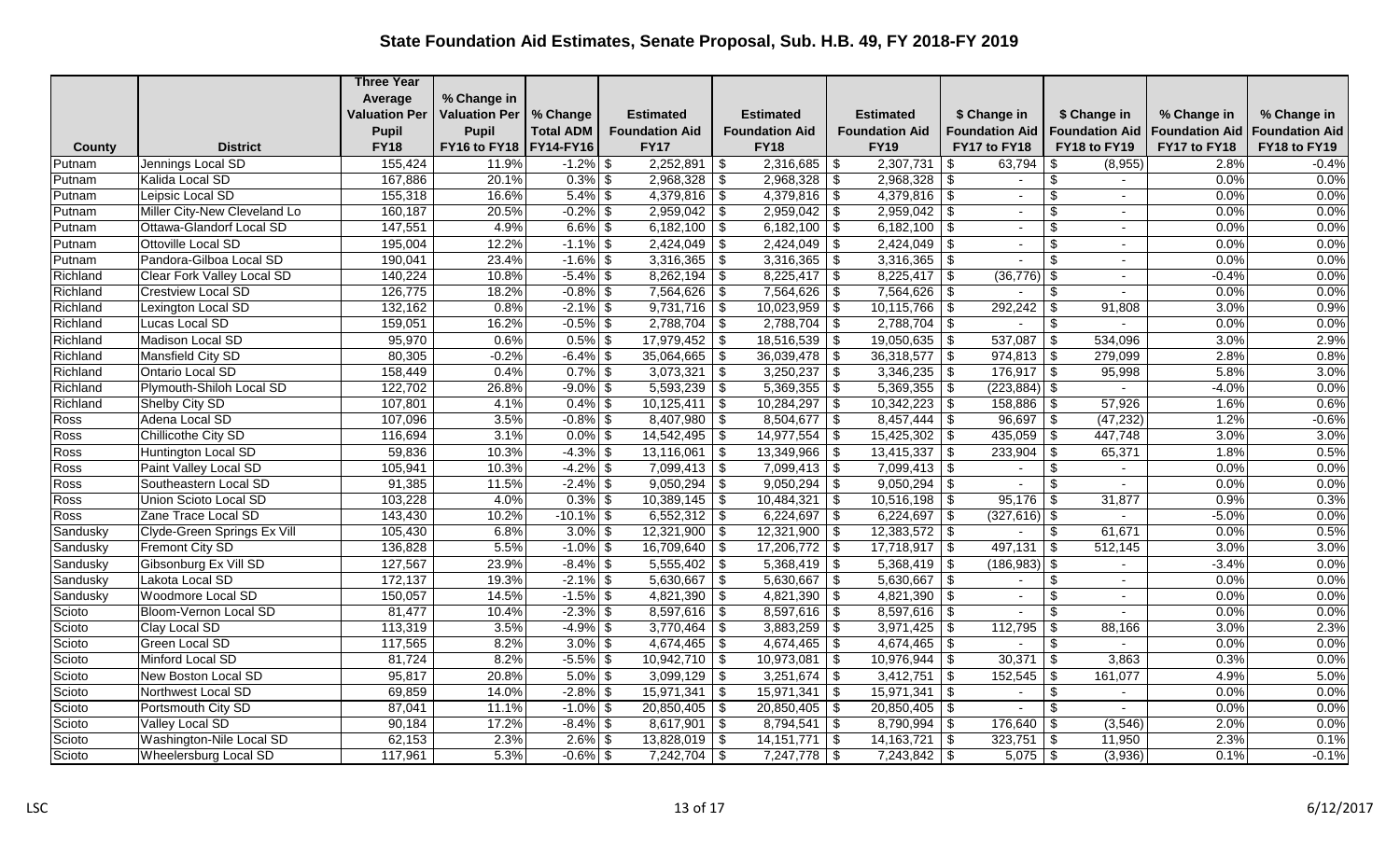|          |                                   | <b>Three Year</b>    |                          |                  |                       |                                         |                                |                          |                           |                       |                       |
|----------|-----------------------------------|----------------------|--------------------------|------------------|-----------------------|-----------------------------------------|--------------------------------|--------------------------|---------------------------|-----------------------|-----------------------|
|          |                                   | Average              | % Change in              |                  |                       |                                         |                                |                          |                           |                       |                       |
|          |                                   | <b>Valuation Per</b> | <b>Valuation Per</b>     | % Change         | <b>Estimated</b>      | <b>Estimated</b>                        | <b>Estimated</b>               | \$ Change in             | \$ Change in              | % Change in           | % Change in           |
|          |                                   | <b>Pupil</b>         | <b>Pupil</b>             | <b>Total ADM</b> | <b>Foundation Aid</b> | <b>Foundation Aid</b>                   | <b>Foundation Aid</b>          | <b>Foundation Aid</b>    | <b>Foundation Aid</b>     | <b>Foundation Aid</b> | <b>Foundation Aid</b> |
| County   | <b>District</b>                   | <b>FY18</b>          | FY16 to FY18   FY14-FY16 |                  | <b>FY17</b>           | <b>FY18</b>                             | <b>FY19</b>                    | FY17 to FY18             | FY18 to FY19              | FY17 to FY18          | FY18 to FY19          |
| Putnam   | Jennings Local SD                 | 155,424              | 11.9%                    | $-1.2\%$ \$      | $2,252,891$ \$        |                                         | 2,307,731                      | 63,794<br>\$             | (8,955)<br>\$             | 2.8%                  | $-0.4%$               |
| Putnam   | Kalida Local SD                   | 167,886              | 20.1%                    | $0.3\%$ \$       | $2,968,328$ \$        | $2,968,328$ \$                          | 2,968,328                      | -\$<br>$\sim$            | \$                        | 0.0%                  | 0.0%                  |
| Putnam   | Leipsic Local SD                  | 155,318              | 16.6%                    | $5.4\%$ \$       | $4,379,816$ \$        | $4,379,816$ \$                          | $4,379,816$ \$                 | $\overline{\phantom{a}}$ | \$                        | 0.0%                  | 0.0%                  |
| Putnam   | Miller City-New Cleveland Lo      | 160,187              | 20.5%                    | $-0.2\%$ \$      | $2,959,042$ \$        | $2,959,042$ \$                          | $2,959,042$ \$                 | $\sim$                   | $\frac{1}{2}$<br>$\sim$   | 0.0%                  | 0.0%                  |
| Putnam   | Ottawa-Glandorf Local SD          | 147,551              | 4.9%                     | $6.6\%$ \$       | $6,182,100$ \$        | $6,182,100$ \$                          | 6,182,100                      | -\$<br>$\sim$            | \$                        | 0.0%                  | 0.0%                  |
| Putnam   | Ottoville Local SD                | 195,004              | 12.2%                    | $-1.1\%$ \$      | $2,424,049$ \$        | $2,424,049$ \$                          | $2,424,049$ \$                 | $\sim$                   | \$<br>$\sim$              | 0.0%                  | 0.0%                  |
| Putnam   | Pandora-Gilboa Local SD           | 190,041              | 23.4%                    | $-1.6\%$ \$      | $3,316,365$ \$        | 3,316,365                               | $\sqrt{S}$<br>3,316,365        | -\$                      | \$                        | 0.0%                  | 0.0%                  |
| Richland | <b>Clear Fork Valley Local SD</b> | 140,224              | 10.8%                    | $-5.4\%$ \$      | $8,262,194$ \$        | 8,225,417                               | $\sqrt{3}$<br>$8,225,417$ \\$  | $(36,776)$ \$            |                           | $-0.4%$               | 0.0%                  |
| Richland | <b>Crestview Local SD</b>         | 126,775              | 18.2%                    | $-0.8\%$ \$      | $7,564,626$ \$        | $7,564,626$ \$                          | $7,564,626$ \\$                |                          | $\boldsymbol{\mathsf{S}}$ | 0.0%                  | 0.0%                  |
| Richland | Lexington Local SD                | 132,162              | 0.8%                     | $-2.1\%$ \$      | $9,731,716$ \$        | $10,023,959$ \$                         | $10,115,766$ \\$               | $\sqrt{292,242}$ \$      | 91,808                    | 3.0%                  | 0.9%                  |
| Richland | Lucas Local SD                    | 159,051              | 16.2%                    | $-0.5\%$ \$      | $2,788,704$ \$        | $2,788,704$ \$                          | $2,788,704$ \$                 |                          | \$                        | 0.0%                  | 0.0%                  |
| Richland | Madison Local SD                  | 95,970               | 0.6%                     | $0.5\%$ \$       | $17,979,452$ \$       | 18,516,539                              | $19,050,635$ \$<br>$\vert$ \$  | 537,087                  | 534,096<br>  \$           | 3.0%                  | 2.9%                  |
| Richland | Mansfield City SD                 | 80,305               | $-0.2%$                  | $-6.4\%$ \$      | $35,064,665$ \$       | $36,039,478$ \$                         | $36,318,577$ \\$               | $974,813$ \$             | 279,099                   | 2.8%                  | 0.8%                  |
| Richland | Ontario Local SD                  | 158,449              | 0.4%                     | $0.7\%$ \$       | $3,073,321$ \$        | $3,250,237$ \$                          | $3,346,235$ \$                 | $176,917$ \$             | 95,998                    | 5.8%                  | 3.0%                  |
| Richland | Plymouth-Shiloh Local SD          | 122,702              | 26.8%                    | $-9.0\%$ \$      | $5,593,239$ \$        | $5,369,355$ \$                          | $5,369,355$ \$                 | $(223, 884)$ \$          | $\sim$                    | $-4.0%$               | 0.0%                  |
| Richland | Shelby City SD                    | 107,801              | 4.1%                     | $0.4\%$ \$       | 10,125,411            | $\overline{\mathfrak{s}}$<br>10,284,297 | 10,342,223<br>  \$             | $158,886$ \$<br>\$       | 57,926                    | 1.6%                  | 0.6%                  |
| Ross     | Adena Local SD                    | 107,096              | 3.5%                     | $-0.8\%$ \$      | $8,407,980$ \$        | $8,504,677$ \\$                         |                                | $96,697$ \$              | (47, 232)                 | 1.2%                  | $-0.6%$               |
| Ross     | Chillicothe City SD               | 116,694              | 3.1%                     | $0.0\%$ \$       | $14,542,495$ \$       | $14,977,554$ \\$                        | 15,425,302                     | $435,059$ \$<br>- \$     | 447,748                   | 3.0%                  | 3.0%                  |
| Ross     | Huntington Local SD               | 59,836               | 10.3%                    | $-4.3\%$ \$      | $13,116,061$ \$       | $13,349,966$ \ \$                       | 13,415,337                     | \$<br>$233,904$ \ \$     | 65,371                    | 1.8%                  | 0.5%                  |
| Ross     | Paint Valley Local SD             | 105,941              | 10.3%                    | $-4.2\%$ \$      | $7,099,413$ \$        | $7,099,413$ \$                          | $7,099,413$ \$                 | $\blacksquare$           | $\boldsymbol{\mathsf{S}}$ | 0.0%                  | 0.0%                  |
| Ross     | Southeastern Local SD             | 91,385               | 11.5%                    | $-2.4\%$ \$      | $9,050,294$ \$        | $9,050,294$ \$                          | 9,050,294                      | -\$<br>$\blacksquare$    | Ŝ.<br>$\sim$              | 0.0%                  | 0.0%                  |
| Ross     | Union Scioto Local SD             | 103,228              | 4.0%                     | $0.3\%$ \$       | $10,389,145$ \$       | 10,484,321                              | l \$<br>10,516,198             | $95,176$ \$<br>-\$       | 31,877                    | 0.9%                  | 0.3%                  |
| Ross     | Zane Trace Local SD               | 143,430              | 10.2%                    | $-10.1\%$ \$     | $6,552,312$ \$        | 6,224,697                               | l \$<br>6,224,697              | -\$<br>$(327, 616)$ \$   |                           | $-5.0%$               | 0.0%                  |
| Sandusky | Clyde-Green Springs Ex Vill       | 105,430              | 6.8%                     | $3.0\%$ \$       | $12,321,900$ \$       | $12,321,900$ \$                         | $12,383,572$ \$                | $\sim$                   | \$<br>61,671              | 0.0%                  | 0.5%                  |
| Sandusky | Fremont City SD                   | 136,828              | 5.5%                     | $-1.0\%$ \$      | $16,709,640$ \$       | $17,206,772$ \$                         | $17,718,917$ \$                | $497,131$ \$             | 512,145                   | 3.0%                  | 3.0%                  |
| Sandusky | Gibsonburg Ex Vill SD             | 127,567              | 23.9%                    | $-8.4\%$ \$      | $5,555,402$ \$        | $5,368,419$ \$                          | $5,368,419$ \$                 | $(186,983)$ \$           |                           | $-3.4%$               | 0.0%                  |
| Sandusky | Lakota Local SD                   | 172,137              | 19.3%                    | $-2.1\%$ \$      | $5,630,667$ \$        | 5,630,667                               | $\sqrt{3}$<br>5,630,667        | \$<br>$\sim$             | \$                        | 0.0%                  | 0.0%                  |
| Sandusky | <b>Woodmore Local SD</b>          | 150,057              | 14.5%                    | $-1.5\%$ \$      | $4,821,390$ \$        | $4,821,390$ \$                          | $4,821,390$ \$                 | $\sim$                   | \$<br>$\sim$              | 0.0%                  | 0.0%                  |
| Scioto   | Bloom-Vernon Local SD             | 81,477               | 10.4%                    | $-2.3\%$ \$      | $8,597,616$ \$        | $8,597,616$ \$                          | $8,597,616$ \$                 |                          | \$                        | 0.0%                  | 0.0%                  |
| Scioto   | Clay Local SD                     | 113,319              | 3.5%                     | $-4.9\%$ \$      | $3,770,464$ \\$       | $3,883,259$ \$                          | $3,971,425$ \\$                | 112,795                  | \$<br>88,166              | 3.0%                  | 2.3%                  |
| Scioto   | <b>Green Local SD</b>             | 117,565              | 8.2%                     | $3.0\%$ \$       | $4,674,465$ \$        | $4,674,465$ \$                          | $4,674,465$ \\$                |                          | $\boldsymbol{\mathsf{S}}$ | 0.0%                  | 0.0%                  |
| Scioto   | Minford Local SD                  | 81,724               | 8.2%                     | $-5.5\%$ \$      | $10,942,710$ \$       | 10,973,081                              | 10,976,944<br>  \$             | 30,371<br>-\$            | 3,863<br>  \$             | 0.3%                  | 0.0%                  |
| Scioto   | New Boston Local SD               | 95,817               | 20.8%                    | $5.0\%$ \$       | $3,099,129$ \$        | $3,251,674$ \$                          | 3,412,751                      | $152,545$ \$<br>-\$      | 161,077                   | 4.9%                  | 5.0%                  |
| Scioto   | Northwest Local SD                | 69,859               | 14.0%                    | $-2.8\%$ \$      | $15,971,341$ \\$      | 15,971,341                              | \$<br>15,971,341               | -\$<br>$\sim$            | \$                        | 0.0%                  | 0.0%                  |
| Scioto   | Portsmouth City SD                | 87,041               | 11.1%                    | $-1.0\%$ \$      | $20,850,405$ \$       | $20,850,405$ \$                         | $20,850,405$ \$                | $\sim$                   | $\mathbf{\$}$<br>$\sim$   | 0.0%                  | 0.0%                  |
| Scioto   | Valley Local SD                   | 90,184               | 17.2%                    | $-8.4\%$ \$      | $8,617,901$ \$        | 8,794,541                               | $\sqrt{S}$<br>8,790,994        | $176,640$ \$<br>-\$      | (3, 546)                  | 2.0%                  | 0.0%                  |
| Scioto   | Washington-Nile Local SD          | 62,153               | 2.3%                     | $2.6\%$ \$       | $13,828,019$ \$       | 14, 151, 771                            | $\vert$ \$<br>$14,163,721$ \\$ | $323,751$ \$             | 11,950                    | 2.3%                  | 0.1%                  |
| Scioto   | Wheelersburg Local SD             | 117,961              | 5.3%                     | $-0.6\%$ \$      | 7,242,704             | \$<br>$7,247,778$ \$                    | 7,243,842                      | $5,075$ \\$<br>- \$      | (3,936)                   | 0.1%                  | $-0.1%$               |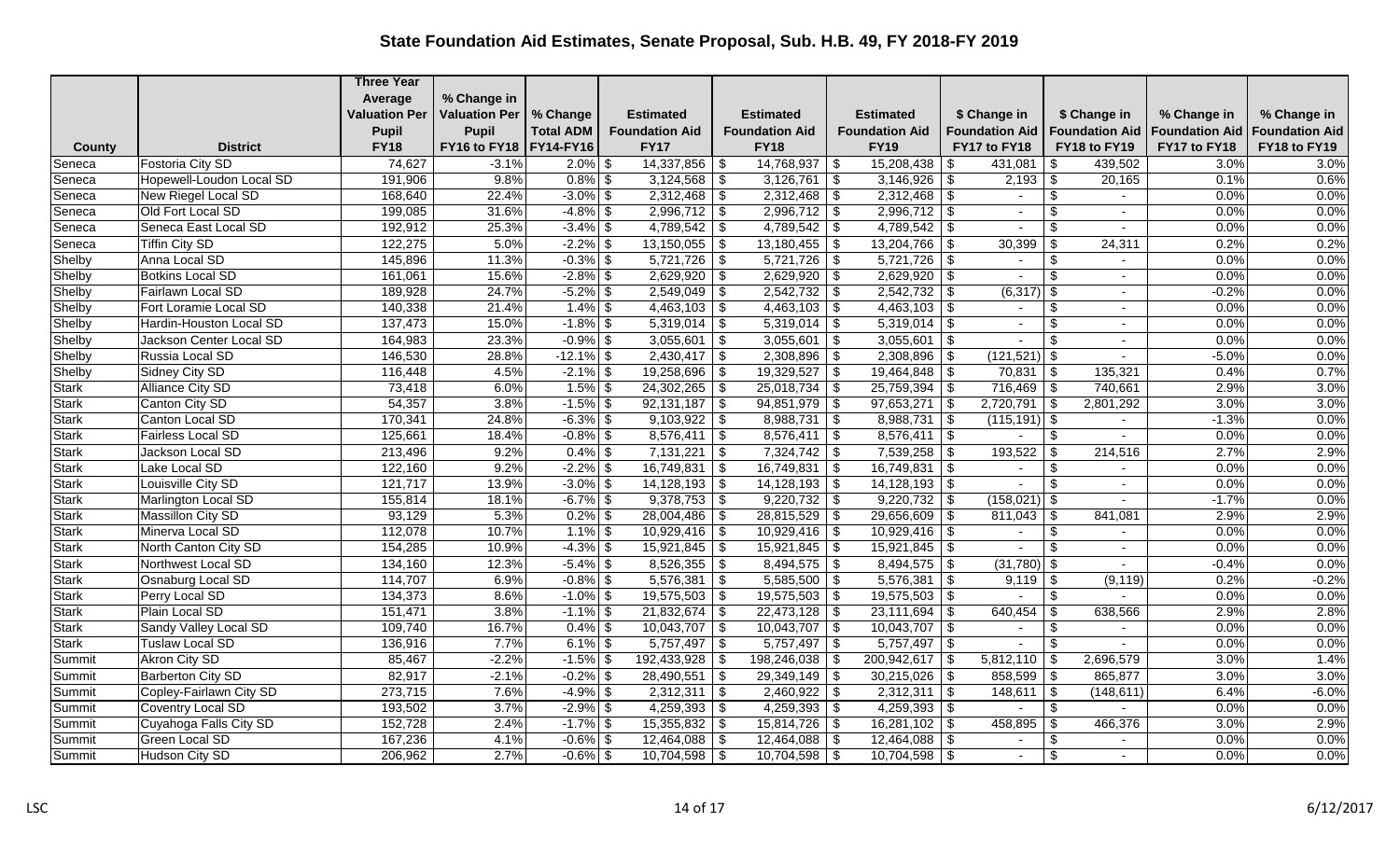|              |                          | <b>Three Year</b>    |                          |                  |                       |                          |                           |                          |                                  |                       |                       |
|--------------|--------------------------|----------------------|--------------------------|------------------|-----------------------|--------------------------|---------------------------|--------------------------|----------------------------------|-----------------------|-----------------------|
|              |                          | Average              | % Change in              |                  |                       |                          |                           |                          |                                  |                       |                       |
|              |                          | <b>Valuation Per</b> | <b>Valuation Per</b>     | % Change         | <b>Estimated</b>      | <b>Estimated</b>         | <b>Estimated</b>          | \$ Change in             | \$ Change in                     | % Change in           | % Change in           |
|              |                          | <b>Pupil</b>         | <b>Pupil</b>             | <b>Total ADM</b> | <b>Foundation Aid</b> | <b>Foundation Aid</b>    | <b>Foundation Aid</b>     | <b>Foundation Aid</b>    | <b>Foundation Aid</b>            | <b>Foundation Aid</b> | <b>Foundation Aid</b> |
| County       | <b>District</b>          | <b>FY18</b>          | FY16 to FY18   FY14-FY16 |                  | <b>FY17</b>           | <b>FY18</b>              | <b>FY19</b>               | FY17 to FY18             | FY18 to FY19                     | FY17 to FY18          | FY18 to FY19          |
| Seneca       | <b>Fostoria City SD</b>  | 74,627               | $-3.1%$                  | $2.0\%$ \$       | $14,337,856$ \ \$     | $14,768,937$ \\$         | 15,208,438                | 431,081<br>- \$          | 439,502<br>\$                    | 3.0%                  | 3.0%                  |
| Seneca       | Hopewell-Loudon Local SD | 191,906              | 9.8%                     | $0.8\%$ \$       | $3,124,568$ \$        | 3,126,761                | 3,146,926<br>$\vert$ \$   | $2,193$ \$<br>\$         | 20,165                           | 0.1%                  | 0.6%                  |
| Seneca       | New Riegel Local SD      | 168,640              | 22.4%                    | $-3.0\%$ \$      | $2,312,468$ \$        | $\sqrt{2,312,468}$ \ \$  |                           | $\blacksquare$           | \$<br>$\sim$                     | 0.0%                  | 0.0%                  |
| Seneca       | Old Fort Local SD        | 199,085              | 31.6%                    | $-4.8\%$ \$      | $2,996,712$ \$        | $2,996,712$ \$           | $2,996,712$ \$            | $\sim$                   | \$<br>$\sim$                     | 0.0%                  | 0.0%                  |
| Seneca       | Seneca East Local SD     | 192,912              | 25.3%                    | $-3.4\%$ \$      | $4,789,542$ \$        | $4,789,542$ \$           | 4,789,542                 | \$                       | $\overline{\mathcal{S}}$         | 0.0%                  | 0.0%                  |
| Seneca       | <b>Tiffin City SD</b>    | 122,275              | 5.0%                     | $-2.2\%$ \$      | $13,150,055$ \$       | $13,180,455$ \$          | 13,204,766                | 30,399<br>\$             | 24,311<br>-\$                    | 0.2%                  | 0.2%                  |
| Shelby       | Anna Local SD            | 145,896              | 11.3%                    | $-0.3\%$ \$      | $5,721,726$ \$        | $5,721,726$ \\$          | 5,721,726                 | -\$<br>$\sim$            | \$<br>$\sim$                     | 0.0%                  | 0.0%                  |
| Shelby       | <b>Botkins Local SD</b>  | 161,061              | 15.6%                    | $-2.8\%$ \$      | $2,629,920$ \$        | $2,629,920$ \$           | $2,629,920$ \$            | $\sim$                   | $\boldsymbol{\mathsf{S}}$        | 0.0%                  | 0.0%                  |
| Shelby       | Fairlawn Local SD        | 189,928              | 24.7%                    | $-5.2\%$ \$      | $2,549,049$ \$        | $2,542,732$ \$           | 2,542,732                 | \$<br>$(6,317)$ \$       |                                  | $-0.2%$               | 0.0%                  |
| Shelby       | Fort Loramie Local SD    | 140,338              | 21.4%                    | $1.4\%$ \$       | $4,463,103$ \$        | $4,463,103$ \$           | $4,463,103$ \$            | $\sim$                   | \$<br>$\sim$                     | 0.0%                  | 0.0%                  |
| Shelby       | Hardin-Houston Local SD  | 137,473              | 15.0%                    | $-1.8\%$ \$      | $5,319,014$ \$        | $5,319,014$ \$           | 5,319,014                 | \$<br>$\sim$             | \$<br>$\overline{a}$             | 0.0%                  | 0.0%                  |
| Shelby       | Jackson Center Local SD  | 164,983              | 23.3%                    | $-0.9\%$ \$      | $3,055,601$ \$        | 3,055,601                | $3,055,601$ \$<br>  \$    | $\blacksquare$           | $\boldsymbol{\mathsf{S}}$        | 0.0%                  | 0.0%                  |
| Shelby       | Russia Local SD          | 146,530              | 28.8%                    | $-12.1\%$ \$     | $2,430,417$ \$        | $2,308,896$ \$           | 2,308,896                 | $(121, 521)$ \$<br>\$    |                                  | $-5.0%$               | 0.0%                  |
| Shelby       | Sidney City SD           | 116,448              | 4.5%                     | $-2.1\%$ \$      | $19,258,696$ \$       | 19,329,527               | $\vert$ \$<br>19,464,848  | 70,831<br>\$             | 135,321<br>l \$                  | 0.4%                  | 0.7%                  |
| <b>Stark</b> | <b>Alliance City SD</b>  | 73,418               | 6.0%                     | $1.5\%$ \$       | $24,302,265$ \$       | $25,018,734$ \$          | 25,759,394                | $716,469$ \ \$<br>\$     | 740,661                          | 2.9%                  | 3.0%                  |
| <b>Stark</b> | Canton City SD           | 54,357               | 3.8%                     | $-1.5\%$ \$      | $92,131,187$ \$       | $94,851,979$ \$          | 97,653,271                | 2,720,791<br>- \$        | -\$<br>2,801,292                 | 3.0%                  | 3.0%                  |
| Stark        | Canton Local SD          | 170,341              | 24.8%                    | $-6.3\%$ \$      | $9,103,922$ \$        | $8,988,731$ \$           | 8,988,731                 | $(115, 191)$ \$<br>l \$  | $\sim$                           | $-1.3%$               | 0.0%                  |
| <b>Stark</b> | Fairless Local SD        | 125,661              | 18.4%                    | $-0.8\%$ \$      | $8,576,411$ \$        | 8,576,411                | 8,576,411<br>$\vert$ \$   | -\$                      | \$                               | 0.0%                  | 0.0%                  |
| <b>Stark</b> | Jackson Local SD         | 213,496              | 9.2%                     | $0.4\%$ \$       | $7,131,221$ \$        | $7,324,742$ \\$          | 7,539,258                 | \$<br>193,522            | \$<br>214,516                    | 2.7%                  | 2.9%                  |
| Stark        | Lake Local SD            | 122,160              | 9.2%                     | $-2.2\%$ \$      | $16,749,831$ \$       | 16,749,831               | $\sqrt{s}$<br>16,749,831  | \$<br>$\blacksquare$     | $\boldsymbol{\mathsf{S}}$        | 0.0%                  | 0.0%                  |
| <b>Stark</b> | Louisville City SD       | 121,717              | 13.9%                    | $-3.0\%$ \$      | $14,128,193$ \$       | $14,128,193$ \$          | $14,128,193$ \$           | $\blacksquare$           | \$<br>$\sim$                     | 0.0%                  | 0.0%                  |
| <b>Stark</b> | Marlington Local SD      | 155,814              | 18.1%                    | $-6.7\%$ \$      | $9,378,753$ \$        | $9,220,732$ \$           | 9,220,732                 | \$<br>$(158,021)$ \$     |                                  | $-1.7%$               | 0.0%                  |
| <b>Stark</b> | Massillon City SD        | 93,129               | 5.3%                     | $0.2\%$ \$       | $28,004,486$ \$       | $28,815,529$ \$          | 29,656,609                | -\$                      | 841,081                          | 2.9%                  | 2.9%                  |
| <b>Stark</b> | Minerva Local SD         | 112,078              | 10.7%                    | $1.1\%$ \$       | $10,929,416$ \$       | $10,929,416$ \$          | $10,929,416$ \$           | $\sim$                   | \$<br>$\sim$                     | 0.0%                  | 0.0%                  |
| <b>Stark</b> | North Canton City SD     | 154,285              | 10.9%                    | $-4.3\%$ \$      | $15,921,845$ \\$      | $15,921,845$ \ \$        | $15,921,845$ \\$          |                          | \$                               | 0.0%                  | 0.0%                  |
| <b>Stark</b> | Northwest Local SD       | 134,160              | 12.3%                    | $-5.4\%$ \$      | $8,526,355$ \$        | $8,494,575$ \\$          | $8,494,575$ \\$           | $(31,780)$ \$            | $\sim$                           | $-0.4%$               | 0.0%                  |
| Stark        | Osnaburg Local SD        | 114,707              | 6.9%                     | $-0.8\%$ \$      | $5,576,381$ \$        | $5,585,500$ \$           | 5,576,381                 | \$<br>$9,119$ \\$        | (9, 119)                         | 0.2%                  | $-0.2%$               |
| <b>Stark</b> | Perry Local SD           | 134,373              | 8.6%                     | $-1.0\%$ \$      | $19,575,503$ \$       | $19,575,503$ \$          | $19,575,503$ \$           | $\overline{\phantom{a}}$ | $\boldsymbol{\mathsf{S}}$        | 0.0%                  | 0.0%                  |
| <b>Stark</b> | Plain Local SD           | 151,471              | 3.8%                     | $-1.1\%$ \$      | $21,832,674$ \$       | $22,473,128$ \$          | 23,111,694                | 640,454                  | \$<br>638,566                    | 2.9%                  | 2.8%                  |
| Stark        | Sandy Valley Local SD    | 109,740              | 16.7%                    | $0.4\%$ \$       | $10,043,707$ \$       | $10,043,707$ \$          | $10,043,707$ \$           | $\sim$                   | $\,$<br>$\sim$                   | 0.0%                  | 0.0%                  |
| <b>Stark</b> | Tuslaw Local SD          | 136,916              | 7.7%                     | $6.1\%$ \$       | $5,757,497$ \$        | $5,757,497$ \$           | $5,757,497$ \$            | $\blacksquare$           | $\overline{\boldsymbol{\theta}}$ | 0.0%                  | 0.0%                  |
| Summit       | Akron City SD            | 85,467               | $-2.2%$                  | $-1.5\%$ \$      | 192,433,928   \$      | 198,246,038              | $\vert$ \$<br>200,942,617 | $5,812,110$ \ \$<br>- \$ | 2,696,579                        | 3.0%                  | 1.4%                  |
| Summit       | Barberton City SD        | 82,917               | $-2.1%$                  | $-0.2\%$ \$      | $28,490,551$ \$       | $\sqrt{29,349,149}$ \ \$ | 30,215,026                | $858,599$ \$<br>\$       | 865,877                          | 3.0%                  | 3.0%                  |
| Summit       | Copley-Fairlawn City SD  | 273,715              | 7.6%                     | $-4.9\%$ \$      | $2,312,311$ \$        | $2,460,922$ \$           | 2,312,311                 | 148,611<br>-\$           | $\vert$ \$<br>(148, 611)         | 6.4%                  | $-6.0%$               |
| Summit       | Coventry Local SD        | 193,502              | 3.7%                     | $-2.9\%$ \$      | $4,259,393$ \$        | $4,259,393$ \$           | $4,259,393$ \$            | $\blacksquare$           | $\sqrt[6]{3}$<br>$\sim$          | 0.0%                  | 0.0%                  |
| Summit       | Cuyahoga Falls City SD   | 152,728              | 2.4%                     | $-1.7\%$ \$      | $15,355,832$ \$       | $15,814,726$ \$          | 16,281,102                | $458,895$ \$<br>\$       | 466,376                          | 3.0%                  | 2.9%                  |
| Summit       | Green Local SD           | 167,236              | 4.1%                     | $-0.6\sqrt{3}$   | $12,464,088$ \$       |                          |                           | $\sim$                   | \$                               | 0.0%                  | 0.0%                  |
| Summit       | Hudson City SD           | 206,962              | 2.7%                     | $-0.6\%$ \$      | $10,704,598$ \$       |                          |                           | $\blacksquare$           | \$                               | 0.0%                  | 0.0%                  |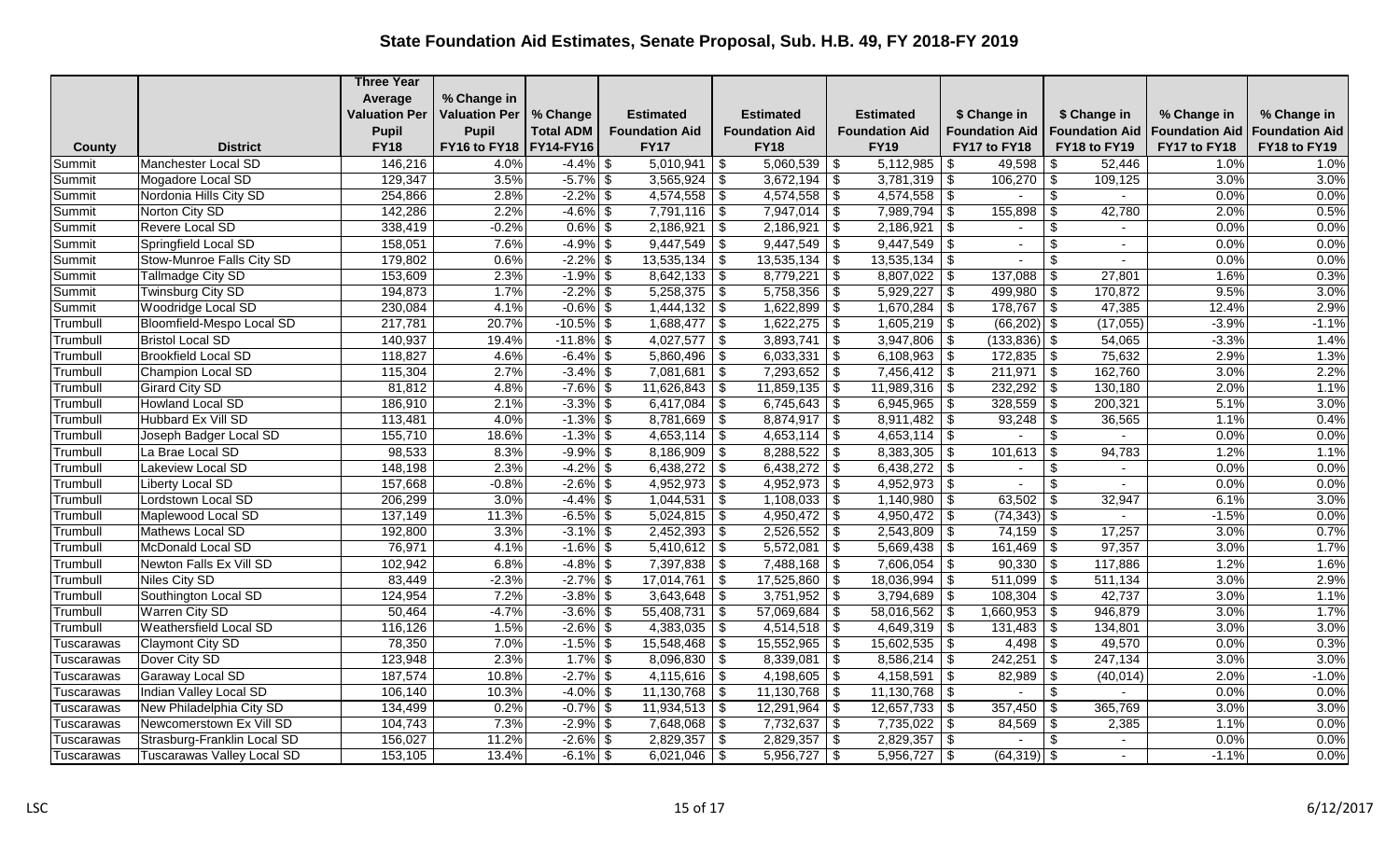|            |                                   | <b>Three Year</b>    |                      |                  |                       |                            |                                 |                            |                       |                       |                       |
|------------|-----------------------------------|----------------------|----------------------|------------------|-----------------------|----------------------------|---------------------------------|----------------------------|-----------------------|-----------------------|-----------------------|
|            |                                   | Average              | % Change in          |                  |                       |                            |                                 |                            |                       |                       |                       |
|            |                                   | <b>Valuation Per</b> | <b>Valuation Per</b> | % Change         | <b>Estimated</b>      | <b>Estimated</b>           | <b>Estimated</b>                | \$ Change in               | \$ Change in          | % Change in           | % Change in           |
|            |                                   | <b>Pupil</b>         | <b>Pupil</b>         | <b>Total ADM</b> | <b>Foundation Aid</b> | <b>Foundation Aid</b>      | <b>Foundation Aid</b>           | <b>Foundation Aid</b>      | <b>Foundation Aid</b> | <b>Foundation Aid</b> | <b>Foundation Aid</b> |
| County     | <b>District</b>                   | <b>FY18</b>          | FY16 to FY18         | <b>FY14-FY16</b> | <b>FY17</b>           | <b>FY18</b>                | <b>FY19</b>                     | FY17 to FY18               | FY18 to FY19          | FY17 to FY18          | FY18 to FY19          |
| Summit     | Manchester Local SD               | 146,216              | 4.0%                 | $-4.4\%$ \$      | $5,010,941$ \$        | $5,060,539$ \\$            | 5,112,985                       | 49,598<br>- \$             | 52,446<br>-\$         | 1.0%                  | 1.0%                  |
| Summit     | Mogadore Local SD                 | 129,347              | 3.5%                 | $-5.7\%$ \$      | $3,565,924$ \$        | $3,672,194$ \$             | 3,781,319                       | 106,270<br>\$              | 109,125<br>  \$       | 3.0%                  | 3.0%                  |
| Summit     | Nordonia Hills City SD            | 254,866              | 2.8%                 | $-2.2\%$ \$      | $4,574,558$ \\$       |                            |                                 |                            | $\frac{1}{2}$         | 0.0%                  | 0.0%                  |
| Summit     | Norton City SD                    | 142,286              | 2.2%                 | $-4.6\%$ \$      | $7,791,116$ \$        | $7,947,014$ \\$            | 7,989,794                       | $155,898$ \$<br>\$         | 42,780                | 2.0%                  | 0.5%                  |
| Summit     | Revere Local SD                   | 338,419              | $-0.2%$              | $0.6\%$ \$       | $2,186,921$ \$        | 2,186,921                  | 2,186,921<br>$\vert$ \$         | \$                         | \$                    | 0.0%                  | 0.0%                  |
| Summit     | Springfield Local SD              | 158,051              | 7.6%                 | $-4.9\%$ \$      | $9,447,549$ \$        | $9,447,549$ \$             | $9,447,549$ \$                  | $\sim$                     | \$<br>$\sim$          | 0.0%                  | 0.0%                  |
| Summit     | Stow-Munroe Falls City SD         | 179,802              | 0.6%                 | $-2.2\%$ \$      | $13,535,134$ \$       | 13,535,134                 | 13,535,134<br>$\vert$ \$        | \$                         | \$                    | 0.0%                  | 0.0%                  |
| Summit     | Tallmadge City SD                 | 153,609              | 2.3%                 | $-1.9\%$ \$      | $8,642,133$ \$        | 8,779,221                  | $\vert$ \$<br>$8,807,022$ \$    |                            | 27,801                | 1.6%                  | 0.3%                  |
| Summit     | Twinsburg City SD                 | 194,873              | 1.7%                 | $-2.2\%$ \$      | $5,258,375$ \$        | $5,758,356$ \$             | 5,929,227                       | $499,980$ \$<br>\$         | 170,872               | 9.5%                  | 3.0%                  |
| Summit     | Woodridge Local SD                | 230,084              | 4.1%                 | $-0.6\%$ \$      | $1,444,132$ \$        | $1,622,899$ \$             | $1,670,284$ \$                  | $178,767$ \$               | 47,385                | 12.4%                 | 2.9%                  |
| Trumbull   | Bloomfield-Mespo Local SD         | 217,781              | 20.7%                | $-10.5\%$ \$     | $1,688,477$ \$        | $1,622,275$ \$             | 1,605,219                       | -\$<br>$(66,202)$ \$       | (17,055)              | $-3.9%$               | $-1.1%$               |
| Trumbull   | <b>Bristol Local SD</b>           | 140,937              | 19.4%                | $-11.8\%$ \$     | 4,027,577 $\vert$ \$  | 3,893,741                  | \$<br>3,947,806                 | $(133,836)$ \$<br>-\$      | 54,065                | $-3.3%$               | 1.4%                  |
| Trumbull   | <b>Brookfield Local SD</b>        | 118,827              | 4.6%                 | $-6.4\%$ \$      | $5,860,496$ \$        | 6,033,331                  | $6,108,963$ \$<br>$\frac{1}{3}$ |                            | 75,632                | 2.9%                  | 1.3%                  |
| Trumbull   | Champion Local SD                 | 115,304              | 2.7%                 | $-3.4\%$ \$      | $7,081,681$ \$        | $7,293,652$ \$             | $7,456,412$ \\$                 | $211,971$ \$               | 162,760               | 3.0%                  | 2.2%                  |
| Trumbull   | <b>Girard City SD</b>             | 81,812               | 4.8%                 | $-7.6\%$ \$      | $11,626,843$ \$       | $11,859,135$ \$            | 11,989,316                      | $232,292$ \$<br>\$         | 130,180               | 2.0%                  | 1.1%                  |
| Trumbull   | Howland Local SD                  | 186,910              | 2.1%                 | $-3.3\%$ \$      | $6,417,084$ \$        | $6,745,643$ \$             | 6,945,965                       | $328,559$ \ \$<br>-\$      | 200,321               | 5.1%                  | 3.0%                  |
| Trumbull   | Hubbard Ex Vill SD                | 113,481              | 4.0%                 | $-1.3\%$ \$      | $8,781,669$ \$        | $8,874,917$ \$             | $8,911,482$ \$                  | $93,248$ \$                | 36,565                | 1.1%                  | 0.4%                  |
| Trumbull   | Joseph Badger Local SD            | 155,710              | 18.6%                | $-1.3\%$ \$      | $4,653,114$ \$        | $4,653,114$ \$             | 4,653,114                       | \$                         | \$                    | 0.0%                  | 0.0%                  |
| Trumbull   | La Brae Local SD                  | 98,533               | 8.3%                 | $-9.9\%$ \$      | $8,186,909$ \$        | $8,288,522$ \$             | 8,383,305                       | - \$<br>$101,613$ \$       | 94,783                | 1.2%                  | 1.1%                  |
| Trumbull   | Lakeview Local SD                 | 148,198              | 2.3%                 | $-4.2\%$ \$      | $6,438,272$ \$        | $6,438,272$ \$             | 6,438,272                       | \$<br>$\blacksquare$       | \$                    | 0.0%                  | 0.0%                  |
| Trumbull   | Liberty Local SD                  | 157,668              | $-0.8%$              | $-2.6\%$ \$      | $4,952,973$ \$        | $4,952,973$ \$             | $4,952,973$ \$                  | $\blacksquare$             | \$<br>$\sim$          | 0.0%                  | 0.0%                  |
| Trumbull   | Lordstown Local SD                | 206,299              | 3.0%                 | $-4.4\%$ \$      | $1,044,531$ \$        | $1,108,033$ \$             | 1,140,980                       | 63,502 $\frac{1}{9}$<br>\$ | 32,947                | 6.1%                  | 3.0%                  |
| Trumbull   | Maplewood Local SD                | 137,149              | 11.3%                | $-6.5\%$ \$      | $5,024,815$ \$        | $4,950,472$ \$             | 4,950,472                       | $(74, 343)$ \$<br>-\$      | $\sim$                | $-1.5%$               | 0.0%                  |
| Trumbull   | Mathews Local SD                  | 192,800              | 3.3%                 | $-3.1\%$ \$      | $2,452,393$ \$        | $2,526,552$ \$             | $2,543,809$ \$                  | $74,159$ \\$               | 17,257                | 3.0%                  | 0.7%                  |
| Trumbull   | McDonald Local SD                 | 76,971               | 4.1%                 | $-1.6\%$ \$      | $5,410,612$ \$        | $5,572,081$ \$             | $5,669,438$ \$                  | $161,469$ \$               | 97,357                | 3.0%                  | 1.7%                  |
| Trumbull   | Newton Falls Ex Vill SD           | 102,942              | 6.8%                 | $-4.8\%$ \$      | $7,397,838$ \$        |                            | 7,606,054                       | $90,330$ \$<br>-\$         | 117,886               | 1.2%                  | 1.6%                  |
| Trumbull   | Niles City SD                     | 83,449               | $-2.3%$              | $-2.7\%$ \$      | $17,014,761$ \$       | $17,525,860$ \$            | 18,036,994                      | $511,099$ \ \$<br>\$       | 511,134               | 3.0%                  | 2.9%                  |
| Trumbull   | Southington Local SD              | 124,954              | 7.2%                 | $-3.8\%$ \$      | $3,643,648$ \$        | $3,751,952$ \$             | 3,794,689                       | -\$                        | 42,737                | 3.0%                  | 1.1%                  |
| Trumbull   | Warren City SD                    | 50,464               | $-4.7%$              | $-3.6\%$ \$      | $55,408,731$ \$       | $57,069,684$ \$            | 58,016,562                      | $1,660,953$ \$             | 946,879               | 3.0%                  | 1.7%                  |
| Trumbull   | Weathersfield Local SD            | 116,126              | 1.5%                 | $-2.6\%$ \$      | $4,383,035$ \$        | $4,514,518$ \$             | 4,649,319                       | l \$                       | 134,801               | 3.0%                  | 3.0%                  |
| Tuscarawas | Claymont City SD                  | 78,350               | 7.0%                 | $-1.5\%$ \$      | $15,548,468$ \$       | $15,552,965$ \$            | 15,602,535                      | \$                         | 49,570                | 0.0%                  | 0.3%                  |
| Tuscarawas | Dover City SD                     | 123,948              | 2.3%                 | $1.7\%$ \$       | $8,096,830$ \$        | 8,339,081                  | 8,586,214<br>$\vert$ \$         | $242,251$ \$<br>-\$        | 247,134               | 3.0%                  | 3.0%                  |
| Tuscarawas | Garaway Local SD                  | 187,574              | 10.8%                | $-2.7%$ \$       | $4,115,616$ \$        | 4,198,605   \$             | 4,158,591                       | $82,989$ \$<br>\$          | (40, 014)             | 2.0%                  | $-1.0%$               |
| Tuscarawas | Indian Valley Local SD            | 106,140              | 10.3%                | $-4.0\%$ \$      | $11,130,768$ \ \$     | $11,130,768$ \ \$          | 11,130,768                      | -\$                        | \$                    | 0.0%                  | 0.0%                  |
| Tuscarawas | New Philadelphia City SD          | 134,499              | 0.2%                 | $-0.7\%$ \$      | $11,934,513$ \$       | $\overline{12,291,964}$ \$ | 12,657,733                      | $357,450$ \ \$<br>\$       | 365,769               | 3.0%                  | 3.0%                  |
| Tuscarawas | Newcomerstown Ex Vill SD          | 104,743              | 7.3%                 | $-2.9\%$ \$      | $7,648,068$ \$        | $7,732,637$ \$             | $7,735,022$ \$                  | $84,569$ \$                | 2,385                 | 1.1%                  | 0.0%                  |
| Tuscarawas | Strasburg-Franklin Local SD       | 156,027              | 11.2%                | $-2.6\%$ \$      | $2,829,357$ \$        | $2,829,357$ \$             | $2,829,357$ \$                  | $\sim$                     | -\$<br>$\sim$         | 0.0%                  | 0.0%                  |
| Tuscarawas | <b>Tuscarawas Valley Local SD</b> | 153,105              | 13.4%                | $-6.1\%$ \$      | $6,021,046$ \$        | $5,956,727$ \$             | 5,956,727                       | $(64,319)$ \$<br>-\$       |                       | $-1.1%$               | 0.0%                  |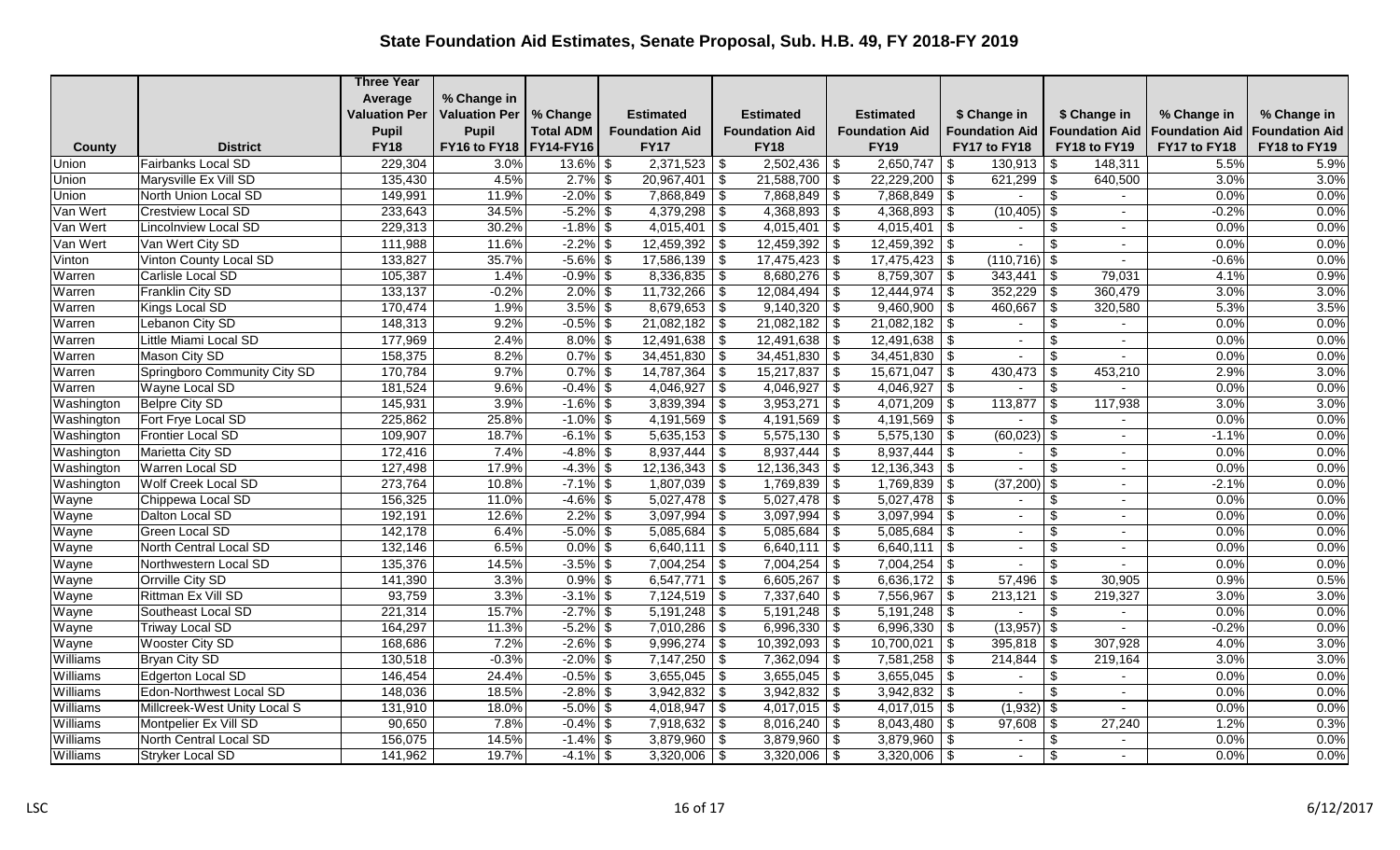|            |                              | <b>Three Year</b>    |                          |                  |                       |                                                     |                                   |                         |                                                  |                       |                       |
|------------|------------------------------|----------------------|--------------------------|------------------|-----------------------|-----------------------------------------------------|-----------------------------------|-------------------------|--------------------------------------------------|-----------------------|-----------------------|
|            |                              | Average              | % Change in              |                  |                       |                                                     |                                   |                         |                                                  |                       |                       |
|            |                              | <b>Valuation Per</b> | <b>Valuation Per</b>     | % Change         | <b>Estimated</b>      | <b>Estimated</b>                                    | <b>Estimated</b>                  | \$ Change in            | \$ Change in                                     | % Change in           | % Change in           |
|            |                              | <b>Pupil</b>         | <b>Pupil</b>             | <b>Total ADM</b> | <b>Foundation Aid</b> | <b>Foundation Aid</b>                               | <b>Foundation Aid</b>             | <b>Foundation Aid</b>   | <b>Foundation Aid</b>                            | <b>Foundation Aid</b> | <b>Foundation Aid</b> |
| County     | <b>District</b>              | <b>FY18</b>          | FY16 to FY18   FY14-FY16 |                  | <b>FY17</b>           | <b>FY18</b>                                         | <b>FY19</b>                       | FY17 to FY18            | FY18 to FY19                                     | FY17 to FY18          | FY18 to FY19          |
| Union      | <b>Fairbanks Local SD</b>    | 229,304              | 3.0%                     | $13.6\%$ \$      | 2,371,523             | \$                                                  | 2,650,747                         | $130,913$ \$<br>\$      | 148,311                                          | 5.5%                  | 5.9%                  |
| Union      | Marysville Ex Vill SD        | 135,430              | 4.5%                     | $2.7\%$ \$       | $20,967,401$ \$       | $21,588,700$ \$                                     | 22,229,200                        | \$<br>$621,299$ \$      | 640,500                                          | 3.0%                  | 3.0%                  |
| Union      | North Union Local SD         | 149,991              | 11.9%                    | $-2.0\%$ \$      | $7,868,849$ \$        | $7,868,849$ \$                                      | $7,868,849$ \$                    |                         | \$                                               | 0.0%                  | 0.0%                  |
| Van Wert   | <b>Crestview Local SD</b>    | 233,643              | 34.5%                    | $-5.2\%$ \$      | $4,379,298$ \$        | $4,368,893$ \$                                      | 4,368,893                         | $(10,405)$ \$<br>- \$   | $\sim$                                           | $-0.2%$               | 0.0%                  |
| Van Wert   | Lincolnview Local SD         | 229,313              | 30.2%                    | $-1.8\%$ \$      | 4,015,401             | \$<br>4,015,401                                     | 4,015,401<br>  \$                 | \$                      | \$                                               | 0.0%                  | 0.0%                  |
| Van Wert   | Van Wert City SD             | 111,988              | 11.6%                    | $-2.2\%$ \$      | $12,459,392$ \$       | $12,459,392$ \$                                     | $12,459,392$ \$                   | $\sim$                  | $\boldsymbol{\mathsf{S}}$<br>$\sim$              | 0.0%                  | 0.0%                  |
| Vinton     | Vinton County Local SD       | 133,827              | 35.7%                    | $-5.6\%$ \$      | $17,586,139$ \$       | 17,475,423                                          | $\vert$ \$<br>17,475,423          | $(110, 716)$ \$<br>- \$ |                                                  | $-0.6%$               | 0.0%                  |
| Warren     | Carlisle Local SD            | 105,387              | 1.4%                     | $-0.9\%$ \$      | $8,336,835$ \$        | $8,680,276$ \$                                      | 8,759,307                         | \$<br>343,441           | 79,031<br>$\vert$ \$                             | 4.1%                  | 0.9%                  |
| Warren     | Franklin City SD             | 133,137              | $-0.2%$                  | $2.0\%$ \$       | $11,732,266$ \$       | 12,084,494                                          | $\sqrt{s}$<br>12,444,974          | l \$                    | 360,479                                          | 3.0%                  | 3.0%                  |
| Warren     | Kings Local SD               | 170,474              | 1.9%                     | $3.5\%$ \$       | $8,679,653$ \$        | $9,140,320$ \$                                      | $9,460,900$ \$                    | $460,667$ \$            | 320,580                                          | 5.3%                  | 3.5%                  |
| Warren     | Lebanon City SD              | 148,313              | 9.2%                     | $-0.5\%$ \$      | $21,082,182$ \$       | $21,082,182$ \$                                     | 21,082,182                        | -\$<br>$\blacksquare$   | $\boldsymbol{\mathsf{S}}$                        | 0.0%                  | 0.0%                  |
| Warren     | Little Miami Local SD        | 177,969              | 2.4%                     | $8.0\%$ \$       | $12,491,638$ \$       |                                                     | 12,491,638                        | -\$                     | \$                                               | 0.0%                  | 0.0%                  |
| Warren     | Mason City SD                | 158,375              | 8.2%                     | $0.7\%$ \$       | $34,451,830$ \$       | $34,451,830$ \$                                     | $34,451,830$ \ \$                 | $\sim$                  | \$<br>$\sim$                                     | 0.0%                  | 0.0%                  |
| Warren     | Springboro Community City SD | 170,784              | 9.7%                     | $0.7\%$ \$       | $14,787,364$ \$       | $15,217,837$ \$                                     | 15,671,047                        | $430,473$ \$<br>-\$     | 453,210                                          | 2.9%                  | 3.0%                  |
| Warren     | <b>Wayne Local SD</b>        | 181,524              | 9.6%                     | $-0.4\%$ \$      | $4,046,927$ \$        | 4,046,927                                           | $\sqrt{s}$<br>$4,046,927$ \$      | $\sim$                  | $\overline{\boldsymbol{\mathfrak{s}}}$<br>$\sim$ | 0.0%                  | 0.0%                  |
| Washington | <b>Belpre City SD</b>        | 145,931              | 3.9%                     | $-1.6\%$ \$      | 3,839,394             | $\overline{\boldsymbol{\mathfrak{s}}}$<br>3,953,271 | $\overline{\bullet}$<br>4,071,209 | 113,877<br>\$           | $\overline{\mathbf{3}}$<br>117,938               | 3.0%                  | 3.0%                  |
| Washington | Fort Frye Local SD           | 225,862              | 25.8%                    | $-1.0\%$ \$      | $4,191,569$ \$        | $4,191,569$ \$                                      | $\sqrt{4,191,569}$ \ \$           | $\sim$                  | $\sqrt[6]{3}$<br>$\sim$                          | 0.0%                  | 0.0%                  |
| Washington | Frontier Local SD            | 109,907              | 18.7%                    | $-6.1\%$ \$      | $5,635,153$ \$        | $5,575,130$ \$                                      | 5,575,130                         | $(60,023)$ \$<br>-\$    | $\sim$                                           | $-1.1%$               | 0.0%                  |
| Washington | Marietta City SD             | 172,416              | 7.4%                     | $-4.8\%$ \$      | $8,937,444$ \\$       | 8,937,444                                           | $\vert$ \$<br>8,937,444           | -\$<br>$\sim$           | $\frac{1}{2}$<br>$\overline{\phantom{0}}$        | 0.0%                  | 0.0%                  |
| Washington | Warren Local SD              | 127,498              | 17.9%                    | $-4.3\%$ \$      | $12,136,343$ \$       | 12,136,343                                          | 12,136,343<br>$\vert$ \$          | -\$                     | \$<br>$\sim$                                     | 0.0%                  | 0.0%                  |
| Washington | <b>Wolf Creek Local SD</b>   | 273,764              | 10.8%                    | $-7.1\%$ \$      | $1,807,039$ \$        | $1,769,839$ \$                                      | 1,769,839                         | $(37,200)$ \$<br>  \$   | $\sim$                                           | $-2.1%$               | 0.0%                  |
| Wayne      | Chippewa Local SD            | 156,325              | 11.0%                    | $-4.6\%$ \$      | $5,027,478$ \$        | $5,027,478$ \$                                      | 5,027,478                         | \$<br>$\blacksquare$    | \$                                               | 0.0%                  | 0.0%                  |
| Wayne      | Dalton Local SD              | 192,191              | 12.6%                    | 2.2%             | \$<br>3,097,994       | \$<br>3,097,994                                     | 3,097,994<br>  \$                 | \$                      | \$                                               | 0.0%                  | 0.0%                  |
| Wayne      | <b>Green Local SD</b>        | 142,178              | 6.4%                     | $-5.0\%$ \$      | $5,085,684$ \$        | 5,085,684                                           | 5,085,684<br>$\sqrt{3}$           | -\$<br>$\sim$           | \$<br>$\sim$                                     | 0.0%                  | 0.0%                  |
| Wayne      | North Central Local SD       | 132,146              | 6.5%                     | $0.0\%$ \$       | $6,640,111$ \$        | 6,640,111                                           | $6,640,111$ \$<br>$\vert$ \$      | $\blacksquare$          | \$                                               | 0.0%                  | 0.0%                  |
| Wayne      | Northwestern Local SD        | 135,376              | 14.5%                    | $-3.5\%$ \$      | $7,004,254$ \$        | $7,004,254$ \$                                      | $7,004,254$ \$                    | $\sim$                  | \$                                               | 0.0%                  | 0.0%                  |
| Wayne      | <b>Orrville City SD</b>      | 141,390              | 3.3%                     | $0.9\%$ \$       | 6,547,771             | $\overline{\boldsymbol{\mathfrak{s}}}$<br>6,605,267 | $6,636,172$ \$<br>  \$            | $57,496$ \$             | 30,905                                           | 0.9%                  | 0.5%                  |
| Wayne      | Rittman Ex Vill SD           | 93,759               | 3.3%                     | $-3.1\%$ \$      | $7,124,519$ \$        | $7,337,640$ \$                                      | 7,556,967                         | 213,121<br>-\$          | \$<br>219,327                                    | 3.0%                  | 3.0%                  |
| Wayne      | Southeast Local SD           | 221,314              | 15.7%                    | $-2.7\%$ \$      | $5,191,248$ \$        |                                                     | $5,191,248$ \\$                   | $\sim$                  | \$<br>$\sim$                                     | 0.0%                  | 0.0%                  |
| Wayne      | <b>Triway Local SD</b>       | 164,297              | 11.3%                    | $-5.2\%$ \$      | $7,010,286$ \\$       | $6,996,330$ \$                                      | 6,996,330 $\frac{1}{9}$           | $(13,957)$ \$           |                                                  | $-0.2%$               | 0.0%                  |
| Wayne      | <b>Wooster City SD</b>       | 168,686              | 7.2%                     | $-2.6\%$ \$      | 9,996,274             | 10,392,093<br>\$                                    | $\sqrt{s}$<br>10,700,021          | - \$<br>$395,818$ \\$   | 307,928                                          | 4.0%                  | 3.0%                  |
| Williams   | Bryan City SD                | 130,518              | $-0.3%$                  | $-2.0\%$ \$      | $7,147,250$ \$        | 7,362,094                                           | $7,581,258$ \ \\$<br>$\vert$ \$   |                         | 219,164                                          | 3.0%                  | 3.0%                  |
| Williams   | Edgerton Local SD            | 146,454              | 24.4%                    | $-0.5\%$ \$      | $3,655,045$ \$        | $3,655,045$ \$                                      | 3,655,045                         | -\$<br>$\sim$           | $\boldsymbol{\mathsf{S}}$                        | 0.0%                  | 0.0%                  |
| Williams   | Edon-Northwest Local SD      | 148,036              | 18.5%                    | $-2.8\%$ \$      | $3,942,832$ \$        | $3,942,832$ \$                                      | $3,942,832$ \$                    |                         | \$                                               | 0.0%                  | 0.0%                  |
| Williams   | Millcreek-West Unity Local S | 131,910              | 18.0%                    | $-5.0\%$ \$      | $4,018,947$ \$        | $4,017,015$ \$                                      | $4,017,015$ \$                    | $(1,932)$ \$            | $\sim$                                           | 0.0%                  | 0.0%                  |
| Williams   | Montpelier Ex Vill SD        | 90,650               | 7.8%                     | $-0.4\%$ \$      | $7,918,632$ \$        | $8,016,240$ \$                                      | $8,043,480$ \$                    | $97,608$ \ \$           | 27,240                                           | 1.2%                  | 0.3%                  |
| Williams   | North Central Local SD       | 156,075              | 14.5%                    | $-1.4\%$ \$      | $3,879,960$ \$        | $3,879,960$ \$                                      | $3,879,960$ \\$                   | $\sim$                  | \$                                               | 0.0%                  | 0.0%                  |
| Williams   | Stryker Local SD             | 141,962              | 19.7%                    | $-4.1\%$ \$      | 3,320,006             | \$<br>$3,320,006$ \$                                | 3,320,006                         | - \$                    | $\overline{\mathcal{S}}$                         | 0.0%                  | 0.0%                  |